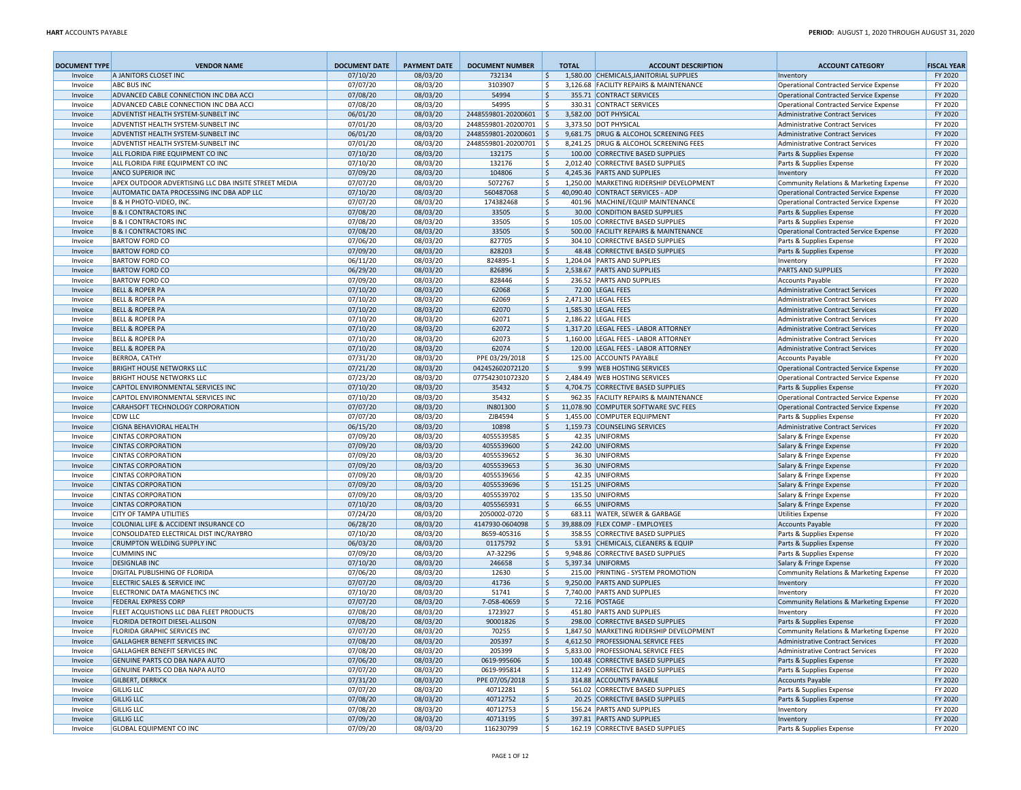| <b>DOCUMENT TYPE</b> | <b>VENDOR NAME</b>                                                    | <b>DOCUMENT DATE</b> | <b>PAYMENT DATE</b>  | <b>DOCUMENT NUMBER</b>   |                          | <b>TOTAL</b> | <b>ACCOUNT DESCRIPTION</b>                 | <b>ACCOUNT CATEGORY</b>                                                     | <b>FISCAL YEAR</b> |
|----------------------|-----------------------------------------------------------------------|----------------------|----------------------|--------------------------|--------------------------|--------------|--------------------------------------------|-----------------------------------------------------------------------------|--------------------|
| Invoice              | A JANITORS CLOSET INC                                                 | 07/10/20             | 08/03/20             | 732134                   | $\ddot{\varsigma}$       |              | 1,580.00 CHEMICALS, JANITORIAL SUPPLIES    | Inventory                                                                   | FY 2020            |
| Invoice              | <b>ABC BUS INC</b>                                                    | 07/07/20             | 08/03/20             | 3103907                  | \$                       |              | 3,126.68 FACILITY REPAIRS & MAINTENANCE    | Operational Contracted Service Expense                                      | FY 2020            |
| Invoice              | ADVANCED CABLE CONNECTION INC DBA ACCI                                | 07/08/20             | 08/03/20             | 54994                    | $\mathsf{\hat{S}}$       |              | 355.71 CONTRACT SERVICES                   | Operational Contracted Service Expense                                      | FY 2020            |
| Invoice              | ADVANCED CABLE CONNECTION INC DBA ACCI                                | 07/08/20             | 08/03/20             | 54995                    | \$                       |              | 330.31 CONTRACT SERVICES                   | Operational Contracted Service Expense                                      | FY 2020            |
| Invoice              | ADVENTIST HEALTH SYSTEM-SUNBELT INC                                   | 06/01/20             | 08/03/20             | 2448559801-20200601 \$   |                          |              | 3,582.00 DOT PHYSICAL                      | <b>Administrative Contract Services</b>                                     | FY 2020            |
| Invoice              | ADVENTIST HEALTH SYSTEM-SUNBELT INC                                   | 07/01/20             | 08/03/20             | 2448559801-20200701 \$   |                          |              | 3.373.50 DOT PHYSICAL                      | Administrative Contract Services                                            | FY 2020            |
| Invoice              | ADVENTIST HEALTH SYSTEM-SUNBELT INC                                   | 06/01/20             | 08/03/20             | 2448559801-20200601      | ا \$                     |              | 9,681.75 DRUG & ALCOHOL SCREENING FEES     | Administrative Contract Services                                            | FY 2020            |
| Invoice              | <b>ADVENTIST HEALTH SYSTEM-SUNBELT INC</b>                            | 07/01/20             | 08/03/20             | 2448559801-20200701   \$ |                          |              | 8,241.25 DRUG & ALCOHOL SCREENING FEES     | Administrative Contract Services                                            | FY 2020            |
| Invoice              | ALL FLORIDA FIRE EQUIPMENT CO INC                                     | 07/10/20             | 08/03/20             | 132175                   | l\$                      |              | 100.00 CORRECTIVE BASED SUPPLIES           | Parts & Supplies Expense                                                    | FY 2020            |
| Invoice              | ALL FLORIDA FIRE EQUIPMENT CO INC                                     | 07/10/20             | 08/03/20             | 132176                   | \$                       |              | 2,012.40 CORRECTIVE BASED SUPPLIES         | Parts & Supplies Expense                                                    | FY 2020            |
| Invoice              | <b>ANCO SUPERIOR INC</b>                                              | 07/09/20             | 08/03/20             | 104806                   | l \$                     |              | 4,245.36 PARTS AND SUPPLIES                | Inventory                                                                   | FY 2020            |
| Invoice              | APEX OUTDOOR ADVERTISING LLC DBA INSITE STREET MEDIA                  | 07/07/20             | 08/03/20             | 5072767                  | l\$                      |              | 1,250.00 MARKETING RIDERSHIP DEVELOPMENT   | Community Relations & Marketing Expense                                     | FY 2020            |
| Invoice              | AUTOMATIC DATA PROCESSING INC DBA ADP LLC                             | 07/10/20             | 08/03/20             | 560487068                | l\$                      |              | 40,090.40 CONTRACT SERVICES - ADP          | Operational Contracted Service Expense                                      | FY 2020            |
| Invoice              | B & H PHOTO-VIDEO. INC.                                               | 07/07/20             | 08/03/20             | 174382468                | ۱\$                      |              | 401.96 MACHINE/EQUIP MAINTENANCE           | Operational Contracted Service Expense                                      | FY 2020            |
| Invoice              | <b>B &amp; I CONTRACTORS INC</b>                                      | 07/08/20             | 08/03/20             | 33505                    | $\ddot{\varsigma}$       |              | 30.00 CONDITION BASED SUPPLIES             | Parts & Supplies Expense                                                    | FY 2020            |
| Invoice              | <b>B &amp; I CONTRACTORS INC</b>                                      | 07/08/20             | 08/03/20             | 33505                    | \$                       |              | 105.00 CORRECTIVE BASED SUPPLIES           | Parts & Supplies Expense                                                    | FY 2020            |
| Invoice              | <b>B &amp; I CONTRACTORS INC</b>                                      | 07/08/20             | 08/03/20             | 33505                    | ۱\$                      |              | 500.00 FACILITY REPAIRS & MAINTENANCE      | Operational Contracted Service Expense                                      | FY 2020            |
| Invoice              | <b>BARTOW FORD CO</b>                                                 | 07/06/20             | 08/03/20             | 827705                   | \$                       |              | 304.10 CORRECTIVE BASED SUPPLIES           | Parts & Supplies Expense                                                    | FY 2020            |
| Invoice              | <b>BARTOW FORD CO</b>                                                 | 07/09/20             | 08/03/20             | 828203                   | I\$                      |              | 48.48 CORRECTIVE BASED SUPPLIES            | Parts & Supplies Expense                                                    | FY 2020            |
| Invoice              | <b>BARTOW FORD CO</b>                                                 | 06/11/20             | 08/03/20             | 824895-1                 | \$                       |              | 1,204.04 PARTS AND SUPPLIES                | Inventory                                                                   | FY 2020            |
| Invoice              | <b>BARTOW FORD CO</b>                                                 | 06/29/20             | 08/03/20             | 826896                   | $\ddot{\varsigma}$       |              | 2,538.67 PARTS AND SUPPLIES                | <b>PARTS AND SUPPLIES</b>                                                   | FY 2020            |
| Invoice              | <b>BARTOW FORD CO</b>                                                 | 07/09/20             | 08/03/20             | 828446                   | \$                       |              | 236.52 PARTS AND SUPPLIES                  | <b>Accounts Payable</b>                                                     | FY 2020            |
| Invoice              | <b>BELL &amp; ROPER PA</b>                                            | 07/10/20             | 08/03/20             | 62068                    | $\ddot{\varsigma}$       |              | 72.00 LEGAL FEES                           | <b>Administrative Contract Services</b>                                     | FY 2020            |
| Invoice              | <b>BELL &amp; ROPER PA</b><br><b>BELL &amp; ROPER PA</b>              | 07/10/20<br>07/10/20 | 08/03/20<br>08/03/20 | 62069<br>62070           | \$<br>$\ddot{\varsigma}$ |              | 2,471.30 LEGAL FEES<br>1,585.30 LEGAL FEES | Administrative Contract Services<br><b>Administrative Contract Services</b> | FY 2020<br>FY 2020 |
| Invoice<br>Invoice   | <b>BELL &amp; ROPER PA</b>                                            | 07/10/20             | 08/03/20             | 62071                    | \$                       |              | 2,186.22 LEGAL FEES                        | Administrative Contract Services                                            | FY 2020            |
| Invoice              | <b>BELL &amp; ROPER PA</b>                                            | 07/10/20             | 08/03/20             | 62072                    | $\mathsf{\hat{S}}$       |              | 1,317.20 LEGAL FEES - LABOR ATTORNEY       | <b>Administrative Contract Services</b>                                     | FY 2020            |
| Invoice              | <b>BELL &amp; ROPER PA</b>                                            | 07/10/20             | 08/03/20             | 62073                    | \$                       |              | 1,160.00 LEGAL FEES - LABOR ATTORNEY       | Administrative Contract Services                                            | FY 2020            |
| Invoice              | <b>BELL &amp; ROPER PA</b>                                            | 07/10/20             | 08/03/20             | 62074                    | \$                       |              | 120.00 LEGAL FEES - LABOR ATTORNEY         | Administrative Contract Services                                            | FY 2020            |
| Invoice              | <b>BERROA, CATHY</b>                                                  | 07/31/20             | 08/03/20             | PPE 03/29/2018           | \$                       |              | 125.00 ACCOUNTS PAYABLE                    | <b>Accounts Payable</b>                                                     | FY 2020            |
| Invoice              | <b>BRIGHT HOUSE NETWORKS LLC</b>                                      | 07/21/20             | 08/03/20             | 042452602072120          | ۱\$                      |              | 9.99 WEB HOSTING SERVICES                  | Operational Contracted Service Expense                                      | FY 2020            |
| Invoice              | <b>BRIGHT HOUSE NETWORKS LLC</b>                                      | 07/23/20             | 08/03/20             | 077542301072320          | \$                       |              | 2,484.49 WEB HOSTING SERVICES              | Operational Contracted Service Expense                                      | FY 2020            |
| Invoice              | CAPITOL ENVIRONMENTAL SERVICES INC                                    | 07/10/20             | 08/03/20             | 35432                    | \$                       |              | 4,704.75 CORRECTIVE BASED SUPPLIES         | Parts & Supplies Expense                                                    | FY 2020            |
| Invoice              | CAPITOL ENVIRONMENTAL SERVICES INC                                    | 07/10/20             | 08/03/20             | 35432                    | $\dot{\mathbf{s}}$       |              | 962.35 FACILITY REPAIRS & MAINTENANCE      | Operational Contracted Service Expense                                      | FY 2020            |
| Invoice              | <b>CARAHSOFT TECHNOLOGY CORPORATION</b>                               | 07/07/20             | 08/03/20             | IN801300                 | l\$                      |              | 11.078.90 COMPUTER SOFTWARE SVC FEES       | Operational Contracted Service Expense                                      | FY 2020            |
| Invoice              | <b>CDW LLC</b>                                                        | 07/07/20             | 08/03/20             | ZJB4594                  | \$                       |              | 1,455.00 COMPUTER EQUIPMENT                | Parts & Supplies Expense                                                    | FY 2020            |
| Invoice              | <b>CIGNA BEHAVIORAL HEALTH</b>                                        | 06/15/20             | 08/03/20             | 10898                    | l\$                      |              | 1,159.73 COUNSELING SERVICES               | Administrative Contract Services                                            | FY 2020            |
| Invoice              | <b>CINTAS CORPORATION</b>                                             | 07/09/20             | 08/03/20             | 4055539585               | ۱\$                      |              | 42.35 UNIFORMS                             | Salary & Fringe Expense                                                     | FY 2020            |
| Invoice              | <b>CINTAS CORPORATION</b>                                             | 07/09/20             | 08/03/20             | 4055539600               | l\$                      |              | 242.00 UNIFORMS                            | Salary & Fringe Expense                                                     | FY 2020            |
| Invoice              | <b>CINTAS CORPORATION</b>                                             | 07/09/20             | 08/03/20             | 4055539652               | \$                       |              | 36.30 UNIFORMS                             | Salary & Fringe Expense                                                     | FY 2020            |
| Invoice              | <b>CINTAS CORPORATION</b>                                             | 07/09/20             | 08/03/20             | 4055539653               | \$                       |              | 36.30 UNIFORMS                             | Salary & Fringe Expense                                                     | FY 2020            |
| Invoice              | <b>CINTAS CORPORATION</b>                                             | 07/09/20             | 08/03/20             | 4055539656               | \$                       |              | 42.35 UNIFORMS                             | Salary & Fringe Expense                                                     | FY 2020            |
| Invoice              | <b>CINTAS CORPORATION</b>                                             | 07/09/20             | 08/03/20             | 4055539696               | l\$                      |              | 151.25 UNIFORMS                            | Salary & Fringe Expense                                                     | FY 2020            |
| Invoice              | <b>CINTAS CORPORATION</b>                                             | 07/09/20             | 08/03/20             | 4055539702               | \$                       |              | 135.50 UNIFORMS                            | Salary & Fringe Expense                                                     | FY 2020            |
| Invoice              | <b>CINTAS CORPORATION</b>                                             | 07/10/20             | 08/03/20             | 4055565931               | \$                       |              | 66.55 UNIFORMS                             | Salary & Fringe Expense                                                     | FY 2020            |
| Invoice              | <b>CITY OF TAMPA UTILITIES</b>                                        | 07/24/20             | 08/03/20             | 2050002-0720             | \$                       |              | 683.11 WATER, SEWER & GARBAGE              | <b>Utilities Expense</b>                                                    | FY 2020            |
| Invoice              | COLONIAL LIFE & ACCIDENT INSURANCE CO                                 | 06/28/20             | 08/03/20             | 4147930-0604098          | $\ddot{\varsigma}$       |              | 39,888.09 FLEX COMP - EMPLOYEES            | <b>Accounts Payable</b>                                                     | FY 2020            |
| Invoice              | CONSOLIDATED ELECTRICAL DIST INC/RAYBRO                               | 07/10/20             | 08/03/20             | 8659-405316              | \$                       |              | 358.55 CORRECTIVE BASED SUPPLIES           | Parts & Supplies Expense                                                    | FY 2020            |
| Invoice              | CRUMPTON WELDING SUPPLY INC                                           | 06/03/20             | 08/03/20             | 01175792                 | \$                       |              | 53.91 CHEMICALS, CLEANERS & EQUIP          | Parts & Supplies Expense                                                    | FY 2020            |
| Invoice              | <b>CUMMINS INC</b>                                                    | 07/09/20             | 08/03/20             | A7-32296                 | \$                       |              | 9,948.86 CORRECTIVE BASED SUPPLIES         | Parts & Supplies Expense                                                    | FY 2020            |
| Invoice              | <b>DESIGNLAB INC</b>                                                  | 07/10/20             | 08/03/20             | 246658                   | $\ddot{\varsigma}$       |              | 5,397.34 UNIFORMS                          | Salary & Fringe Expense                                                     | FY 2020            |
| Invoice              | DIGITAL PUBLISHING OF FLORIDA                                         | 07/06/20             | 08/03/20             | 12630                    | \$                       |              | 215.00 PRINTING - SYSTEM PROMOTION         | Community Relations & Marketing Expense                                     | FY 2020            |
| Invoice              | ELECTRIC SALES & SERVICE INC                                          | 07/07/20             | 08/03/20             | 41736                    | \$                       |              | 9,250.00 PARTS AND SUPPLIES                | Inventory                                                                   | FY 2020            |
| Invoice              | ELECTRONIC DATA MAGNETICS INC<br><b>FEDERAL EXPRESS CORP</b>          | 07/10/20             | 08/03/20             | 51741                    | \$                       |              | 7,740.00 PARTS AND SUPPLIES                | Inventory                                                                   | FY 2020            |
| Invoice              | FLEET ACQUISTIONS LLC DBA FLEET PRODUCTS                              | 07/07/20<br>07/08/20 | 08/03/20<br>08/03/20 | 7-058-40659<br>1723927   | $\ddot{\varsigma}$<br>\$ |              | 72.16 POSTAGE<br>451.80 PARTS AND SUPPLIES | Community Relations & Marketing Expense                                     | FY 2020<br>FY 2020 |
| Invoice<br>Invoice   | <b>FLORIDA DETROIT DIESEL-ALLISON</b>                                 | 07/08/20             | 08/03/20             | 90001826                 | \$                       |              | 298.00 CORRECTIVE BASED SUPPLIES           | Inventory<br>Parts & Supplies Expense                                       | FY 2020            |
|                      |                                                                       |                      |                      |                          |                          |              | 1,847.50 MARKETING RIDERSHIP DEVELOPMENT   |                                                                             |                    |
| Invoice<br>Invoice   | <b>FLORIDA GRAPHIC SERVICES INC</b><br>GALLAGHER BENEFIT SERVICES INC | 07/07/20<br>07/08/20 | 08/03/20<br>08/03/20 | 70255<br>205397          | ١ş<br>I\$                |              | 4,612.50 PROFESSIONAL SERVICE FEES         | Community Relations & Marketing Expense<br>Administrative Contract Services | FY 2020<br>FY 2020 |
| Invoice              | GALLAGHER BENEFIT SERVICES INC                                        | 07/08/20             | 08/03/20             | 205399                   | \$                       |              | 5.833.00 PROFESSIONAL SERVICE FEES         | Administrative Contract Services                                            | FY 2020            |
| Invoice              | GENUINE PARTS CO DBA NAPA AUTO                                        | 07/06/20             | 08/03/20             | 0619-995606              | I\$                      |              | 100.48 CORRECTIVE BASED SUPPLIES           | Parts & Supplies Expense                                                    | FY 2020            |
| Invoice              | GENUINE PARTS CO DBA NAPA AUTO                                        | 07/07/20             | 08/03/20             | 0619-995814              | l\$                      |              | 112.49 CORRECTIVE BASED SUPPLIES           | Parts & Supplies Expense                                                    | FY 2020            |
| Invoice              | <b>GILBERT, DERRICK</b>                                               | 07/31/20             | 08/03/20             | PPE 07/05/2018           | ۱\$                      |              | 314.88 ACCOUNTS PAYABLE                    | <b>Accounts Payable</b>                                                     | FY 2020            |
| Invoice              | <b>GILLIG LLC</b>                                                     | 07/07/20             | 08/03/20             | 40712281                 | l\$                      |              | 561.02 CORRECTIVE BASED SUPPLIES           | Parts & Supplies Expense                                                    | FY 2020            |
| Invoice              | <b>GILLIG LLC</b>                                                     | 07/08/20             | 08/03/20             | 40712752                 | \$                       |              | 20.25 CORRECTIVE BASED SUPPLIES            | Parts & Supplies Expense                                                    | FY 2020            |
| Invoice              | <b>GILLIG LLC</b>                                                     | 07/08/20             | 08/03/20             | 40712753                 | \$                       |              | 156.24 PARTS AND SUPPLIES                  | Inventory                                                                   | FY 2020            |
| Invoice              | <b>GILLIG LLC</b>                                                     | 07/09/20             | 08/03/20             | 40713195                 | \$                       |              | 397.81 PARTS AND SUPPLIES                  | Inventory                                                                   | FY 2020            |
| Invoice              | <b>GLOBAL EQUIPMENT CO INC</b>                                        | 07/09/20             | 08/03/20             | 116230799                | l\$                      |              | 162.19 CORRECTIVE BASED SUPPLIES           | Parts & Supplies Expense                                                    | FY 2020            |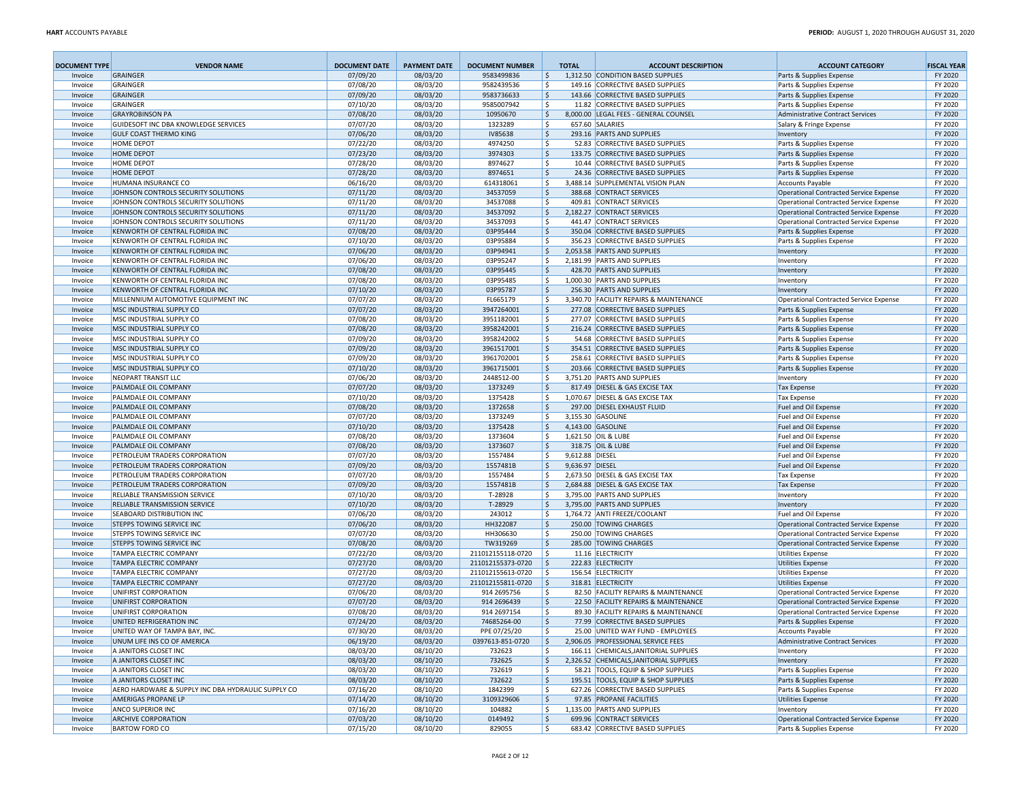| <b>DOCUMENT TYPE</b> | <b>VENDOR NAME</b>                                             | <b>DOCUMENT DATE</b> | <b>PAYMENT DATE</b>  | <b>DOCUMENT NUMBER</b> |                    | <b>TOTAL</b>    | <b>ACCOUNT DESCRIPTION</b>                                    | <b>ACCOUNT CATEGORY</b>                                                          | <b>FISCAL YEAR</b> |
|----------------------|----------------------------------------------------------------|----------------------|----------------------|------------------------|--------------------|-----------------|---------------------------------------------------------------|----------------------------------------------------------------------------------|--------------------|
| Invoice              | GRAINGER                                                       | 07/09/20             | 08/03/20             | 9583499836             | \$                 |                 | 1,312.50 CONDITION BASED SUPPLIES                             | Parts & Supplies Expense                                                         | FY 2020            |
| Invoice              | GRAINGER                                                       | 07/08/20             | 08/03/20             | 9582439536             | \$                 |                 | 149.16 CORRECTIVE BASED SUPPLIES                              | Parts & Supplies Expense                                                         | FY 2020            |
| Invoice              | GRAINGER                                                       | 07/09/20             | 08/03/20             | 9583736633             | l\$                |                 | 143.66 CORRECTIVE BASED SUPPLIES                              | Parts & Supplies Expense                                                         | FY 2020            |
| Invoice              | GRAINGER                                                       | 07/10/20             | 08/03/20             | 9585007942             | ۱\$                |                 | 11.82 CORRECTIVE BASED SUPPLIES                               | Parts & Supplies Expense                                                         | FY 2020            |
| Invoice              | <b>GRAYROBINSON PA</b>                                         | 07/08/20             | 08/03/20             | 10950670               | 5                  |                 | 8,000.00 LEGAL FEES - GENERAL COUNSEL                         | Administrative Contract Services                                                 | FY 2020            |
| Invoice              | <b>GUIDESOFT INC DBA KNOWLEDGE SERVICES</b>                    | 07/07/20             | 08/03/20             | 1323289                | l\$                |                 | 657.60 SALARIES                                               | Salary & Fringe Expense                                                          | FY 2020            |
| Invoice              | <b>GULF COAST THERMO KING</b>                                  | 07/06/20             | 08/03/20             | IV85638                | l\$                |                 | 293.16 PARTS AND SUPPLIES                                     | Inventory                                                                        | FY 2020            |
| Invoice              | HOME DEPOT                                                     | 07/22/20             | 08/03/20             | 4974250                | ۱\$                |                 | 52.83 CORRECTIVE BASED SUPPLIES                               | Parts & Supplies Expense                                                         | FY 2020            |
| Invoice              | <b>HOME DEPOT</b>                                              | 07/23/20             | 08/03/20             | 3974303                | l\$                |                 | 133.75 CORRECTIVE BASED SUPPLIES                              | Parts & Supplies Expense                                                         | FY 2020            |
| Invoice              | <b>HOME DEPOT</b>                                              | 07/28/20             | 08/03/20             | 8974627                | l\$                |                 | 10.44 CORRECTIVE BASED SUPPLIES                               | Parts & Supplies Expense                                                         | FY 2020            |
| Invoice              | <b>HOME DEPOT</b>                                              | 07/28/20             | 08/03/20             | 8974651                | l\$                |                 | 24.36 CORRECTIVE BASED SUPPLIES                               | Parts & Supplies Expense                                                         | FY 2020            |
| Invoice              | HUMANA INSURANCE CO<br>JOHNSON CONTROLS SECURITY SOLUTIONS     | 06/16/20<br>07/11/20 | 08/03/20             | 614318061              | \$<br>l\$          |                 | 3,488.14 SUPPLEMENTAL VISION PLAN<br>388.68 CONTRACT SERVICES | <b>Accounts Payable</b>                                                          | FY 2020<br>FY 2020 |
| Invoice<br>Invoice   | JOHNSON CONTROLS SECURITY SOLUTIONS                            | 07/11/20             | 08/03/20<br>08/03/20 | 34537059<br>34537088   | l\$                |                 | 409.81 CONTRACT SERVICES                                      | Operational Contracted Service Expense<br>Operational Contracted Service Expense | FY 2020            |
| Invoice              | JOHNSON CONTROLS SECURITY SOLUTIONS                            | 07/11/20             | 08/03/20             | 34537092               | \$                 |                 | 2,182.27 CONTRACT SERVICES                                    | Operational Contracted Service Expense                                           | FY 2020            |
| Invoice              | JOHNSON CONTROLS SECURITY SOLUTIONS                            | 07/11/20             | 08/03/20             | 34537093               | \$                 |                 | 441.47 CONTRACT SERVICES                                      | Operational Contracted Service Expense                                           | FY 2020            |
| Invoice              | KENWORTH OF CENTRAL FLORIDA INC                                | 07/08/20             | 08/03/20             | 03P95444               | 5                  |                 | 350.04 CORRECTIVE BASED SUPPLIES                              | Parts & Supplies Expense                                                         | FY 2020            |
| Invoice              | KENWORTH OF CENTRAL FLORIDA INC                                | 07/10/20             | 08/03/20             | 03P95884               | l\$                |                 | 356.23 CORRECTIVE BASED SUPPLIES                              | Parts & Supplies Expense                                                         | FY 2020            |
| Invoice              | KENWORTH OF CENTRAL FLORIDA INC                                | 07/06/20             | 08/03/20             | 03P94941               | \$                 |                 | 2,053.58 PARTS AND SUPPLIES                                   | Inventory                                                                        | FY 2020            |
| Invoice              | KENWORTH OF CENTRAL FLORIDA INC                                | 07/06/20             | 08/03/20             | 03P95247               | \$                 |                 | 2,181.99 PARTS AND SUPPLIES                                   | Inventory                                                                        | FY 2020            |
| Invoice              | KENWORTH OF CENTRAL FLORIDA INC                                | 07/08/20             | 08/03/20             | 03P95445               | 5                  |                 | 428.70 PARTS AND SUPPLIES                                     | Inventory                                                                        | FY 2020            |
| Invoice              | KENWORTH OF CENTRAL FLORIDA INC                                | 07/08/20             | 08/03/20             | 03P95485               | l\$                |                 | 1,000.30 PARTS AND SUPPLIES                                   | Inventory                                                                        | FY 2020            |
| Invoice              | KENWORTH OF CENTRAL FLORIDA INC                                | 07/10/20             | 08/03/20             | 03P95787               | \$                 |                 | 256.30 PARTS AND SUPPLIES                                     | Inventory                                                                        | FY 2020            |
| Invoice              | MILLENNIUM AUTOMOTIVE EQUIPMENT INC                            | 07/07/20             | 08/03/20             | FL665179               | \$                 |                 | 3,340.70 FACILITY REPAIRS & MAINTENANCE                       | Operational Contracted Service Expense                                           | FY 2020            |
| Invoice              | MSC INDUSTRIAL SUPPLY CO                                       | 07/07/20             | 08/03/20             | 3947264001             | \$                 |                 | 277.08 CORRECTIVE BASED SUPPLIES                              | Parts & Supplies Expense                                                         | FY 2020            |
| Invoice              | MSC INDUSTRIAL SUPPLY CO                                       | 07/08/20             | 08/03/20             | 3951182001             | ۱\$                |                 | 277.07 CORRECTIVE BASED SUPPLIES                              | Parts & Supplies Expense                                                         | FY 2020            |
| Invoice              | MSC INDUSTRIAL SUPPLY CO                                       | 07/08/20             | 08/03/20             | 3958242001             | \$                 |                 | 216.24 CORRECTIVE BASED SUPPLIES                              | Parts & Supplies Expense                                                         | FY 2020            |
| Invoice              | MSC INDUSTRIAL SUPPLY CO                                       | 07/09/20             | 08/03/20             | 3958242002             | l \$               |                 | 54.68 CORRECTIVE BASED SUPPLIES                               | Parts & Supplies Expense                                                         | FY 2020            |
| Invoice              | MSC INDUSTRIAL SUPPLY CO                                       | 07/09/20             | 08/03/20             | 3961517001             | 5                  |                 | 354.51 CORRECTIVE BASED SUPPLIES                              | Parts & Supplies Expense                                                         | FY 2020            |
| Invoice              | MSC INDUSTRIAL SUPPLY CO                                       | 07/09/20             | 08/03/20             | 3961702001             | Ŝ.                 |                 | 258.61 CORRECTIVE BASED SUPPLIES                              | Parts & Supplies Expense                                                         | FY 2020            |
| Invoice              | MSC INDUSTRIAL SUPPLY CO                                       | 07/10/20             | 08/03/20             | 3961715001             | 5                  |                 | 203.66 CORRECTIVE BASED SUPPLIES                              | Parts & Supplies Expense                                                         | FY 2020            |
| Invoice              | <b>NEOPART TRANSIT LLC</b>                                     | 07/06/20             | 08/03/20             | 2448512-00             | l\$                |                 | 3,751.20 PARTS AND SUPPLIES                                   | Inventory                                                                        | FY 2020            |
| Invoice              | PALMDALE OIL COMPANY                                           | 07/07/20             | 08/03/20             | 1373249                | 5                  |                 | 817.49 DIESEL & GAS EXCISE TAX                                | Tax Expense                                                                      | FY 2020            |
| Invoice              | PALMDALE OIL COMPANY                                           | 07/10/20             | 08/03/20             | 1375428                | Ŝ.                 |                 | 1,070.67 DIESEL & GAS EXCISE TAX                              | <b>Tax Expense</b>                                                               | FY 2020            |
| Invoice              | PALMDALE OIL COMPANY                                           | 07/08/20             | 08/03/20             | 1372658                | l\$                |                 | 297.00 DIESEL EXHAUST FLUID                                   | Fuel and Oil Expense                                                             | FY 2020            |
| Invoice              | PALMDALE OIL COMPANY                                           | 07/07/20             | 08/03/20             | 1373249                | l\$                |                 | 3.155.30 GASOLINE                                             | Fuel and Oil Expense                                                             | FY 2020            |
| Invoice              | PALMDALE OIL COMPANY                                           | 07/10/20             | 08/03/20             | 1375428                | l\$                |                 | 4,143.00 GASOLINE                                             | Fuel and Oil Expense                                                             | FY 2020            |
| Invoice              | PALMDALE OIL COMPANY                                           | 07/08/20<br>07/08/20 | 08/03/20             | 1373604<br>1373607     | l\$<br>l\$         |                 | 1,621.50 OIL & LUBE                                           | Fuel and Oil Expense                                                             | FY 2020<br>FY 2020 |
| Invoice              | PALMDALE OIL COMPANY                                           |                      | 08/03/20             | 1557484                | \$                 | 9,612.88 DIESEL | 318.75 OIL & LUBE                                             | Fuel and Oil Expense                                                             |                    |
| Invoice<br>Invoice   | PETROLEUM TRADERS CORPORATION<br>PETROLEUM TRADERS CORPORATION | 07/07/20<br>07/09/20 | 08/03/20<br>08/03/20 | 1557481B               | S.                 | 9,636.97 DIESEL |                                                               | Fuel and Oil Expense<br>Fuel and Oil Expense                                     | FY 2020<br>FY 2020 |
| Invoice              | PETROLEUM TRADERS CORPORATION                                  | 07/07/20             | 08/03/20             | 1557484                | Ŝ.                 |                 | 2,673.50 DIESEL & GAS EXCISE TAX                              | <b>Tax Expense</b>                                                               | FY 2020            |
| Invoice              | PETROLEUM TRADERS CORPORATION                                  | 07/09/20             | 08/03/20             | 1557481B               | \$                 |                 | 2,684.88 DIESEL & GAS EXCISE TAX                              | <b>Tax Expense</b>                                                               | FY 2020            |
| Invoice              | RELIABLE TRANSMISSION SERVICE                                  | 07/10/20             | 08/03/20             | T-28928                | \$                 |                 | 3,795.00 PARTS AND SUPPLIES                                   | Inventory                                                                        | FY 2020            |
| Invoice              | RELIABLE TRANSMISSION SERVICE                                  | 07/10/20             | 08/03/20             | T-28929                | ۱\$                |                 | 3,795.00 PARTS AND SUPPLIES                                   | Inventory                                                                        | FY 2020            |
| Invoice              | <b>SEABOARD DISTRIBUTION INC</b>                               | 07/06/20             | 08/03/20             | 243012                 | Ŝ.                 |                 | 1,764.72 ANTI FREEZE/COOLANT                                  | Fuel and Oil Expense                                                             | FY 2020            |
| Invoice              | <b>STEPPS TOWING SERVICE INC</b>                               | 07/06/20             | 08/03/20             | HH322087               | \$                 |                 | 250.00 TOWING CHARGES                                         | Operational Contracted Service Expense                                           | FY 2020            |
| Invoice              | <b>STEPPS TOWING SERVICE INC</b>                               | 07/07/20             | 08/03/20             | HH306630               | \$                 |                 | 250.00 TOWING CHARGES                                         | Operational Contracted Service Expense                                           | FY 2020            |
| Invoice              | <b>STEPPS TOWING SERVICE INC</b>                               | 07/08/20             | 08/03/20             | TW319269               | l\$                |                 | 285.00 TOWING CHARGES                                         | Operational Contracted Service Expense                                           | FY 2020            |
| Invoice              | <b>TAMPA ELECTRIC COMPANY</b>                                  | 07/22/20             | 08/03/20             | 211012155118-0720      | l\$                |                 | 11.16 ELECTRICITY                                             | <b>Utilities Expense</b>                                                         | FY 2020            |
| Invoice              | <b>TAMPA ELECTRIC COMPANY</b>                                  | 07/27/20             | 08/03/20             | 211012155373-0720      | \$ ا               |                 | 222.83 ELECTRICITY                                            | <b>Utilities Expense</b>                                                         | FY 2020            |
| Invoice              | <b>TAMPA ELECTRIC COMPANY</b>                                  | 07/27/20             | 08/03/20             | 211012155613-0720      | \$ ا               |                 | 156.54 ELECTRICITY                                            | <b>Utilities Expense</b>                                                         | FY 2020            |
| Invoice              | <b>TAMPA ELECTRIC COMPANY</b>                                  | 07/27/20             | 08/03/20             | 211012155811-0720      | ۱\$                |                 | 318.81 ELECTRICITY                                            | <b>Utilities Expense</b>                                                         | FY 2020            |
| Invoice              | UNIFIRST CORPORATION                                           | 07/06/20             | 08/03/20             | 914 2695756            | l\$                |                 | 82.50 FACILITY REPAIRS & MAINTENANCE                          | Operational Contracted Service Expense                                           | FY 2020            |
| Invoice              | UNIFIRST CORPORATION                                           | 07/07/20             | 08/03/20             | 914 2696439            | \$                 |                 | 22.50 FACILITY REPAIRS & MAINTENANCE                          | Operational Contracted Service Expense                                           | FY 2020            |
| Invoice              | UNIFIRST CORPORATION                                           | 07/08/20             | 08/03/20             | 914 2697154            | Ŝ.                 |                 | 89.30 FACILITY REPAIRS & MAINTENANCE                          | Operational Contracted Service Expense                                           | FY 2020            |
| Invoice              | UNITED REFRIGERATION INC                                       | 07/24/20             | 08/03/20             | 74685264-00            | $\mathsf{\hat{S}}$ |                 | 77.99 CORRECTIVE BASED SUPPLIES                               | Parts & Supplies Expense                                                         | FY 2020            |
| Invoice              | UNITED WAY OF TAMPA BAY, INC.                                  | 07/30/20             | 08/03/20             | PPE 07/25/20           | IŞ.                |                 | 25.00 UNITED WAY FUND - EMPLOYEES                             | Accounts Payable                                                                 | FY 2020            |
| Invoice              | UNUM LIFE INS CO OF AMERICA                                    | 06/19/20             | 08/03/20             | 0397613-851-0720       | $\vert \xi \vert$  |                 | 2,906.05 PROFESSIONAL SERVICE FEES                            | Administrative Contract Services                                                 | FY 2020            |
| Invoice              | A JANITORS CLOSET INC                                          | 08/03/20             | 08/10/20             | 732623                 | l \$               |                 | 166.11 CHEMICALS, JANITORIAL SUPPLIES                         | Inventory                                                                        | FY 2020            |
| Invoice              | A JANITORS CLOSET INC                                          | 08/03/20             | 08/10/20             | 732625                 | \$                 |                 | 2,326.52 CHEMICALS, JANITORIAL SUPPLIES                       | Inventory                                                                        | FY 2020            |
| Invoice              | A JANITORS CLOSET INC                                          | 08/03/20             | 08/10/20             | 732619                 | ۱\$                |                 | 58.21 TOOLS, EQUIP & SHOP SUPPLIES                            | Parts & Supplies Expense                                                         | FY 2020            |
| Invoice              | A JANITORS CLOSET INC                                          | 08/03/20             | 08/10/20             | 732622                 | \$                 |                 | 195.51 TOOLS, EQUIP & SHOP SUPPLIES                           | Parts & Supplies Expense                                                         | FY 2020            |
| Invoice              | AERO HARDWARE & SUPPLY INC DBA HYDRAULIC SUPPLY CO             | 07/16/20             | 08/10/20             | 1842399                | \$                 |                 | 627.26 CORRECTIVE BASED SUPPLIES                              | Parts & Supplies Expense                                                         | FY 2020            |
| Invoice              | <b>AMERIGAS PROPANE LP</b>                                     | 07/14/20             | 08/10/20             | 3109329606             | \$                 |                 | 97.85 PROPANE FACILITIES                                      | <b>Utilities Expense</b>                                                         | FY 2020            |
| Invoice              | ANCO SUPERIOR INC                                              | 07/16/20             | 08/10/20             | 104882                 | S,                 |                 | 1,135.00 PARTS AND SUPPLIES                                   | Inventory                                                                        | FY 2020            |
| Invoice              | <b>ARCHIVE CORPORATION</b>                                     | 07/03/20             | 08/10/20             | 0149492                | \$                 |                 | 699.96 CONTRACT SERVICES<br>683.42 CORRECTIVE BASED SUPPLIES  | Operational Contracted Service Expense                                           | FY 2020            |
| Invoice              | <b>BARTOW FORD CO</b>                                          | 07/15/20             | 08/10/20             | 829055                 | \$                 |                 |                                                               | Parts & Supplies Expense                                                         | FY 2020            |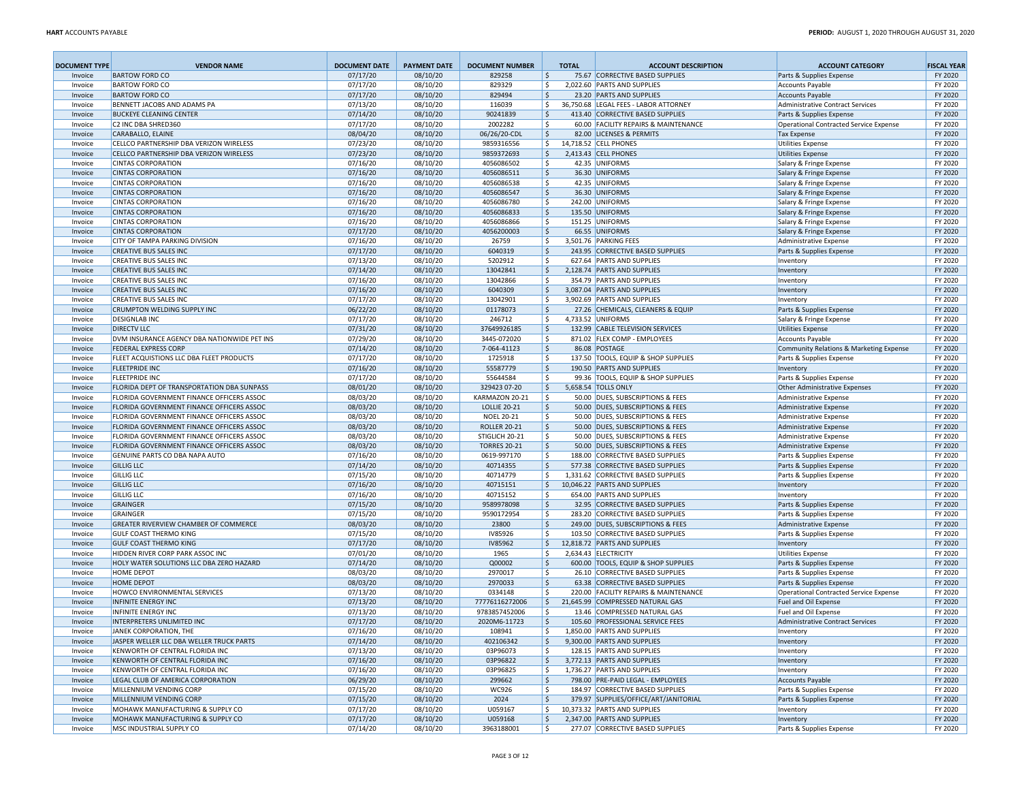| <b>DOCUMENT TYPE</b> | <b>VENDOR NAME</b>                                                                 | <b>DOCUMENT DATE</b> | <b>PAYMENT DATE</b>  | <b>DOCUMENT NUMBER</b>   |                    | <b>TOTAL</b> | <b>ACCOUNT DESCRIPTION</b>                                             | <b>ACCOUNT CATEGORY</b>                              | <b>FISCAL YEAR</b> |
|----------------------|------------------------------------------------------------------------------------|----------------------|----------------------|--------------------------|--------------------|--------------|------------------------------------------------------------------------|------------------------------------------------------|--------------------|
| Invoice              | <b>BARTOW FORD CO</b>                                                              | 07/17/20             | 08/10/20             | 829258                   | \$                 |              | 75.67 CORRECTIVE BASED SUPPLIES                                        | Parts & Supplies Expense                             | FY 2020            |
| Invoice              | <b>BARTOW FORD CO</b>                                                              | 07/17/20             | 08/10/20             | 829329                   | \$                 |              | 2.022.60 PARTS AND SUPPLIES                                            | Accounts Payable                                     | FY 2020            |
| Invoice              | <b>BARTOW FORD CO</b>                                                              | 07/17/20             | 08/10/20             | 829494                   | 5                  |              | 23.20 PARTS AND SUPPLIES                                               | <b>Accounts Payable</b>                              | FY 2020            |
| Invoice              | BENNETT JACOBS AND ADAMS PA                                                        | 07/13/20             | 08/10/20             | 116039                   | \$                 |              | 36,750.68 LEGAL FEES - LABOR ATTORNEY                                  | Administrative Contract Services                     | FY 2020            |
| Invoice              | <b>BUCKEYE CLEANING CENTER</b>                                                     | 07/14/20             | 08/10/20             | 90241839                 | 5                  |              | 413.40 CORRECTIVE BASED SUPPLIES                                       | Parts & Supplies Expense                             | FY 2020            |
| Invoice              | C2 INC DBA SHRED360                                                                | 07/17/20             | 08/10/20             | 2002282                  | \$                 |              | 60.00 FACILITY REPAIRS & MAINTENANCE                                   | Operational Contracted Service Expense               | FY 2020            |
| Invoice              | CARABALLO, ELAINE                                                                  | 08/04/20             | 08/10/20             | 06/26/20-CDL             | 5                  |              | 82.00 LICENSES & PERMITS<br>14,718.52 CELL PHONES                      | <b>Tax Expense</b>                                   | FY 2020            |
| Invoice              | CELLCO PARTNERSHIP DBA VERIZON WIRELESS<br>CELLCO PARTNERSHIP DBA VERIZON WIRELESS | 07/23/20<br>07/23/20 | 08/10/20<br>08/10/20 | 9859316556               | \$<br>5            |              | 2,413.43 CELL PHONES                                                   | Utilities Expense                                    | FY 2020<br>FY 2020 |
| Invoice<br>Invoice   | <b>CINTAS CORPORATION</b>                                                          | 07/16/20             | 08/10/20             | 9859372693<br>4056086502 | \$                 |              | 42.35 UNIFORMS                                                         | Utilities Expense<br>Salary & Fringe Expense         | FY 2020            |
| Invoice              | <b>CINTAS CORPORATION</b>                                                          | 07/16/20             | 08/10/20             | 4056086511               | ۱\$                |              | 36.30 UNIFORMS                                                         | Salary & Fringe Expense                              | FY 2020            |
| Invoice              | <b>CINTAS CORPORATION</b>                                                          | 07/16/20             | 08/10/20             | 4056086538               | \$                 |              | 42.35 UNIFORMS                                                         | Salary & Fringe Expense                              | FY 2020            |
| Invoice              | <b>CINTAS CORPORATION</b>                                                          | 07/16/20             | 08/10/20             | 4056086547               | 5                  |              | 36.30 UNIFORMS                                                         | Salary & Fringe Expense                              | FY 2020            |
| Invoice              | <b>CINTAS CORPORATION</b>                                                          | 07/16/20             | 08/10/20             | 4056086780               | \$                 |              | 242.00 UNIFORMS                                                        | Salary & Fringe Expense                              | FY 2020            |
| Invoice              | <b>CINTAS CORPORATION</b>                                                          | 07/16/20             | 08/10/20             | 4056086833               | \$ ا               |              | 135.50 UNIFORMS                                                        | Salary & Fringe Expense                              | FY 2020            |
| Invoice              | <b>CINTAS CORPORATION</b>                                                          | 07/16/20             | 08/10/20             | 4056086866               | ا \$               |              | 151.25 UNIFORMS                                                        | Salary & Fringe Expense                              | FY 2020            |
| Invoice              | <b>CINTAS CORPORATION</b>                                                          | 07/17/20             | 08/10/20             | 4056200003               | ۱\$.               |              | 66.55 UNIFORMS                                                         | Salary & Fringe Expense                              | FY 2020            |
| Invoice              | <b>CITY OF TAMPA PARKING DIVISION</b>                                              | 07/16/20             | 08/10/20             | 26759                    | l \$               |              | 3,501.76 PARKING FEES                                                  | Administrative Expense                               | FY 2020            |
| Invoice              | <b>CREATIVE BUS SALES INC</b>                                                      | 07/17/20             | 08/10/20             | 6040319                  | \$ ا               |              | 243.95 CORRECTIVE BASED SUPPLIES                                       | Parts & Supplies Expense                             | FY 2020            |
| Invoice              | <b>CREATIVE BUS SALES INC</b>                                                      | 07/13/20             | 08/10/20             | 5202912                  | ا \$               |              | 627.64 PARTS AND SUPPLIES                                              | Inventory                                            | FY 2020            |
| Invoice              | <b>CREATIVE BUS SALES INC</b>                                                      | 07/14/20             | 08/10/20             | 13042841                 | \$                 |              | 2,128.74 PARTS AND SUPPLIES                                            | Inventory                                            | FY 2020            |
| Invoice              | <b>CREATIVE BUS SALES INC</b>                                                      | 07/16/20             | 08/10/20             | 13042866                 | \$                 |              | 354.79 PARTS AND SUPPLIES                                              | Inventory                                            | FY 2020            |
| Invoice              | <b>CREATIVE BUS SALES INC</b>                                                      | 07/16/20             | 08/10/20             | 6040309                  | \$                 |              | 3,087.04 PARTS AND SUPPLIES                                            | Inventory                                            | FY 2020            |
| Invoice              | CREATIVE BUS SALES INC                                                             | 07/17/20             | 08/10/20             | 13042901                 | \$                 |              | 3,902.69 PARTS AND SUPPLIES                                            | Inventory                                            | FY 2020            |
| Invoice              | CRUMPTON WELDING SUPPLY INC                                                        | 06/22/20             | 08/10/20             | 01178073                 | \$                 |              | 27.26 CHEMICALS, CLEANERS & EQUIP                                      | Parts & Supplies Expense                             | FY 2020            |
| Invoice              | <b>DESIGNLAB INC</b>                                                               | 07/17/20             | 08/10/20             | 246712                   | \$                 |              | 4,733.52 UNIFORMS                                                      | Salary & Fringe Expense                              | FY 2020            |
| Invoice              | <b>DIRECTV LLC</b>                                                                 | 07/31/20             | 08/10/20             | 37649926185              | ۱\$                |              | 132.99 CABLE TELEVISION SERVICES                                       | Utilities Expense                                    | FY 2020            |
| Invoice              | DVM INSURANCE AGENCY DBA NATIONWIDE PET INS                                        | 07/29/20             | 08/10/20             | 3445-072020              | \$                 |              | 871.02 FLEX COMP - EMPLOYEES                                           | Accounts Payable                                     | FY 2020            |
| Invoice              | <b>FEDERAL EXPRESS CORP</b>                                                        | 07/14/20             | 08/10/20             | 7-064-41123              | 5                  |              | 86.08 POSTAGE                                                          | Community Relations & Marketing Expense              | FY 2020            |
| Invoice              | FLEET ACQUISTIONS LLC DBA FLEET PRODUCTS                                           | 07/17/20             | 08/10/20             | 1725918                  | l\$                |              | 137.50 TOOLS, EQUIP & SHOP SUPPLIES                                    | Parts & Supplies Expense                             | FY 2020            |
| Invoice              | <b>FLEETPRIDE INC</b><br><b>FLEETPRIDE INC</b>                                     | 07/16/20<br>07/17/20 | 08/10/20<br>08/10/20 | 55587779<br>55644584     | 5<br>  \$          |              | 190.50 PARTS AND SUPPLIES<br>99.36 TOOLS, EQUIP & SHOP SUPPLIES        | Inventory<br>Parts & Supplies Expense                | FY 2020<br>FY 2020 |
| Invoice<br>Invoice   | FLORIDA DEPT OF TRANSPORTATION DBA SUNPASS                                         | 08/01/20             | 08/10/20             | 329423 07-20             | 5                  |              | 5,658.54 TOLLS ONLY                                                    | Other Administrative Expenses                        | FY 2020            |
| Invoice              | FLORIDA GOVERNMENT FINANCE OFFICERS ASSOC                                          | 08/03/20             | 08/10/20             | KARMAZON 20-21           | l\$                |              | 50.00 DUES, SUBSCRIPTIONS & FEES                                       | Administrative Expense                               | FY 2020            |
| Invoice              | FLORIDA GOVERNMENT FINANCE OFFICERS ASSOC                                          | 08/03/20             | 08/10/20             | <b>LOLLIE 20-21</b>      | 5                  |              | 50.00 DUES, SUBSCRIPTIONS & FEES                                       | Administrative Expense                               | FY 2020            |
| Invoice              | FLORIDA GOVERNMENT FINANCE OFFICERS ASSOC                                          | 08/03/20             | 08/10/20             | <b>NOEL 20-21</b>        | \$                 |              | 50.00 DUES, SUBSCRIPTIONS & FEES                                       | Administrative Expense                               | FY 2020            |
| Invoice              | FLORIDA GOVERNMENT FINANCE OFFICERS ASSOC                                          | 08/03/20             | 08/10/20             | <b>ROLLER 20-21</b>      | 5                  |              | 50.00 DUES, SUBSCRIPTIONS & FEES                                       | Administrative Expense                               | FY 2020            |
| Invoice              | FLORIDA GOVERNMENT FINANCE OFFICERS ASSOC                                          | 08/03/20             | 08/10/20             | STIGLICH 20-21           | l\$                |              | 50.00 DUES, SUBSCRIPTIONS & FEES                                       | Administrative Expense                               | FY 2020            |
| Invoice              | FLORIDA GOVERNMENT FINANCE OFFICERS ASSOC                                          | 08/03/20             | 08/10/20             | <b>TORRES 20-21</b>      | 5                  |              | 50.00 DUES, SUBSCRIPTIONS & FEES                                       | Administrative Expense                               | FY 2020            |
| Invoice              | GENUINE PARTS CO DBA NAPA AUTO                                                     | 07/16/20             | 08/10/20             | 0619-997170              | \$                 |              | 188.00 CORRECTIVE BASED SUPPLIES                                       | Parts & Supplies Expense                             | FY 2020            |
| Invoice              | <b>GILLIG LLC</b>                                                                  | 07/14/20             | 08/10/20             | 40714355                 | \$                 |              | 577.38 CORRECTIVE BASED SUPPLIES                                       | Parts & Supplies Expense                             | FY 2020            |
| Invoice              | <b>GILLIG LLC</b>                                                                  | 07/15/20             | 08/10/20             | 40714779                 | l\$                |              | 1,331.62 CORRECTIVE BASED SUPPLIES                                     | Parts & Supplies Expense                             | FY 2020            |
| Invoice              | <b>GILLIG LLC</b>                                                                  | 07/16/20             | 08/10/20             | 40715151                 | ۱\$.               |              | 10,046.22 PARTS AND SUPPLIES                                           | Inventory                                            | FY 2020            |
| Invoice              | <b>GILLIG LLC</b>                                                                  | 07/16/20             | 08/10/20             | 40715152                 | l\$                |              | 654.00 PARTS AND SUPPLIES                                              | Inventory                                            | FY 2020            |
| Invoice              | GRAINGER                                                                           | 07/15/20             | 08/10/20             | 9589978098               | ا \$               |              | 32.95 CORRECTIVE BASED SUPPLIES                                        | Parts & Supplies Expense                             | FY 2020            |
| Invoice              | <b>GRAINGER</b>                                                                    | 07/15/20             | 08/10/20             | 9590172954               | \$ ا               |              | 283.20 CORRECTIVE BASED SUPPLIES                                       | Parts & Supplies Expense                             | FY 2020            |
| Invoice              | <b>GREATER RIVERVIEW CHAMBER OF COMMERCE</b>                                       | 08/03/20             | 08/10/20             | 23800                    | 5                  |              | 249.00 DUES, SUBSCRIPTIONS & FEES                                      | Administrative Expense                               | FY 2020            |
| Invoice              | <b>GULF COAST THERMO KING</b>                                                      | 07/15/20             | 08/10/20             | IV85926                  | \$                 |              | 103.50 CORRECTIVE BASED SUPPLIES                                       | Parts & Supplies Expense                             | FY 2020            |
| Invoice              | <b>GULF COAST THERMO KING</b>                                                      | 07/17/20             | 08/10/20             | IV85962                  | \$                 |              | 12,818.72 PARTS AND SUPPLIES                                           | Inventory                                            | FY 2020            |
| Invoice              | HIDDEN RIVER CORP PARK ASSOC INC                                                   | 07/01/20             | 08/10/20             | 1965                     | \$                 |              | 2.634.43 ELECTRICITY                                                   | <b>Utilities Expense</b>                             | FY 2020            |
| Invoice<br>Invoice   | HOLY WATER SOLUTIONS LLC DBA ZERO HAZARD<br>HOME DEPOT                             | 07/14/20<br>08/03/20 | 08/10/20<br>08/10/20 | Q00002<br>2970017        | 5<br>\$            |              | 600.00 TOOLS, EQUIP & SHOP SUPPLIES<br>26.10 CORRECTIVE BASED SUPPLIES | Parts & Supplies Expense                             | FY 2020<br>FY 2020 |
| Invoice              | <b>HOME DEPOT</b>                                                                  | 08/03/20             | 08/10/20             | 2970033                  | 5                  |              | 63.38 CORRECTIVE BASED SUPPLIES                                        | Parts & Supplies Expense<br>Parts & Supplies Expense | FY 2020            |
| Invoice              | HOWCO ENVIRONMENTAL SERVICES                                                       | 07/13/20             | 08/10/20             | 0334148                  | \$                 |              | 220.00 FACILITY REPAIRS & MAINTENANCE                                  | Operational Contracted Service Expense               | FY 2020            |
| Invoice              | <b>INFINITE ENERGY INC</b>                                                         | 07/13/20             | 08/10/20             | 77776116272006           | \$                 |              | 21,645.99 COMPRESSED NATURAL GAS                                       | Fuel and Oil Expense                                 | FY 2020            |
| Invoice              | INFINITE ENERGY INC                                                                | 07/13/20             | 08/10/20             | 9783857452006            | \$                 |              | 13.46 COMPRESSED NATURAL GAS                                           | Fuel and Oil Expense                                 | FY 2020            |
| Invoice              | INTERPRETERS UNLIMITED INC                                                         | 07/17/20             | 08/10/20             | 2020M6-11723             | $\mathsf{\hat{S}}$ |              | 105.60 PROFESSIONAL SERVICE FEES                                       | Administrative Contract Services                     | FY 2020            |
| Invoice              | JANEK CORPORATION, THE                                                             | 07/16/20             | 08/10/20             | 108941                   | ΙS                 |              | 1,850.00 PARTS AND SUPPLIES                                            | Inventory                                            | FY 2020            |
| Invoice              | JASPER WELLER LLC DBA WELLER TRUCK PARTS                                           | 07/14/20             | 08/10/20             | 402106342                | 5                  |              | 9,300.00 PARTS AND SUPPLIES                                            | Inventory                                            | FY 2020            |
| Invoice              | KENWORTH OF CENTRAL FLORIDA INC                                                    | 07/13/20             | 08/10/20             | 03P96073                 | \$                 |              | 128.15 PARTS AND SUPPLIES                                              | Inventory                                            | FY 2020            |
| Invoice              | KENWORTH OF CENTRAL FLORIDA INC                                                    | 07/16/20             | 08/10/20             | 03P96822                 | \$                 |              | 3,772.13 PARTS AND SUPPLIES                                            | Inventory                                            | FY 2020            |
| Invoice              | KENWORTH OF CENTRAL FLORIDA INC                                                    | 07/16/20             | 08/10/20             | 03P96825                 | \$                 |              | 1,736.27 PARTS AND SUPPLIES                                            | Inventory                                            | FY 2020            |
| Invoice              | LEGAL CLUB OF AMERICA CORPORATION                                                  | 06/29/20             | 08/10/20             | 299662                   | \$                 |              | 798.00 PRE-PAID LEGAL - EMPLOYEES                                      | <b>Accounts Payable</b>                              | FY 2020            |
| Invoice              | MILLENNIUM VENDING CORP                                                            | 07/15/20             | 08/10/20             | WC926                    | \$                 |              | 184.97 CORRECTIVE BASED SUPPLIES                                       | Parts & Supplies Expense                             | FY 2020            |
| Invoice              | MILLENNIUM VENDING CORP                                                            | 07/15/20             | 08/10/20             | 2024                     | 5                  |              | 379.97 SUPPLIES/OFFICE/ART/JANITORIAL                                  | Parts & Supplies Expense                             | FY 2020            |
| Invoice              | MOHAWK MANUFACTURING & SUPPLY CO                                                   | 07/17/20             | 08/10/20             | U059167                  | \$                 |              | 10,373.32 PARTS AND SUPPLIES                                           | Inventory                                            | FY 2020            |
| Invoice              | <b>MOHAWK MANUFACTURING &amp; SUPPLY CO</b>                                        | 07/17/20             | 08/10/20             | U059168                  | \$ ا               |              | 2.347.00 PARTS AND SUPPLIES                                            | Inventory                                            | FY 2020            |
| Invoice              | MSC INDUSTRIAL SUPPLY CO                                                           | 07/14/20             | 08/10/20             | 3963188001               | l\$                |              | 277.07 CORRECTIVE BASED SUPPLIES                                       | Parts & Supplies Expense                             | FY 2020            |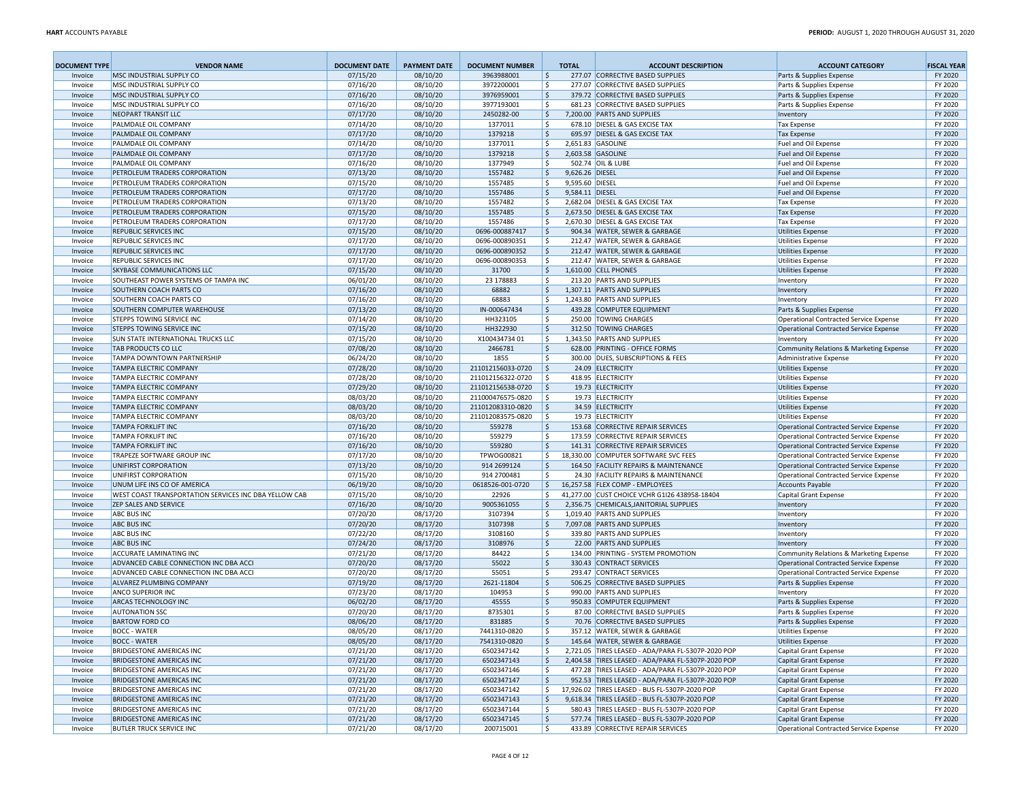| <b>DOCUMENT TYPE</b> | <b>VENDOR NAME</b>                                                                    | <b>DOCUMENT DATE</b> | <b>PAYMENT DATE</b>  | <b>DOCUMENT NUMBER</b>                 | <b>TOTAL</b>             | <b>ACCOUNT DESCRIPTION</b>                                             | <b>ACCOUNT CATEGORY</b>                              | <b>FISCAL YEAR</b> |
|----------------------|---------------------------------------------------------------------------------------|----------------------|----------------------|----------------------------------------|--------------------------|------------------------------------------------------------------------|------------------------------------------------------|--------------------|
| Invoice              | MSC INDUSTRIAL SUPPLY CO                                                              | 07/15/20             | 08/10/20             | 3963988001                             | \$                       | 277.07 CORRECTIVE BASED SUPPLIES                                       | Parts & Supplies Expense                             | FY 2020            |
| Invoice              | MSC INDUSTRIAL SUPPLY CO                                                              | 07/16/20             | 08/10/20             | 3972200001                             | \$                       | 277.07 CORRECTIVE BASED SUPPLIES                                       | Parts & Supplies Expense                             | FY 2020            |
| Invoice              | MSC INDUSTRIAL SUPPLY CO                                                              | 07/16/20             | 08/10/20             | 3976959001                             | \$                       | 379.72 CORRECTIVE BASED SUPPLIES                                       | Parts & Supplies Expense                             | FY 2020            |
| Invoice              | MSC INDUSTRIAL SUPPLY CO                                                              | 07/16/20             | 08/10/20             | 3977193001                             | \$                       | 681.23 CORRECTIVE BASED SUPPLIES                                       | Parts & Supplies Expense                             | FY 2020            |
| Invoice              | <b>NEOPART TRANSIT LLC</b>                                                            | 07/17/20             | 08/10/20             | 2450282-00                             | 5                        | 7,200.00 PARTS AND SUPPLIES                                            | Inventory                                            | FY 2020            |
| Invoice              | PALMDALE OIL COMPANY                                                                  | 07/14/20             | 08/10/20             | 1377011                                | \$                       | 678.10 DIESEL & GAS EXCISE TAX<br>695.97 DIESEL & GAS EXCISE TAX       | <b>Tax Expense</b>                                   | FY 2020            |
| Invoice<br>Invoice   | PALMDALE OIL COMPANY<br>PALMDALE OIL COMPANY                                          | 07/17/20<br>07/14/20 | 08/10/20<br>08/10/20 | 1379218<br>1377011                     | 5<br>\$                  | 2,651.83 GASOLINE                                                      | <b>Tax Expense</b><br>Fuel and Oil Expense           | FY 2020<br>FY 2020 |
| Invoice              | PALMDALE OIL COMPANY                                                                  | 07/17/20             | 08/10/20             | 1379218                                | 5                        | 2,603.58 GASOLINE                                                      | Fuel and Oil Expense                                 | FY 2020            |
| Invoice              | PALMDALE OIL COMPANY                                                                  | 07/16/20             | 08/10/20             | 1377949                                | \$                       | 502.74 OIL & LUBE                                                      | Fuel and Oil Expense                                 | FY 2020            |
| Invoice              | PETROLEUM TRADERS CORPORATION                                                         | 07/13/20             | 08/10/20             | 1557482                                | 9,626.26 DIESEL<br>l\$   |                                                                        | Fuel and Oil Expense                                 | FY 2020            |
| Invoice              | PETROLEUM TRADERS CORPORATION                                                         | 07/15/20             | 08/10/20             | 1557485                                | \$<br>9,595.60 DIESEL    |                                                                        | Fuel and Oil Expense                                 | FY 2020            |
| Invoice              | PETROLEUM TRADERS CORPORATION                                                         | 07/17/20             | 08/10/20             | 1557486                                | 5<br>9,584.11 DIESEI     |                                                                        | <b>Fuel and Oil Expense</b>                          | FY 2020            |
| Invoice              | PETROLEUM TRADERS CORPORATION                                                         | 07/13/20             | 08/10/20             | 1557482                                | \$                       | 2,682.04 DIESEL & GAS EXCISE TAX                                       | <b>Tax Expense</b>                                   | FY 2020            |
| Invoice              | PETROLEUM TRADERS CORPORATION                                                         | 07/15/20             | 08/10/20             | 1557485                                | ۱\$                      | 2,673.50 DIESEL & GAS EXCISE TAX                                       | <b>Tax Expense</b>                                   | FY 2020            |
| Invoice              | PETROLEUM TRADERS CORPORATION                                                         | 07/17/20             | 08/10/20             | 1557486                                | \$                       | 2.670.30 DIESEL & GAS EXCISE TAX                                       | <b>Tax Expense</b>                                   | FY 2020            |
| Invoice              | REPUBLIC SERVICES INC                                                                 | 07/15/20             | 08/10/20             | 0696-000887417                         | \$                       | 904.34 WATER, SEWER & GARBAGE                                          | <b>Utilities Expense</b>                             | FY 2020            |
| Invoice              | REPUBLIC SERVICES INC<br>REPUBLIC SERVICES INC                                        | 07/17/20<br>07/17/20 | 08/10/20             | 0696-000890351<br>0696-000890352       | l \$<br>۱\$              | 212.47 WATER, SEWER & GARBAGE                                          | <b>Utilities Expense</b>                             | FY 2020<br>FY 2020 |
| Invoice<br>Invoice   | REPUBLIC SERVICES INC                                                                 | 07/17/20             | 08/10/20<br>08/10/20 | 0696-000890353                         | l \$                     | 212.47 WATER, SEWER & GARBAGE<br>212.47 WATER, SEWER & GARBAGE         | <b>Utilities Expense</b><br><b>Utilities Expense</b> | FY 2020            |
| Invoice              | SKYBASE COMMUNICATIONS LLC                                                            | 07/15/20             | 08/10/20             | 31700                                  | \$                       | 1,610.00 CELL PHONES                                                   | <b>Utilities Expense</b>                             | FY 2020            |
| Invoice              | SOUTHEAST POWER SYSTEMS OF TAMPA INC                                                  | 06/01/20             | 08/10/20             | 23 178883                              | \$                       | 213.20 PARTS AND SUPPLIES                                              | Inventory                                            | FY 2020            |
| Invoice              | SOUTHERN COACH PARTS CO                                                               | 07/16/20             | 08/10/20             | 68882                                  | \$                       | 1,307.11 PARTS AND SUPPLIES                                            | Inventory                                            | FY 2020            |
| Invoice              | SOUTHERN COACH PARTS CO                                                               | 07/16/20             | 08/10/20             | 68883                                  | \$                       | 1,243.80 PARTS AND SUPPLIES                                            | Inventory                                            | FY 2020            |
| Invoice              | SOUTHERN COMPUTER WAREHOUSE                                                           | 07/13/20             | 08/10/20             | IN-000647434                           | 5                        | 439.28 COMPUTER EQUIPMENT                                              | Parts & Supplies Expense                             | FY 2020            |
| Invoice              | <b>STEPPS TOWING SERVICE INC</b>                                                      | 07/14/20             | 08/10/20             | HH323105                               | \$                       | 250.00 TOWING CHARGES                                                  | Operational Contracted Service Expense               | FY 2020            |
| Invoice              | <b>STEPPS TOWING SERVICE INC</b>                                                      | 07/15/20             | 08/10/20             | HH322930                               | \$                       | 312.50 TOWING CHARGES                                                  | Operational Contracted Service Expense               | FY 2020            |
| Invoice              | SUN STATE INTERNATIONAL TRUCKS LLC                                                    | 07/15/20             | 08/10/20             | X10043473401                           | \$                       | 1,343.50 PARTS AND SUPPLIES                                            | Inventory                                            | FY 2020            |
| Invoice              | TAB PRODUCTS CO LLC                                                                   | 07/08/20             | 08/10/20             | 2466781                                | \$                       | 628.00 PRINTING - OFFICE FORMS                                         | Community Relations & Marketing Expense              | FY 2020            |
| Invoice              | TAMPA DOWNTOWN PARTNERSHIP                                                            | 06/24/20             | 08/10/20             | 1855                                   | Ŝ.                       | 300.00 DUES, SUBSCRIPTIONS & FEES                                      | Administrative Expense                               | FY 2020            |
| Invoice              | <b>TAMPA ELECTRIC COMPANY</b>                                                         | 07/28/20             | 08/10/20             | 211012156033-0720                      | \$ ا                     | 24.09 ELECTRICITY                                                      | <b>Utilities Expense</b>                             | FY 2020            |
| Invoice              | <b>TAMPA ELECTRIC COMPANY</b><br><b>TAMPA ELECTRIC COMPANY</b>                        | 07/28/20<br>07/29/20 | 08/10/20<br>08/10/20 | 211012156322-0720<br>211012156538-0720 | ۱\$<br>  \$              | 418.95 ELECTRICITY<br>19.73 ELECTRICITY                                | <b>Utilities Expense</b><br><b>Utilities Expense</b> | FY 2020<br>FY 2020 |
| Invoice<br>Invoice   | <b>TAMPA ELECTRIC COMPANY</b>                                                         | 08/03/20             | 08/10/20             | 211000476575-0820                      | Ŝ.                       | 19.73 ELECTRICITY                                                      | <b>Utilities Expense</b>                             | FY 2020            |
| Invoice              | <b>TAMPA ELECTRIC COMPANY</b>                                                         | 08/03/20             | 08/10/20             | 211012083310-0820                      | ا \$                     | 34.59 ELECTRICITY                                                      | <b>Utilities Expense</b>                             | FY 2020            |
| Invoice              | <b>TAMPA ELECTRIC COMPANY</b>                                                         | 08/03/20             | 08/10/20             | 211012083575-0820                      | ۱\$                      | 19.73 ELECTRICITY                                                      | <b>Utilities Expense</b>                             | FY 2020            |
| Invoice              | <b>TAMPA FORKLIFT INC</b>                                                             | 07/16/20             | 08/10/20             | 559278                                 | \$                       | 153.68 CORRECTIVE REPAIR SERVICES                                      | Operational Contracted Service Expense               | FY 2020            |
| Invoice              | <b>TAMPA FORKLIFT INC</b>                                                             | 07/16/20             | 08/10/20             | 559279                                 | Ŝ.                       | 173.59 CORRECTIVE REPAIR SERVICES                                      | Operational Contracted Service Expense               | FY 2020            |
| Invoice              | <b>TAMPA FORKLIFT INC</b>                                                             | 07/16/20             | 08/10/20             | 559280                                 | 5                        | 141.31 CORRECTIVE REPAIR SERVICES                                      | Operational Contracted Service Expense               | FY 2020            |
| Invoice              | TRAPEZE SOFTWARE GROUP INC                                                            | 07/17/20             | 08/10/20             | TPWOG00821                             | \$                       | 18,330.00 COMPUTER SOFTWARE SVC FEES                                   | Operational Contracted Service Expense               | FY 2020            |
| Invoice              | UNIFIRST CORPORATION                                                                  | 07/13/20             | 08/10/20             | 914 2699124                            | 5                        | 164.50 FACILITY REPAIRS & MAINTENANCE                                  | Operational Contracted Service Expense               | FY 2020            |
| Invoice              | UNIFIRST CORPORATION                                                                  | 07/15/20             | 08/10/20             | 914 2700481                            | l \$                     | 24.30 FACILITY REPAIRS & MAINTENANCE                                   | Operational Contracted Service Expense               | FY 2020            |
| Invoice              | UNUM LIFE INS CO OF AMERICA                                                           | 06/19/20             | 08/10/20             | 0618526-001-0720                       | ۱\$                      | 16,257.58 FLEX COMP - EMPLOYEES                                        | <b>Accounts Payable</b>                              | FY 2020            |
| Invoice              | WEST COAST TRANSPORTATION SERVICES INC DBA YELLOW CAB<br><b>ZEP SALES AND SERVICE</b> | 07/15/20<br>07/16/20 | 08/10/20<br>08/10/20 | 22926<br>9005361055                    | \$<br>l\$                | 41,277.00 CUST CHOICE VCHR G1I26 438958-18404                          | Capital Grant Expense                                | FY 2020<br>FY 2020 |
| Invoice<br>Invoice   | <b>ABC BUS INC</b>                                                                    | 07/20/20             | 08/17/20             | 3107394                                | \$                       | 2,356.75 CHEMICALS, JANITORIAL SUPPLIES<br>1,019.40 PARTS AND SUPPLIES | Inventory<br>Inventory                               | FY 2020            |
| Invoice              | <b>ABC BUS INC</b>                                                                    | 07/20/20             | 08/17/20             | 3107398                                | 5                        | 7,097.08 PARTS AND SUPPLIES                                            | Inventory                                            | FY 2020            |
| Invoice              | <b>ABC BUS INC</b>                                                                    | 07/22/20             | 08/17/20             | 3108160                                | \$                       | 339.80 PARTS AND SUPPLIES                                              | Inventory                                            | FY 2020            |
| Invoice              | <b>ABC BUS INC</b>                                                                    | 07/24/20             | 08/17/20             | 3108976                                | \$                       | 22.00 PARTS AND SUPPLIES                                               | Inventory                                            | FY 2020            |
| Invoice              | <b>ACCURATE LAMINATING INC</b>                                                        | 07/21/20             | 08/17/20             | 84422                                  | \$                       | 134.00 PRINTING - SYSTEM PROMOTION                                     | Community Relations & Marketing Expense              | FY 2020            |
| Invoice              | ADVANCED CABLE CONNECTION INC DBA ACCI                                                | 07/20/20             | 08/17/20             | 55022                                  | 5                        | 330.43 CONTRACT SERVICES                                               | Operational Contracted Service Expense               | FY 2020            |
| Invoice              | ADVANCED CABLE CONNECTION INC DBA ACCI                                                | 07/20/20             | 08/17/20             | 55051                                  | \$                       | 293.47 CONTRACT SERVICES                                               | Operational Contracted Service Expense               | FY 2020            |
| Invoice              | ALVAREZ PLUMBING COMPANY                                                              | 07/19/20             | 08/17/20             | 2621-11804                             | ۱\$                      | 506.25 CORRECTIVE BASED SUPPLIES                                       | Parts & Supplies Expense                             | FY 2020            |
| Invoice              | ANCO SUPERIOR INC                                                                     | 07/23/20             | 08/17/20             | 104953                                 | \$                       | 990.00 PARTS AND SUPPLIES                                              | Inventory                                            | FY 2020            |
| Invoice              | ARCAS TECHNOLOGY INC                                                                  | 06/02/20             | 08/17/20             | 45555                                  | $\mathsf{\hat{S}}$       | 950.83 COMPUTER EQUIPMENT                                              | Parts & Supplies Expense                             | FY 2020            |
| Invoice              | <b>AUTONATION SSC</b><br><b>BARTOW FORD CO</b>                                        | 07/20/20             | 08/17/20             | 8735301<br>831885                      | \$<br>$\mathsf{\hat{S}}$ | 87.00 CORRECTIVE BASED SUPPLIES<br>70.76 CORRECTIVE BASED SUPPLIES     | Parts & Supplies Expense                             | FY 2020            |
| Invoice<br>Invoice   |                                                                                       | 08/06/20<br>08/05/20 | 08/17/20             |                                        | ΙS                       |                                                                        | Parts & Supplies Expense                             | FY 2020            |
| Invoice              | BOCC - WATER<br><b>BOCC - WATER</b>                                                   | 08/05/20             | 08/17/20<br>08/17/20 | 7441310-0820<br>7541310-0820           | \$                       | 357.12 WATER, SEWER & GARBAGE<br>145.64 WATER, SEWER & GARBAGE         | <b>Utilities Expense</b><br><b>Utilities Expense</b> | FY 2020<br>FY 2020 |
| Invoice              | <b>BRIDGESTONE AMERICAS INC</b>                                                       | 07/21/20             | 08/17/20             | 6502347142                             | \$                       | 2,721.05 TIRES LEASED - ADA/PARA FL-5307P-2020 POP                     | Capital Grant Expense                                | FY 2020            |
| Invoice              | <b>BRIDGESTONE AMERICAS INC</b>                                                       | 07/21/20             | 08/17/20             | 6502347143                             | \$                       | 2,404.58 TIRES LEASED - ADA/PARA FL-5307P-2020 POP                     | Capital Grant Expense                                | FY 2020            |
| Invoice              | <b>BRIDGESTONE AMERICAS INC</b>                                                       | 07/21/20             | 08/17/20             | 6502347146                             | \$                       | 477.28 TIRES LEASED - ADA/PARA FL-5307P-2020 POP                       | Capital Grant Expense                                | FY 2020            |
| Invoice              | <b>BRIDGESTONE AMERICAS INC</b>                                                       | 07/21/20             | 08/17/20             | 6502347147                             | 5                        | 952.53 TIRES LEASED - ADA/PARA FL-5307P-2020 POP                       | Capital Grant Expense                                | FY 2020            |
| Invoice              | <b>BRIDGESTONE AMERICAS INC</b>                                                       | 07/21/20             | 08/17/20             | 6502347142                             | \$                       | 17,926.02 TIRES LEASED - BUS FL-5307P-2020 POP                         | Capital Grant Expense                                | FY 2020            |
| Invoice              | <b>BRIDGESTONE AMERICAS INC</b>                                                       | 07/21/20             | 08/17/20             | 6502347143                             | \$                       | 9.618.34 TIRES LEASED - BUS FL-5307P-2020 POP                          | Capital Grant Expense                                | FY 2020            |
| Invoice              | <b>BRIDGESTONE AMERICAS INC</b>                                                       | 07/21/20             | 08/17/20             | 6502347144                             | \$                       | 580.43 TIRES LEASED - BUS FL-5307P-2020 POP                            | Capital Grant Expense                                | FY 2020            |
| Invoice              | <b>BRIDGESTONE AMERICAS INC</b>                                                       | 07/21/20             | 08/17/20             | 6502347145                             | \$                       | 577.74 TIRES LEASED - BUS FL-5307P-2020 POP                            | Capital Grant Expense                                | FY 2020            |
| Invoice              | <b>BUTLER TRUCK SERVICE INC</b>                                                       | 07/21/20             | 08/17/20             | 200715001                              | l \$                     | 433.89 CORRECTIVE REPAIR SERVICES                                      | Operational Contracted Service Expense               | FY 2020            |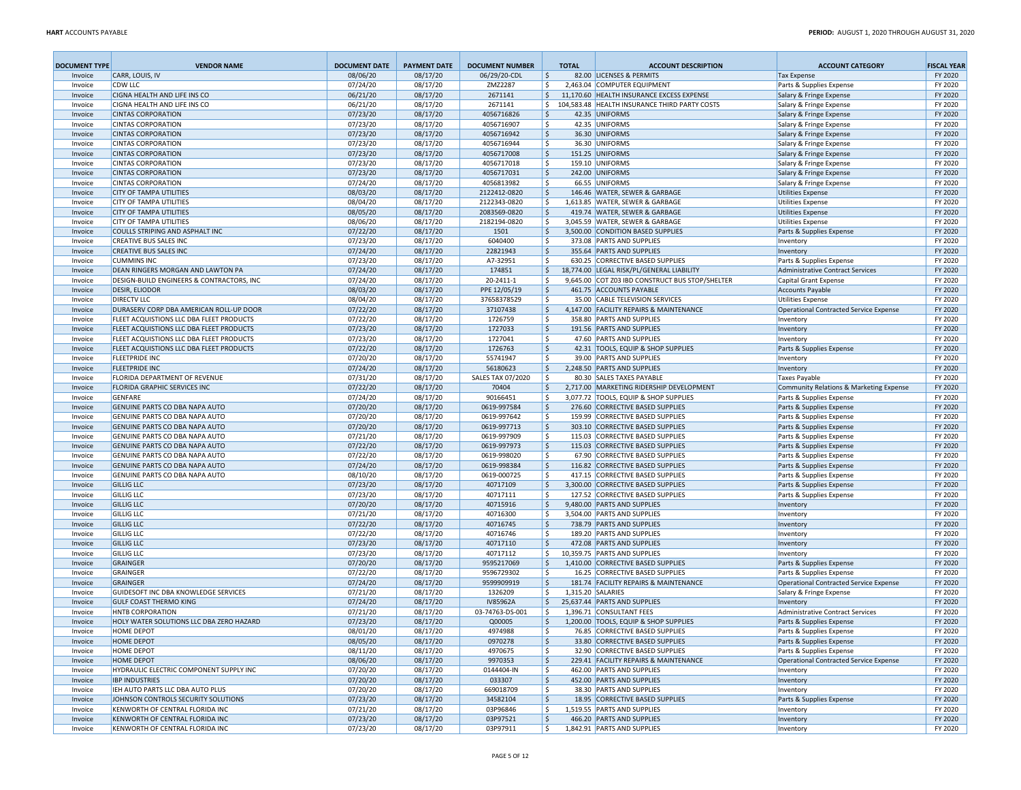| <b>DOCUMENT TYPE</b> | <b>VENDOR NAME</b>                                                                  | <b>DOCUMENT DATE</b> | <b>PAYMENT DATE</b>  | <b>DOCUMENT NUMBER</b>   | <b>TOTAL</b> | <b>ACCOUNT DESCRIPTION</b>                                           | <b>ACCOUNT CATEGORY</b>                              | <b>FISCAL YEAR</b> |
|----------------------|-------------------------------------------------------------------------------------|----------------------|----------------------|--------------------------|--------------|----------------------------------------------------------------------|------------------------------------------------------|--------------------|
| Invoice              | CARR, LOUIS, IV                                                                     | 08/06/20             | 08/17/20             | 06/29/20-CDL             | \$           | 82.00 LICENSES & PERMITS                                             | <b>Tax Expense</b>                                   | FY 2020            |
| Invoice              | <b>CDW LLC</b>                                                                      | 07/24/20             | 08/17/20             | ZMZ2287                  | \$           | 2,463.04 COMPUTER EQUIPMENT                                          | Parts & Supplies Expense                             | FY 2020            |
| Invoice              | <b>CIGNA HEALTH AND LIFE INS CO</b>                                                 | 06/21/20             | 08/17/20             | 2671141                  | 5            | 11.170.60 HEALTH INSURANCE EXCESS EXPENSE                            | Salary & Fringe Expense                              | FY 2020            |
| Invoice              | CIGNA HEALTH AND LIFE INS CO                                                        | 06/21/20             | 08/17/20             | 2671141                  | \$           | 104,583.48 HEALTH INSURANCE THIRD PARTY COSTS                        | Salary & Fringe Expense                              | FY 2020            |
| Invoice              | <b>CINTAS CORPORATION</b>                                                           | 07/23/20             | 08/17/20             | 4056716826               | 5            | 42.35 UNIFORMS                                                       | Salary & Fringe Expense                              | FY 2020            |
| Invoice              | <b>CINTAS CORPORATION</b>                                                           | 07/23/20             | 08/17/20             | 4056716907               | l \$         | 42.35 UNIFORMS                                                       | Salary & Fringe Expense                              | FY 2020            |
| Invoice              | <b>CINTAS CORPORATION</b>                                                           | 07/23/20             | 08/17/20             | 4056716942               | \$           | 36.30 UNIFORMS                                                       | Salary & Fringe Expense                              | FY 2020            |
| Invoice              | <b>CINTAS CORPORATION</b><br><b>CINTAS CORPORATION</b>                              | 07/23/20             | 08/17/20             | 4056716944               | \$           | 36.30 UNIFORMS<br>151.25 UNIFORMS                                    | Salary & Fringe Expense                              | FY 2020<br>FY 2020 |
| Invoice<br>Invoice   | <b>CINTAS CORPORATION</b>                                                           | 07/23/20<br>07/23/20 | 08/17/20<br>08/17/20 | 4056717008<br>4056717018 | \$<br>  \$   | 159.10 UNIFORMS                                                      | Salary & Fringe Expense<br>Salary & Fringe Expense   | FY 2020            |
| Invoice              | <b>CINTAS CORPORATION</b>                                                           | 07/23/20             | 08/17/20             | 4056717031               | 5            | 242.00 UNIFORMS                                                      | Salary & Fringe Expense                              | FY 2020            |
| Invoice              | <b>CINTAS CORPORATION</b>                                                           | 07/24/20             | 08/17/20             | 4056813982               | \$           | 66.55 UNIFORMS                                                       | Salary & Fringe Expense                              | FY 2020            |
| Invoice              | <b>CITY OF TAMPA UTILITIES</b>                                                      | 08/03/20             | 08/17/20             | 2122412-0820             | \$           | 146.46 WATER, SEWER & GARBAGE                                        | <b>Utilities Expense</b>                             | FY 2020            |
| Invoice              | <b>CITY OF TAMPA UTILITIES</b>                                                      | 08/04/20             | 08/17/20             | 2122343-0820             | \$           | 1,613.85 WATER, SEWER & GARBAGE                                      | <b>Utilities Expense</b>                             | FY 2020            |
| Invoice              | <b>CITY OF TAMPA UTILITIES</b>                                                      | 08/05/20             | 08/17/20             | 2083569-0820             | \$           | 419.74 WATER, SEWER & GARBAGE                                        | <b>Utilities Expense</b>                             | FY 2020            |
| Invoice              | <b>CITY OF TAMPA UTILITIES</b>                                                      | 08/06/20             | 08/17/20             | 2182194-0820             | \$           | 3,045.59 WATER, SEWER & GARBAGE                                      | <b>Utilities Expense</b>                             | FY 2020            |
| Invoice              | COULLS STRIPING AND ASPHALT INC                                                     | 07/22/20             | 08/17/20             | 1501                     | \$           | 3,500.00 CONDITION BASED SUPPLIES                                    | Parts & Supplies Expense                             | FY 2020            |
| Invoice              | <b>CREATIVE BUS SALES INC</b>                                                       | 07/23/20             | 08/17/20             | 6040400                  | Ŝ.           | 373.08 PARTS AND SUPPLIES                                            | Inventory                                            | FY 2020            |
| Invoice              | <b>CREATIVE BUS SALES INC</b>                                                       | 07/24/20             | 08/17/20             | 22821943                 | \$           | 355.64 PARTS AND SUPPLIES                                            | Inventory                                            | FY 2020            |
| Invoice              | <b>CUMMINS INC</b>                                                                  | 07/23/20             | 08/17/20             | A7-32951                 | \$           | 630.25 CORRECTIVE BASED SUPPLIES                                     | Parts & Supplies Expense                             | FY 2020            |
| Invoice              | DEAN RINGERS MORGAN AND LAWTON PA                                                   | 07/24/20             | 08/17/20             | 174851                   | \$           | 18,774.00 LEGAL RISK/PL/GENERAL LIABILITY                            | Administrative Contract Services                     | FY 2020            |
| Invoice              | DESIGN-BUILD ENGINEERS & CONTRACTORS, INC                                           | 07/24/20             | 08/17/20             | 20-2411-1                | \$           | 9,645.00 COT Z03 IBD CONSTRUCT BUS STOP/SHELTER                      | Capital Grant Expense                                | FY 2020            |
| Invoice              | <b>DESIR, ELIODOR</b>                                                               | 08/03/20             | 08/17/20             | PPE 12/05/19             | 5            | 461.75 ACCOUNTS PAYABLE                                              | <b>Accounts Payable</b>                              | FY 2020            |
| Invoice              | <b>DIRECTV LLC</b>                                                                  | 08/04/20             | 08/17/20             | 37658378529              | \$           | 35.00 CABLE TELEVISION SERVICES                                      | <b>Utilities Expense</b>                             | FY 2020            |
| Invoice              | DURASERV CORP DBA AMERICAN ROLL-UP DOOR<br>FLEET ACQUISTIONS LLC DBA FLEET PRODUCTS | 07/22/20<br>07/22/20 | 08/17/20<br>08/17/20 | 37107438<br>1726759      | 5<br>Ŝ.      | 4,147.00 FACILITY REPAIRS & MAINTENANCE<br>358.80 PARTS AND SUPPLIES | Operational Contracted Service Expense               | FY 2020<br>FY 2020 |
| Invoice<br>Invoice   | FLEET ACQUISTIONS LLC DBA FLEET PRODUCTS                                            | 07/23/20             | 08/17/20             | 1727033                  | \$           | 191.56 PARTS AND SUPPLIES                                            | Inventory<br>Inventory                               | FY 2020            |
| Invoice              | FLEET ACQUISTIONS LLC DBA FLEET PRODUCTS                                            | 07/23/20             | 08/17/20             | 1727041                  | \$           | 47.60 PARTS AND SUPPLIES                                             | Inventory                                            | FY 2020            |
| Invoice              | FLEET ACQUISTIONS LLC DBA FLEET PRODUCTS                                            | 07/22/20             | 08/17/20             | 1726763                  | 5            | 42.31 TOOLS, EQUIP & SHOP SUPPLIES                                   | Parts & Supplies Expense                             | FY 2020            |
| Invoice              | <b>FLEETPRIDE INC</b>                                                               | 07/20/20             | 08/17/20             | 55741947                 | \$           | 39.00 PARTS AND SUPPLIES                                             | Inventory                                            | FY 2020            |
| Invoice              | <b>FLEETPRIDE INC</b>                                                               | 07/24/20             | 08/17/20             | 56180623                 | 5            | 2,248.50 PARTS AND SUPPLIES                                          | Inventory                                            | FY 2020            |
| Invoice              | FLORIDA DEPARTMENT OF REVENUE                                                       | 07/31/20             | 08/17/20             | <b>SALES TAX 07/2020</b> | l s          | 80.30 SALES TAXES PAYABLE                                            | <b>Taxes Payable</b>                                 | FY 2020            |
| Invoice              | FLORIDA GRAPHIC SERVICES INC                                                        | 07/22/20             | 08/17/20             | 70404                    | \$           | 2,717.00 MARKETING RIDERSHIP DEVELOPMENT                             | Community Relations & Marketing Expense              | FY 2020            |
| Invoice              | <b>GENFARE</b>                                                                      | 07/24/20             | 08/17/20             | 90166451                 | \$           | 3.077.72 TOOLS. EQUIP & SHOP SUPPLIES                                | Parts & Supplies Expense                             | FY 2020            |
| Invoice              | GENUINE PARTS CO DBA NAPA AUTO                                                      | 07/20/20             | 08/17/20             | 0619-997584              | \$           | 276.60 CORRECTIVE BASED SUPPLIES                                     | Parts & Supplies Expense                             | FY 2020            |
| Invoice              | GENUINE PARTS CO DBA NAPA AUTO                                                      | 07/20/20             | 08/17/20             | 0619-997642              | \$           | 159.99 CORRECTIVE BASED SUPPLIES                                     | Parts & Supplies Expense                             | FY 2020            |
| Invoice              | GENUINE PARTS CO DBA NAPA AUTO                                                      | 07/20/20             | 08/17/20             | 0619-997713              | \$           | 303.10 CORRECTIVE BASED SUPPLIES                                     | Parts & Supplies Expense                             | FY 2020            |
| Invoice              | GENUINE PARTS CO DBA NAPA AUTO                                                      | 07/21/20             | 08/17/20             | 0619-997909              | \$           | 115.03 CORRECTIVE BASED SUPPLIES                                     | Parts & Supplies Expense                             | FY 2020            |
| Invoice              | GENUINE PARTS CO DBA NAPA AUTO                                                      | 07/22/20             | 08/17/20             | 0619-997973              | \$           | 115.03 CORRECTIVE BASED SUPPLIES                                     | Parts & Supplies Expense                             | FY 2020            |
| Invoice              | GENUINE PARTS CO DBA NAPA AUTO                                                      | 07/22/20             | 08/17/20             | 0619-998020              | \$           | 67.90 CORRECTIVE BASED SUPPLIES                                      | Parts & Supplies Expense                             | FY 2020            |
| Invoice              | GENUINE PARTS CO DBA NAPA AUTO                                                      | 07/24/20<br>08/10/20 | 08/17/20<br>08/17/20 | 0619-998384              | \$<br>\$     | 116.82 CORRECTIVE BASED SUPPLIES<br>417.15 CORRECTIVE BASED SUPPLIES | Parts & Supplies Expense                             | FY 2020<br>FY 2020 |
| Invoice<br>Invoice   | GENUINE PARTS CO DBA NAPA AUTO<br><b>GILLIG LLC</b>                                 | 07/23/20             | 08/17/20             | 0619-000725<br>40717109  | 5            | 3,300.00 CORRECTIVE BASED SUPPLIES                                   | Parts & Supplies Expense<br>Parts & Supplies Expense | FY 2020            |
| Invoice              | <b>GILLIG LLC</b>                                                                   | 07/23/20             | 08/17/20             | 40717111                 | \$           | 127.52 CORRECTIVE BASED SUPPLIES                                     | Parts & Supplies Expense                             | FY 2020            |
| Invoice              | <b>GILLIG LLC</b>                                                                   | 07/20/20             | 08/17/20             | 40715916                 | 5            | 9,480.00 PARTS AND SUPPLIES                                          | Inventory                                            | FY 2020            |
| Invoice              | <b>GILLIG LLC</b>                                                                   | 07/21/20             | 08/17/20             | 40716300                 | \$           | 3,504.00 PARTS AND SUPPLIES                                          | Inventory                                            | FY 2020            |
| Invoice              | <b>GILLIG LLC</b>                                                                   | 07/22/20             | 08/17/20             | 40716745                 | 5            | 738.79 PARTS AND SUPPLIES                                            | Inventory                                            | FY 2020            |
| Invoice              | <b>GILLIG LLC</b>                                                                   | 07/22/20             | 08/17/20             | 40716746                 | \$           | 189.20 PARTS AND SUPPLIES                                            | Inventory                                            | FY 2020            |
| Invoice              | <b>GILLIG LLC</b>                                                                   | 07/23/20             | 08/17/20             | 40717110                 | l\$          | 472.08 PARTS AND SUPPLIES                                            | Inventory                                            | FY 2020            |
| Invoice              | <b>GILLIG LLC</b>                                                                   | 07/23/20             | 08/17/20             | 40717112                 | \$           | 10,359.75 PARTS AND SUPPLIES                                         | Inventory                                            | FY 2020            |
| Invoice              | <b>GRAINGER</b>                                                                     | 07/20/20             | 08/17/20             | 9595217069               | 5            | 1,410.00 CORRECTIVE BASED SUPPLIES                                   | Parts & Supplies Expense                             | FY 2020            |
| Invoice              | <b>GRAINGER</b>                                                                     | 07/22/20             | 08/17/20             | 9596729302               | \$           | 16.25 CORRECTIVE BASED SUPPLIES                                      | Parts & Supplies Expense                             | FY 2020            |
| Invoice              | <b>GRAINGER</b>                                                                     | 07/24/20             | 08/17/20             | 9599909919               | 5            | 181.74 FACILITY REPAIRS & MAINTENANCE                                | Operational Contracted Service Expense               | FY 2020            |
| Invoice              | GUIDESOFT INC DBA KNOWLEDGE SERVICES                                                | 07/21/20             | 08/17/20             | 1326209                  | l \$         | 1,315.20 SALARIES                                                    | Salary & Fringe Expense                              | FY 2020            |
| Invoice              | <b>GULF COAST THERMO KING</b>                                                       | 07/24/20             | 08/17/20             | IV85962A                 | 5            | 25,637.44 PARTS AND SUPPLIES                                         | Inventory                                            | FY 2020            |
| Invoice              | <b>HNTB CORPORATION</b>                                                             | 07/21/20             | 08/17/20             | 03-74763-DS-001          | l \$         | 1.396.71 CONSULTANT FEES<br>1,200.00 TOOLS, EQUIP & SHOP SUPPLIES    | <b>Administrative Contract Services</b>              | FY 2020<br>FY 2020 |
| Invoice              | HOLY WATER SOLUTIONS LLC DBA ZERO HAZARD                                            | 07/23/20             | 08/17/20             | Q00005                   | l\$          | 76.85 CORRECTIVE BASED SUPPLIES                                      | Parts & Supplies Expense                             |                    |
| Invoice<br>Invoice   | <b>HOME DEPOT</b><br><b>HOME DEPOT</b>                                              | 08/01/20<br>08/05/20 | 08/17/20<br>08/17/20 | 4974988<br>0970278       | -\$<br> \$   | 33.80 CORRECTIVE BASED SUPPLIES                                      | Parts & Supplies Expense<br>Parts & Supplies Expense | FY 2020<br>FY 2020 |
| Invoice              | <b>HOME DEPOT</b>                                                                   | 08/11/20             | 08/17/20             | 4970675                  | \$           | 32.90 CORRECTIVE BASED SUPPLIES                                      | Parts & Supplies Expense                             | FY 2020            |
| Invoice              | <b>HOME DEPOT</b>                                                                   | 08/06/20             | 08/17/20             | 9970353                  | \$           | 229.41 FACILITY REPAIRS & MAINTENANCE                                | Operational Contracted Service Expense               | FY 2020            |
| Invoice              | HYDRAULIC ELECTRIC COMPONENT SUPPLY INC                                             | 07/20/20             | 08/17/20             | 0144404-IN               | \$           | 462.00 PARTS AND SUPPLIES                                            | Inventory                                            | FY 2020            |
| Invoice              | <b>IBP INDUSTRIES</b>                                                               | 07/20/20             | 08/17/20             | 033307                   | \$           | 452.00 PARTS AND SUPPLIES                                            | Inventory                                            | FY 2020            |
| Invoice              | IEH AUTO PARTS LLC DBA AUTO PLUS                                                    | 07/20/20             | 08/17/20             | 669018709                | \$           | 38.30 PARTS AND SUPPLIES                                             | Inventory                                            | FY 2020            |
| Invoice              | JOHNSON CONTROLS SECURITY SOLUTIONS                                                 | 07/23/20             | 08/17/20             | 34582104                 | 5            | 18.95 CORRECTIVE BASED SUPPLIES                                      | Parts & Supplies Expense                             | FY 2020            |
| Invoice              | KENWORTH OF CENTRAL FLORIDA INC                                                     | 07/21/20             | 08/17/20             | 03P96846                 | \$           | 1,519.55 PARTS AND SUPPLIES                                          | Inventory                                            | FY 2020            |
| Invoice              | KENWORTH OF CENTRAL FLORIDA INC                                                     | 07/23/20             | 08/17/20             | 03P97521                 | \$           | 466.20 PARTS AND SUPPLIES                                            | Inventory                                            | FY 2020            |
| Invoice              | KENWORTH OF CENTRAL FLORIDA INC                                                     | 07/23/20             | 08/17/20             | 03P97911                 | l \$         | 1,842.91 PARTS AND SUPPLIES                                          | Inventory                                            | FY 2020            |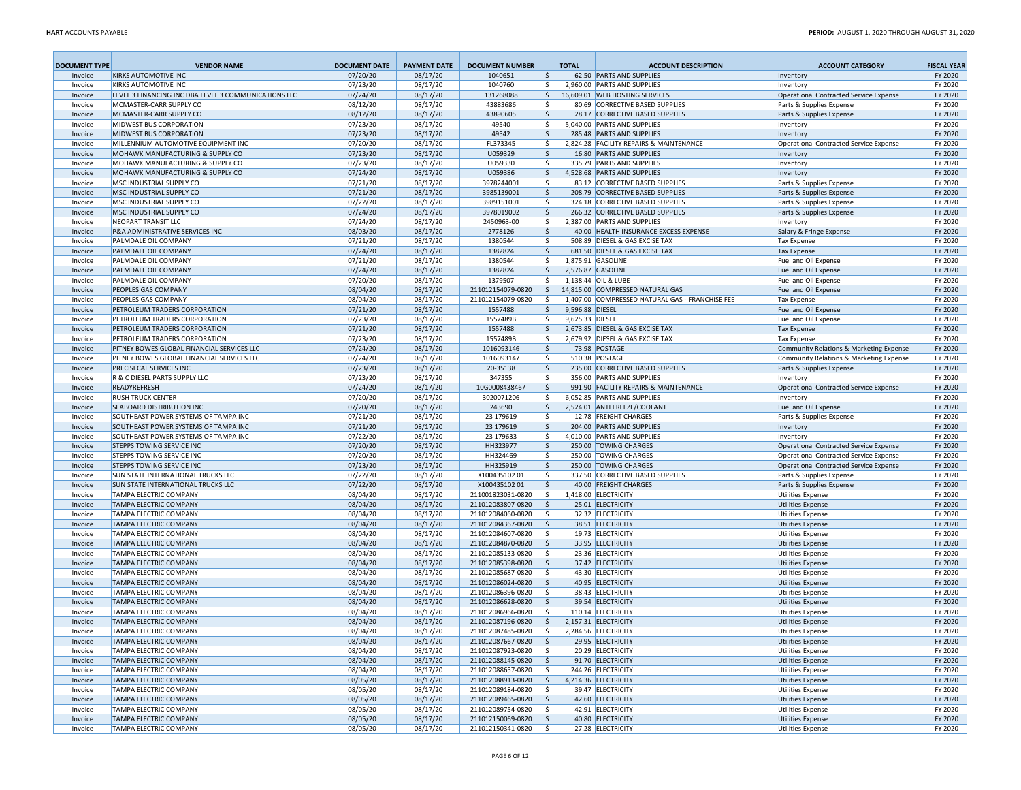| <b>DOCUMENT TYPE</b> | <b>VENDOR NAME</b>                                                           | <b>DOCUMENT DATE</b> | <b>PAYMENT DATE</b>  | <b>DOCUMENT NUMBER</b>                 |                          | <b>TOTAL</b>    | <b>ACCOUNT DESCRIPTION</b>                                          | <b>ACCOUNT CATEGORY</b>                              | <b>FISCAL YEAR</b> |
|----------------------|------------------------------------------------------------------------------|----------------------|----------------------|----------------------------------------|--------------------------|-----------------|---------------------------------------------------------------------|------------------------------------------------------|--------------------|
| Invoice              | <b>KIRKS AUTOMOTIVE INC</b>                                                  | 07/20/20             | 08/17/20             | 1040651                                | \$                       |                 | 62.50 PARTS AND SUPPLIES                                            | Inventory                                            | FY 2020            |
| Invoice              | <b>KIRKS AUTOMOTIVE INC</b>                                                  | 07/23/20             | 08/17/20             | 1040760                                | \$                       |                 | 2.960.00 PARTS AND SUPPLIES                                         | Inventory                                            | FY 2020            |
| Invoice              | LEVEL 3 FINANCING INC DBA LEVEL 3 COMMUNICATIONS LLC                         | 07/24/20             | 08/17/20             | 131268088                              | \$                       |                 | 16,609.01 WEB HOSTING SERVICES                                      | Operational Contracted Service Expense               | FY 2020            |
| Invoice              | MCMASTER-CARR SUPPLY CO                                                      | 08/12/20             | 08/17/20             | 43883686                               | \$                       |                 | 80.69 CORRECTIVE BASED SUPPLIES                                     | Parts & Supplies Expense                             | FY 2020            |
| Invoice              | MCMASTER-CARR SUPPLY CO                                                      | 08/12/20             | 08/17/20             | 43890605                               | $\ddot{\varsigma}$       |                 | 28.17 CORRECTIVE BASED SUPPLIES                                     | Parts & Supplies Expense                             | FY 2020            |
| Invoice              | <b>MIDWEST BUS CORPORATION</b>                                               | 07/23/20             | 08/17/20             | 49540                                  | \$                       |                 | 5.040.00 PARTS AND SUPPLIES                                         | Inventory                                            | FY 2020            |
| Invoice              | <b>MIDWEST BUS CORPORATION</b>                                               | 07/23/20             | 08/17/20             | 49542                                  | \$                       |                 | 285.48 PARTS AND SUPPLIES                                           | Inventory                                            | FY 2020            |
| Invoice              | MILLENNIUM AUTOMOTIVE EQUIPMENT INC                                          | 07/20/20             | 08/17/20             | FL373345                               | \$                       |                 | 2,824.28 FACILITY REPAIRS & MAINTENANCE                             | Operational Contracted Service Expense               | FY 2020            |
| Invoice              | <b>MOHAWK MANUFACTURING &amp; SUPPLY CO</b>                                  | 07/23/20             | 08/17/20             | U059329                                | $\zeta$                  |                 | 16.80 PARTS AND SUPPLIES                                            | Inventory                                            | FY 2020            |
| Invoice              | MOHAWK MANUFACTURING & SUPPLY CO                                             | 07/23/20             | 08/17/20             | U059330                                | \$                       |                 | 335.79 PARTS AND SUPPLIES                                           | Inventory                                            | FY 2020            |
| Invoice              | MOHAWK MANUFACTURING & SUPPLY CO                                             | 07/24/20             | 08/17/20             | U059386                                | \$                       |                 | 4,528.68 PARTS AND SUPPLIES                                         | Inventory                                            | FY 2020            |
| Invoice<br>Invoice   | MSC INDUSTRIAL SUPPLY CO<br>MSC INDUSTRIAL SUPPLY CO                         | 07/21/20<br>07/21/20 | 08/17/20<br>08/17/20 | 3978244001<br>3985139001               | \$<br>$\ddot{\varsigma}$ |                 | 83.12 CORRECTIVE BASED SUPPLIES<br>208.79 CORRECTIVE BASED SUPPLIES | Parts & Supplies Expense<br>Parts & Supplies Expense | FY 2020<br>FY 2020 |
| Invoice              | MSC INDUSTRIAL SUPPLY CO                                                     | 07/22/20             | 08/17/20             | 3989151001                             | \$                       |                 | 324.18 CORRECTIVE BASED SUPPLIES                                    | Parts & Supplies Expense                             | FY 2020            |
| Invoice              | MSC INDUSTRIAL SUPPLY CO                                                     | 07/24/20             | 08/17/20             | 3978019002                             | \$                       |                 | 266.32 CORRECTIVE BASED SUPPLIES                                    | Parts & Supplies Expense                             | FY 2020            |
| Invoice              | NEOPART TRANSIT LLC                                                          | 07/24/20             | 08/17/20             | 2450963-00                             | l\$                      |                 | 2.387.00 PARTS AND SUPPLIES                                         | Inventory                                            | FY 2020            |
| Invoice              | <b>P&amp;A ADMINISTRATIVE SERVICES INC</b>                                   | 08/03/20             | 08/17/20             | 2778126                                | l\$                      |                 | 40.00 HEALTH INSURANCE EXCESS EXPENSE                               | Salary & Fringe Expense                              | FY 2020            |
| Invoice              | PALMDALE OIL COMPANY                                                         | 07/21/20             | 08/17/20             | 1380544                                | l\$                      |                 | 508.89 DIESEL & GAS EXCISE TAX                                      | Tax Expense                                          | FY 2020            |
| Invoice              | PALMDALE OIL COMPANY                                                         | 07/24/20             | 08/17/20             | 1382824                                | l \$                     |                 | 681.50 DIESEL & GAS EXCISE TAX                                      | <b>Tax Expense</b>                                   | FY 2020            |
| Invoice              | PALMDALE OIL COMPANY                                                         | 07/21/20             | 08/17/20             | 1380544                                | l\$                      |                 | 1,875.91 GASOLINE                                                   | Fuel and Oil Expense                                 | FY 2020            |
| Invoice              | PALMDALE OIL COMPANY                                                         | 07/24/20             | 08/17/20             | 1382824                                | $\ddot{\varsigma}$       |                 | 2,576.87 GASOLINE                                                   | Fuel and Oil Expense                                 | FY 2020            |
| Invoice              | PALMDALE OIL COMPANY                                                         | 07/20/20             | 08/17/20             | 1379507                                | Ŝ.                       |                 | 1,138.44 OIL & LUBE                                                 | Fuel and Oil Expense                                 | FY 2020            |
| Invoice              | <b>PEOPLES GAS COMPANY</b>                                                   | 08/04/20             | 08/17/20             | 211012154079-0820                      | I\$                      |                 | 14,815.00 COMPRESSED NATURAL GAS                                    | Fuel and Oil Expense                                 | FY 2020            |
| Invoice              | PEOPLES GAS COMPANY                                                          | 08/04/20             | 08/17/20             | 211012154079-0820                      | ۱\$                      |                 | 1,407.00 COMPRESSED NATURAL GAS - FRANCHISE FEE                     | <b>Tax Expense</b>                                   | FY 2020            |
| Invoice              | PETROLEUM TRADERS CORPORATION                                                | 07/21/20             | 08/17/20             | 1557488                                | \$                       | 9,596.88 DIESEL |                                                                     | Fuel and Oil Expense                                 | FY 2020            |
| Invoice              | PETROLEUM TRADERS CORPORATION                                                | 07/23/20             | 08/17/20             | 1557489B                               | \$                       | 9,625.33 DIESEL |                                                                     | Fuel and Oil Expense                                 | FY 2020            |
| Invoice              | PETROLEUM TRADERS CORPORATION                                                | 07/21/20             | 08/17/20             | 1557488                                | \$                       |                 | 2,673.85 DIESEL & GAS EXCISE TAX                                    | Tax Expense                                          | FY 2020            |
| Invoice              | PETROLEUM TRADERS CORPORATION                                                | 07/23/20             | 08/17/20             | 1557489B                               | \$                       |                 | 2,679.92 DIESEL & GAS EXCISE TAX                                    | Tax Expense                                          | FY 2020            |
| Invoice              | PITNEY BOWES GLOBAL FINANCIAL SERVICES LLC                                   | 07/24/20             | 08/17/20             | 1016093146                             | $\ddot{\varsigma}$       |                 | 73.98 POSTAGE                                                       | Community Relations & Marketing Expense              | FY 2020            |
| Invoice              | PITNEY BOWES GLOBAL FINANCIAL SERVICES LLC                                   | 07/24/20             | 08/17/20             | 1016093147                             | \$                       |                 | 510.38 POSTAGE                                                      | Community Relations & Marketing Expense              | FY 2020            |
| Invoice              | <b>PRECISECAL SERVICES INC</b>                                               | 07/23/20             | 08/17/20             | 20-35138                               | $\ddot{\varsigma}$       |                 | 235.00 CORRECTIVE BASED SUPPLIES                                    | Parts & Supplies Expense                             | FY 2020            |
| Invoice              | R & C DIESEL PARTS SUPPLY LLC                                                | 07/23/20             | 08/17/20             | 347355                                 | \$                       |                 | 356.00 PARTS AND SUPPLIES                                           | Inventory                                            | FY 2020            |
| Invoice              | READYREFRESH                                                                 | 07/24/20             | 08/17/20             | 10G0008438467                          | $\ddot{\varsigma}$       |                 | 991.90 FACILITY REPAIRS & MAINTENANCE                               | Operational Contracted Service Expense               | FY 2020            |
| Invoice              | <b>RUSH TRUCK CENTER</b>                                                     | 07/20/20             | 08/17/20             | 3020071206                             | \$                       |                 | 6,052.85 PARTS AND SUPPLIES                                         | Inventory                                            | FY 2020            |
| Invoice              | <b>SEABOARD DISTRIBUTION INC</b>                                             | 07/20/20             | 08/17/20             | 243690                                 | $\ddot{\varsigma}$       |                 | 2,524.01 ANTI FREEZE/COOLANT                                        | Fuel and Oil Expense                                 | FY 2020            |
| Invoice              | SOUTHEAST POWER SYSTEMS OF TAMPA INC                                         | 07/21/20             | 08/17/20             | 23 179619                              | \$                       |                 | 12.78 FREIGHT CHARGES                                               | Parts & Supplies Expense                             | FY 2020            |
| Invoice              | SOUTHEAST POWER SYSTEMS OF TAMPA INC<br>SOUTHEAST POWER SYSTEMS OF TAMPA INC | 07/21/20<br>07/22/20 | 08/17/20<br>08/17/20 | 23 179619<br>23 179633                 | $\ddot{\varsigma}$<br>\$ |                 | 204.00 PARTS AND SUPPLIES<br>4,010.00 PARTS AND SUPPLIES            | Inventory                                            | FY 2020<br>FY 2020 |
| Invoice<br>Invoice   | <b>STEPPS TOWING SERVICE INC</b>                                             | 07/20/20             | 08/17/20             | HH323977                               | $\ddot{\varsigma}$       |                 | 250.00 TOWING CHARGES                                               | Inventory<br>Operational Contracted Service Expense  | FY 2020            |
| Invoice              | <b>STEPPS TOWING SERVICE INC</b>                                             | 07/20/20             | 08/17/20             | HH324469                               | \$                       |                 | 250.00 TOWING CHARGES                                               | Operational Contracted Service Expense               | FY 2020            |
| Invoice              | <b>STEPPS TOWING SERVICE INC</b>                                             | 07/23/20             | 08/17/20             | HH325919                               | l\$                      |                 | 250.00 TOWING CHARGES                                               | Operational Contracted Service Expense               | FY 2020            |
| Invoice              | <b>SUN STATE INTERNATIONAL TRUCKS LLC</b>                                    | 07/22/20             | 08/17/20             | X10043510201                           | ۱\$                      |                 | 337.50 CORRECTIVE BASED SUPPLIES                                    | Parts & Supplies Expense                             | FY 2020            |
| Invoice              | <b>SUN STATE INTERNATIONAL TRUCKS LLC</b>                                    | 07/22/20             | 08/17/20             | X10043510201                           | l\$                      |                 | 40.00 FREIGHT CHARGES                                               | Parts & Supplies Expense                             | FY 2020            |
| Invoice              | <b>TAMPA ELECTRIC COMPANY</b>                                                | 08/04/20             | 08/17/20             | 211001823031-0820                      | ۱\$                      |                 | 1,418.00 ELECTRICITY                                                | <b>Utilities Expense</b>                             | FY 2020            |
| Invoice              | <b>TAMPA ELECTRIC COMPANY</b>                                                | 08/04/20             | 08/17/20             | 211012083807-0820                      | l \$                     |                 | 25.01 ELECTRICITY                                                   | <b>Utilities Expense</b>                             | FY 2020            |
| Invoice              | <b>TAMPA ELECTRIC COMPANY</b>                                                | 08/04/20             | 08/17/20             | 211012084060-0820                      | -Ś                       |                 | 32.32 ELECTRICITY                                                   | Utilities Expense                                    | FY 2020            |
| Invoice              | <b>TAMPA ELECTRIC COMPANY</b>                                                | 08/04/20             | 08/17/20             | 211012084367-0820                      | I\$                      |                 | 38.51 ELECTRICITY                                                   | <b>Utilities Expense</b>                             | FY 2020            |
| Invoice              | <b>TAMPA ELECTRIC COMPANY</b>                                                | 08/04/20             | 08/17/20             | 211012084607-0820                      | l \$                     |                 | 19.73 ELECTRICITY                                                   | <b>Utilities Expense</b>                             | FY 2020            |
| Invoice              | <b>TAMPA ELECTRIC COMPANY</b>                                                | 08/04/20             | 08/17/20             | 211012084870-0820                      | I\$                      |                 | 33.95 ELECTRICITY                                                   | <b>Utilities Expense</b>                             | FY 2020            |
| Invoice              | <b>TAMPA ELECTRIC COMPANY</b>                                                | 08/04/20             | 08/17/20             | 211012085133-0820                      | l \$                     |                 | 23.36 ELECTRICITY                                                   | <b>Utilities Expense</b>                             | FY 2020            |
| Invoice              | <b>TAMPA ELECTRIC COMPANY</b>                                                | 08/04/20             | 08/17/20             | 211012085398-0820                      | l\$                      |                 | 37.42 ELECTRICITY                                                   | <b>Utilities Expense</b>                             | FY 2020            |
| Invoice              | <b>TAMPA ELECTRIC COMPANY</b>                                                | 08/04/20             | 08/17/20             | 211012085687-0820                      | -\$                      |                 | 43.30 ELECTRICITY                                                   | <b>Utilities Expense</b>                             | FY 2020            |
| Invoice              | <b>TAMPA ELECTRIC COMPANY</b>                                                | 08/04/20             | 08/17/20             | 211012086024-0820                      | l\$                      |                 | 40.95 ELECTRICITY                                                   | <b>Utilities Expense</b>                             | FY 2020            |
| Invoice              | <b>TAMPA ELECTRIC COMPANY</b>                                                | 08/04/20             | 08/17/20             | 211012086396-0820                      | -\$                      |                 | 38.43 ELECTRICITY                                                   | <b>Utilities Expense</b>                             | FY 2020            |
| Invoice              | <b>TAMPA ELECTRIC COMPANY</b>                                                | 08/04/20             | 08/17/20             | 211012086628-0820                      | $\mathsf{\hat{S}}$       |                 | 39.54 ELECTRICITY                                                   | <b>Utilities Expense</b>                             | FY 2020            |
| Invoice              | <b>TAMPA ELECTRIC COMPANY</b>                                                | 08/04/20             | 08/17/20             | 211012086966-0820                      | -Ś                       |                 | 110.14 ELECTRICITY                                                  | <b>Utilities Expense</b>                             | FY 2020            |
| Invoice              | <b>TAMPA ELECTRIC COMPANY</b>                                                | 08/04/20             | 08/17/20             | 211012087196-0820                      | -\$                      |                 | 2,157.31 ELECTRICITY                                                | <b>Utilities Expense</b>                             | FY 2020            |
| Invoice              | TAMPA ELECTRIC COMPANY                                                       | 08/04/20             | 08/17/20             | 211012087485-0820                      | $\sqrt{5}$               |                 | 2,284.56 ELECTRICITY                                                | Utilities Expense                                    | FY 2020            |
| Invoice              | <b>TAMPA ELECTRIC COMPANY</b>                                                | 08/04/20             | 08/17/20             | 211012087667-0820                      | I \$                     |                 | 29.95 ELECTRICITY                                                   | Utilities Expense                                    | FY 2020            |
| Invoice              | <b>TAMPA ELECTRIC COMPANY</b>                                                | 08/04/20             | 08/17/20             | 211012087923-0820<br>211012088145-0820 | 1\$                      |                 | 20.29 ELECTRICITY                                                   | Utilities Expense                                    | FY 2020            |
| Invoice              | <b>TAMPA ELECTRIC COMPANY</b>                                                | 08/04/20             | 08/17/20             |                                        | ۱\$                      |                 | 91.70 ELECTRICITY                                                   | Utilities Expense<br><b>Utilities Expense</b>        | FY 2020            |
| Invoice              | <b>TAMPA ELECTRIC COMPANY</b><br><b>TAMPA ELECTRIC COMPANY</b>               | 08/04/20<br>08/05/20 | 08/17/20<br>08/17/20 | 211012088657-0820<br>211012088913-0820 | ۱\$<br>۱\$               |                 | 244.26 ELECTRICITY<br>4,214.36 ELECTRICITY                          | Utilities Expense                                    | FY 2020<br>FY 2020 |
| Invoice<br>Invoice   | <b>TAMPA ELECTRIC COMPANY</b>                                                | 08/05/20             | 08/17/20             | 211012089184-0820                      | ۱\$                      |                 | 39.47 ELECTRICITY                                                   | <b>Utilities Expense</b>                             | FY 2020            |
| Invoice              | <b>TAMPA ELECTRIC COMPANY</b>                                                | 08/05/20             | 08/17/20             | 211012089465-0820                      | ۱\$                      |                 | 42.60 ELECTRICITY                                                   | Utilities Expense                                    | FY 2020            |
| Invoice              | <b>TAMPA ELECTRIC COMPANY</b>                                                | 08/05/20             | 08/17/20             | 211012089754-0820                      | ۱\$                      |                 | 42.91 ELECTRICITY                                                   | <b>Utilities Expense</b>                             | FY 2020            |
| Invoice              | <b>TAMPA ELECTRIC COMPANY</b>                                                | 08/05/20             | 08/17/20             | 211012150069-0820                      | $\vert$ \$               |                 | 40.80 ELECTRICITY                                                   | Utilities Expense                                    | FY 2020            |
| Invoice              | <b>TAMPA ELECTRIC COMPANY</b>                                                | 08/05/20             | 08/17/20             | 211012150341-0820                      | $\vert$ \$               |                 | 27.28 ELECTRICITY                                                   | Utilities Expense                                    | FY 2020            |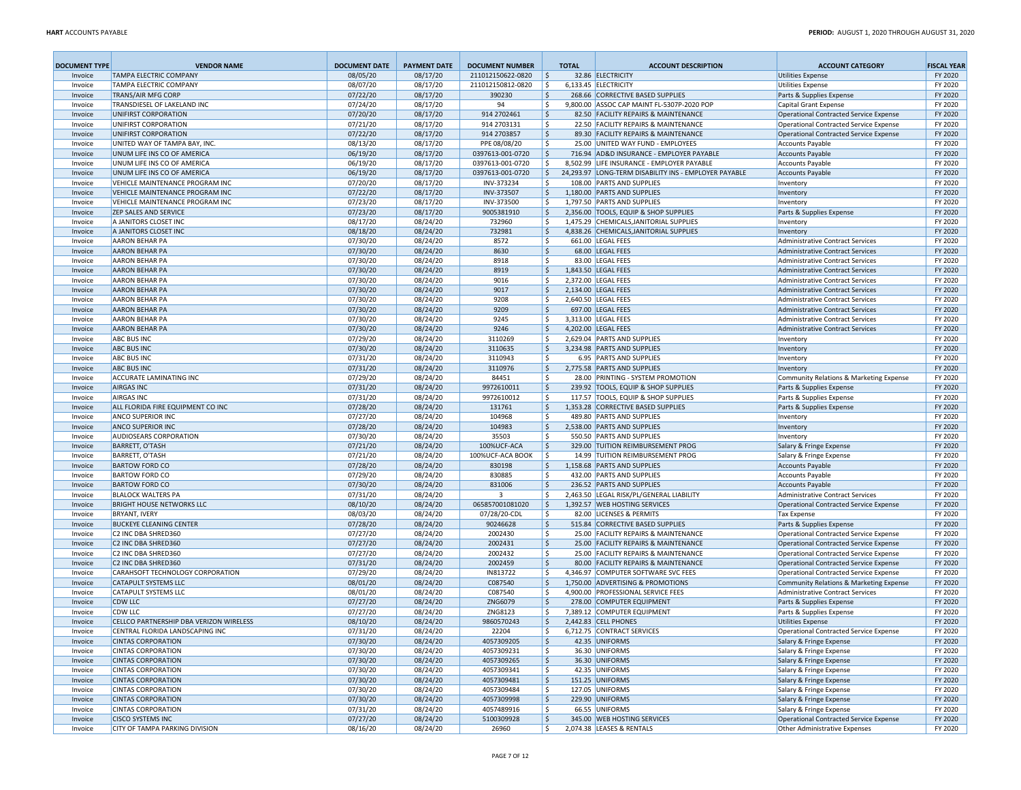| <b>DOCUMENT TYPE</b> | <b>VENDOR NAME</b>                                             | <b>DOCUMENT DATE</b> | <b>PAYMENT DATE</b>  | <b>DOCUMENT NUMBER</b>     | <b>TOTAL</b>             | <b>ACCOUNT DESCRIPTION</b>                                                  | <b>ACCOUNT CATEGORY</b>                                                          | <b>FISCAL YEAR</b> |
|----------------------|----------------------------------------------------------------|----------------------|----------------------|----------------------------|--------------------------|-----------------------------------------------------------------------------|----------------------------------------------------------------------------------|--------------------|
| Invoice              | <b>TAMPA ELECTRIC COMPANY</b>                                  | 08/05/20             | 08/17/20             | 211012150622-0820          | l\$                      | 32.86 ELECTRICITY                                                           | <b>Utilities Expense</b>                                                         | FY 2020            |
| Invoice              | TAMPA ELECTRIC COMPANY                                         | 08/07/20             | 08/17/20             | 211012150812-0820          | ۱\$                      | 6,133.45 ELECTRICITY                                                        | Utilities Expense                                                                | FY 2020            |
| Invoice              | <b>TRANS/AIR MFG CORP</b>                                      | 07/22/20             | 08/17/20             | 390230                     | l\$                      | 268.66 CORRECTIVE BASED SUPPLIES                                            | Parts & Supplies Expense                                                         | FY 2020            |
| Invoice              | TRANSDIESEL OF LAKELAND INC                                    | 07/24/20             | 08/17/20             | 94                         | l \$                     | 9,800.00 ASSOC CAP MAINT FL-5307P-2020 POP                                  | Capital Grant Expense                                                            | FY 2020            |
| Invoice              | UNIFIRST CORPORATION                                           | 07/20/20             | 08/17/20             | 914 2702461                | l\$                      | 82.50 FACILITY REPAIRS & MAINTENANCE                                        | Operational Contracted Service Expense                                           | FY 2020            |
| Invoice              | UNIFIRST CORPORATION                                           | 07/21/20             | 08/17/20             | 914 2703131<br>914 2703857 | ۱\$                      | 22.50 FACILITY REPAIRS & MAINTENANCE                                        | Operational Contracted Service Expense                                           | FY 2020            |
| Invoice<br>Invoice   | UNIFIRST CORPORATION<br>UNITED WAY OF TAMPA BAY, INC.          | 07/22/20<br>08/13/20 | 08/17/20<br>08/17/20 | PPE 08/08/20               | l\$<br>l \$              | 89.30 FACILITY REPAIRS & MAINTENANCE<br>25.00 UNITED WAY FUND - EMPLOYEES   | Operational Contracted Service Expense                                           | FY 2020<br>FY 2020 |
| Invoice              | UNUM LIFE INS CO OF AMERICA                                    | 06/19/20             | 08/17/20             | 0397613-001-0720           | l \$                     | 716.94 AD&D INSURANCE - EMPLOYER PAYABLE                                    | Accounts Payable<br><b>Accounts Payable</b>                                      | FY 2020            |
| Invoice              | UNUM LIFE INS CO OF AMERICA                                    | 06/19/20             | 08/17/20             | 0397613-001-0720           | l\$                      | 8,502.99 LIFE INSURANCE - EMPLOYER PAYABLE                                  | Accounts Payable                                                                 | FY 2020            |
| Invoice              | UNUM LIFE INS CO OF AMERICA                                    | 06/19/20             | 08/17/20             | 0397613-001-0720           | I\$                      | 24,293.97 LONG-TERM DISABILITY INS - EMPLOYER PAYABLE                       | <b>Accounts Payable</b>                                                          | FY 2020            |
| Invoice              | VEHICLE MAINTENANCE PROGRAM INC                                | 07/20/20             | 08/17/20             | INV-373234                 | \$                       | 108.00 PARTS AND SUPPLIES                                                   | Inventory                                                                        | FY 2020            |
| Invoice              | VEHICLE MAINTENANCE PROGRAM INC                                | 07/22/20             | 08/17/20             | INV-373507                 | l\$                      | 1.180.00 PARTS AND SUPPLIES                                                 | Inventory                                                                        | FY 2020            |
| Invoice              | VEHICLE MAINTENANCE PROGRAM INC                                | 07/23/20             | 08/17/20             | INV-373500                 | \$                       | 1,797.50 PARTS AND SUPPLIES                                                 | Inventory                                                                        | FY 2020            |
| Invoice              | <b>ZEP SALES AND SERVICE</b>                                   | 07/23/20             | 08/17/20             | 9005381910                 | l\$                      | 2,356.00 TOOLS, EQUIP & SHOP SUPPLIES                                       | Parts & Supplies Expense                                                         | FY 2020            |
| Invoice              | A JANITORS CLOSET INC                                          | 08/17/20             | 08/24/20             | 732960                     | \$                       | 1,475.29 CHEMICALS, JANITORIAL SUPPLIES                                     | Inventory                                                                        | FY 2020            |
| Invoice              | A JANITORS CLOSET INC                                          | 08/18/20             | 08/24/20             | 732981                     | $\ddot{\varsigma}$       | 4,838.26 CHEMICALS, JANITORIAL SUPPLIES                                     | Inventory                                                                        | FY 2020            |
| Invoice              | <b>AARON BEHAR PA</b>                                          | 07/30/20             | 08/24/20             | 8572                       | \$                       | 661.00 LEGAL FEES                                                           | Administrative Contract Services                                                 | FY 2020            |
| Invoice              | <b>AARON BEHAR PA</b>                                          | 07/30/20             | 08/24/20             | 8630                       | $\ddot{\varsigma}$       | 68.00 LEGAL FEES                                                            | Administrative Contract Services                                                 | FY 2020            |
| Invoice              | <b>AARON BEHAR PA</b>                                          | 07/30/20             | 08/24/20             | 8918                       | \$                       | 83.00 LEGAL FEES                                                            | Administrative Contract Services                                                 | FY 2020            |
| Invoice              | <b>AARON BEHAR PA</b>                                          | 07/30/20             | 08/24/20             | 8919                       | $\ddot{\varsigma}$       | 1,843.50 LEGAL FEES                                                         | Administrative Contract Services                                                 | FY 2020            |
| Invoice              | <b>AARON BEHAR PA</b><br><b>AARON BEHAR PA</b>                 | 07/30/20<br>07/30/20 | 08/24/20<br>08/24/20 | 9016<br>9017               | \$<br>$\ddot{\varsigma}$ | 2,372.00 LEGAL FEES<br>2,134.00 LEGAL FEES                                  | <b>Administrative Contract Services</b>                                          | FY 2020<br>FY 2020 |
| Invoice<br>Invoice   | <b>AARON BEHAR PA</b>                                          | 07/30/20             | 08/24/20             | 9208                       | \$                       | 2,640.50 LEGAL FEES                                                         | Administrative Contract Services<br>Administrative Contract Services             | FY 2020            |
| Invoice              | <b>AARON BEHAR PA</b>                                          | 07/30/20             | 08/24/20             | 9209                       | l\$                      | 697.00 LEGAL FEES                                                           | Administrative Contract Services                                                 | FY 2020            |
| Invoice              | <b>AARON BEHAR PA</b>                                          | 07/30/20             | 08/24/20             | 9245                       | \$                       | 3,313.00 LEGAL FEES                                                         | Administrative Contract Services                                                 | FY 2020            |
| Invoice              | <b>AARON BEHAR PA</b>                                          | 07/30/20             | 08/24/20             | 9246                       | \$                       | 4,202.00 LEGAL FEES                                                         | Administrative Contract Services                                                 | FY 2020            |
| Invoice              | <b>ABC BUS INC</b>                                             | 07/29/20             | 08/24/20             | 3110269                    | \$                       | 2,629.04 PARTS AND SUPPLIES                                                 | Inventory                                                                        | FY 2020            |
| Invoice              | <b>ABC BUS INC</b>                                             | 07/30/20             | 08/24/20             | 3110635                    | l\$                      | 3,234.98 PARTS AND SUPPLIES                                                 | Inventory                                                                        | FY 2020            |
| Invoice              | <b>ABC BUS INC</b>                                             | 07/31/20             | 08/24/20             | 3110943                    | \$                       | 6.95 PARTS AND SUPPLIES                                                     | Inventory                                                                        | FY 2020            |
| Invoice              | <b>ABC BUS INC</b>                                             | 07/31/20             | 08/24/20             | 3110976                    | l \$                     | 2.775.58 PARTS AND SUPPLIES                                                 | Inventory                                                                        | FY 2020            |
| Invoice              | <b>ACCURATE LAMINATING INC</b>                                 | 07/29/20             | 08/24/20             | 84451                      | l \$                     | 28.00 PRINTING - SYSTEM PROMOTION                                           | Community Relations & Marketing Expense                                          | FY 2020            |
| Invoice              | <b>AIRGAS INC</b>                                              | 07/31/20             | 08/24/20             | 9972610011                 | l\$                      | 239.92 TOOLS, EQUIP & SHOP SUPPLIES                                         | Parts & Supplies Expense                                                         | FY 2020            |
| Invoice              | <b>AIRGAS INC</b>                                              | 07/31/20             | 08/24/20             | 9972610012                 | \$                       | 117.57 TOOLS, EQUIP & SHOP SUPPLIES                                         | Parts & Supplies Expense                                                         | FY 2020            |
| Invoice              | ALL FLORIDA FIRE EQUIPMENT CO INC                              | 07/28/20             | 08/24/20             | 131761                     | l\$                      | 1,353.28 CORRECTIVE BASED SUPPLIES                                          | Parts & Supplies Expense                                                         | FY 2020            |
| Invoice              | <b>ANCO SUPERIOR INC</b>                                       | 07/27/20             | 08/24/20             | 104968                     | \$                       | 489.80 PARTS AND SUPPLIES                                                   | Inventory                                                                        | FY 2020            |
| Invoice              | <b>ANCO SUPERIOR INC</b>                                       | 07/28/20<br>07/30/20 | 08/24/20             | 104983                     | I\$                      | 2,538.00 PARTS AND SUPPLIES<br>550.50 PARTS AND SUPPLIES                    | Inventory                                                                        | FY 2020<br>FY 2020 |
| Invoice<br>Invoice   | AUDIOSEARS CORPORATION<br><b>BARRETT, O'TASH</b>               | 07/21/20             | 08/24/20<br>08/24/20 | 35503<br>100%UCF-ACA       | \$<br>l \$               | 329.00 TUITION REIMBURSEMENT PROG                                           | Inventory<br>Salary & Fringe Expense                                             | FY 2020            |
| Invoice              | <b>BARRETT, O'TASH</b>                                         | 07/21/20             | 08/24/20             | 100%UCF-ACA BOOK           | ا \$                     | 14.99 TUITION REIMBURSEMENT PROG                                            | Salary & Fringe Expense                                                          | FY 2020            |
| Invoice              | <b>BARTOW FORD CO</b>                                          | 07/28/20             | 08/24/20             | 830198                     | \$                       | 1,158.68 PARTS AND SUPPLIES                                                 | <b>Accounts Payable</b>                                                          | FY 2020            |
| Invoice              | <b>BARTOW FORD CO</b>                                          | 07/29/20             | 08/24/20             | 830885                     | \$                       | 432.00 PARTS AND SUPPLIES                                                   | Accounts Payable                                                                 | FY 2020            |
| Invoice              | <b>BARTOW FORD CO</b>                                          | 07/30/20             | 08/24/20             | 831006                     | $\ddot{\varsigma}$       | 236.52 PARTS AND SUPPLIES                                                   | <b>Accounts Payable</b>                                                          | FY 2020            |
| Invoice              | <b>BLALOCK WALTERS PA</b>                                      | 07/31/20             | 08/24/20             | $\overline{3}$             | \$                       | 2,463.50 LEGAL RISK/PL/GENERAL LIABILITY                                    | Administrative Contract Services                                                 | FY 2020            |
| Invoice              | <b>BRIGHT HOUSE NETWORKS LLC</b>                               | 08/10/20             | 08/24/20             | 065857001081020            | l\$                      | 1,392.57 WEB HOSTING SERVICES                                               | Operational Contracted Service Expense                                           | FY 2020            |
| Invoice              | <b>BRYANT, IVERY</b>                                           | 08/03/20             | 08/24/20             | 07/28/20-CDL               | \$                       | 82.00 LICENSES & PERMITS                                                    | Tax Expense                                                                      | FY 2020            |
| Invoice              | <b>BUCKEYE CLEANING CENTER</b>                                 | 07/28/20             | 08/24/20             | 90246628                   | $\ddot{\varsigma}$       | 515.84 CORRECTIVE BASED SUPPLIES                                            | Parts & Supplies Expense                                                         | FY 2020            |
| Invoice              | C2 INC DBA SHRED360                                            | 07/27/20             | 08/24/20             | 2002430                    | \$                       | 25.00 FACILITY REPAIRS & MAINTENANCE                                        | Operational Contracted Service Expense                                           | FY 2020            |
| Invoice              | C2 INC DBA SHRED360                                            | 07/27/20             | 08/24/20             | 2002431                    | l\$                      | 25.00 FACILITY REPAIRS & MAINTENANCE                                        | Operational Contracted Service Expense                                           | FY 2020            |
| Invoice              | C2 INC DBA SHRED360                                            | 07/27/20             | 08/24/20             | 2002432                    | \$                       | 25.00 FACILITY REPAIRS & MAINTENANCE                                        | Operational Contracted Service Expense                                           | FY 2020            |
| Invoice<br>Invoice   | <b>C2 INC DBA SHRED360</b><br>CARAHSOFT TECHNOLOGY CORPORATION | 07/31/20<br>07/29/20 | 08/24/20<br>08/24/20 | 2002459<br>IN813722        | l\$<br>\$                | 80.00 FACILITY REPAIRS & MAINTENANCE<br>4,346.97 COMPUTER SOFTWARE SVC FEES | Operational Contracted Service Expense<br>Operational Contracted Service Expense | FY 2020<br>FY 2020 |
| Invoice              | <b>CATAPULT SYSTEMS LLC</b>                                    | 08/01/20             | 08/24/20             | C087540                    | l\$                      | 1,750.00 ADVERTISING & PROMOTIONS                                           | Community Relations & Marketing Expense                                          | FY 2020            |
| Invoice              | <b>CATAPULT SYSTEMS LLC</b>                                    | 08/01/20             | 08/24/20             | C087540                    | l \$                     | 4,900.00 PROFESSIONAL SERVICE FEES                                          | Administrative Contract Services                                                 | FY 2020            |
| Invoice              | <b>CDW LLC</b>                                                 | 07/27/20             | 08/24/20             | ZNG6079                    | l\$                      | 278.00 COMPUTER EQUIPMENT                                                   | Parts & Supplies Expense                                                         | FY 2020            |
| Invoice              | <b>CDW LLC</b>                                                 | 07/27/20             | 08/24/20             | ZNG8123                    | ۱\$                      | 7,389.12 COMPUTER EQUIPMENT                                                 | Parts & Supplies Expense                                                         | FY 2020            |
| Invoice              | CELLCO PARTNERSHIP DBA VERIZON WIRELESS                        | 08/10/20             | 08/24/20             | 9860570243                 | l\$                      | 2,442.83 CELL PHONES                                                        | Utilities Expense                                                                | FY 2020            |
| Invoice              | CENTRAL FLORIDA LANDSCAPING INC                                | 07/31/20             | 08/24/20             | 22204                      | \$                       | 6,712.75 CONTRACT SERVICES                                                  | Operational Contracted Service Expense                                           | FY 2020            |
| Invoice              | <b>CINTAS CORPORATION</b>                                      | 07/30/20             | 08/24/20             | 4057309205                 | \$                       | 42.35 UNIFORMS                                                              | Salary & Fringe Expense                                                          | FY 2020            |
| Invoice              | <b>CINTAS CORPORATION</b>                                      | 07/30/20             | 08/24/20             | 4057309231                 | l\$                      | 36.30 UNIFORMS                                                              | Salary & Fringe Expense                                                          | FY 2020            |
| Invoice              | <b>CINTAS CORPORATION</b>                                      | 07/30/20             | 08/24/20             | 4057309265                 | \$                       | 36.30 UNIFORMS                                                              | Salary & Fringe Expense                                                          | FY 2020            |
| Invoice              | <b>CINTAS CORPORATION</b>                                      | 07/30/20             | 08/24/20             | 4057309341                 | \$                       | 42.35 UNIFORMS                                                              | Salary & Fringe Expense                                                          | FY 2020            |
| Invoice              | <b>CINTAS CORPORATION</b>                                      | 07/30/20             | 08/24/20             | 4057309481                 | \$                       | 151.25 UNIFORMS                                                             | Salary & Fringe Expense                                                          | FY 2020            |
| Invoice              | <b>CINTAS CORPORATION</b>                                      | 07/30/20             | 08/24/20             | 4057309484                 | l\$                      | 127.05 UNIFORMS                                                             | Salary & Fringe Expense                                                          | FY 2020            |
| Invoice              | <b>CINTAS CORPORATION</b>                                      | 07/30/20             | 08/24/20             | 4057309998                 | l\$                      | 229.90 UNIFORMS                                                             | Salary & Fringe Expense                                                          | FY 2020            |
| Invoice<br>Invoice   | <b>CINTAS CORPORATION</b><br><b>CISCO SYSTEMS INC</b>          | 07/31/20<br>07/27/20 | 08/24/20<br>08/24/20 | 4057489916<br>5100309928   | l\$<br>\$                | 66.55 UNIFORMS<br>345.00 WEB HOSTING SERVICES                               | Salary & Fringe Expense<br>Operational Contracted Service Expense                | FY 2020<br>FY 2020 |
| Invoice              | CITY OF TAMPA PARKING DIVISION                                 | 08/16/20             | 08/24/20             | 26960                      | l \$                     | 2,074.38 LEASES & RENTALS                                                   | Other Administrative Expenses                                                    | FY 2020            |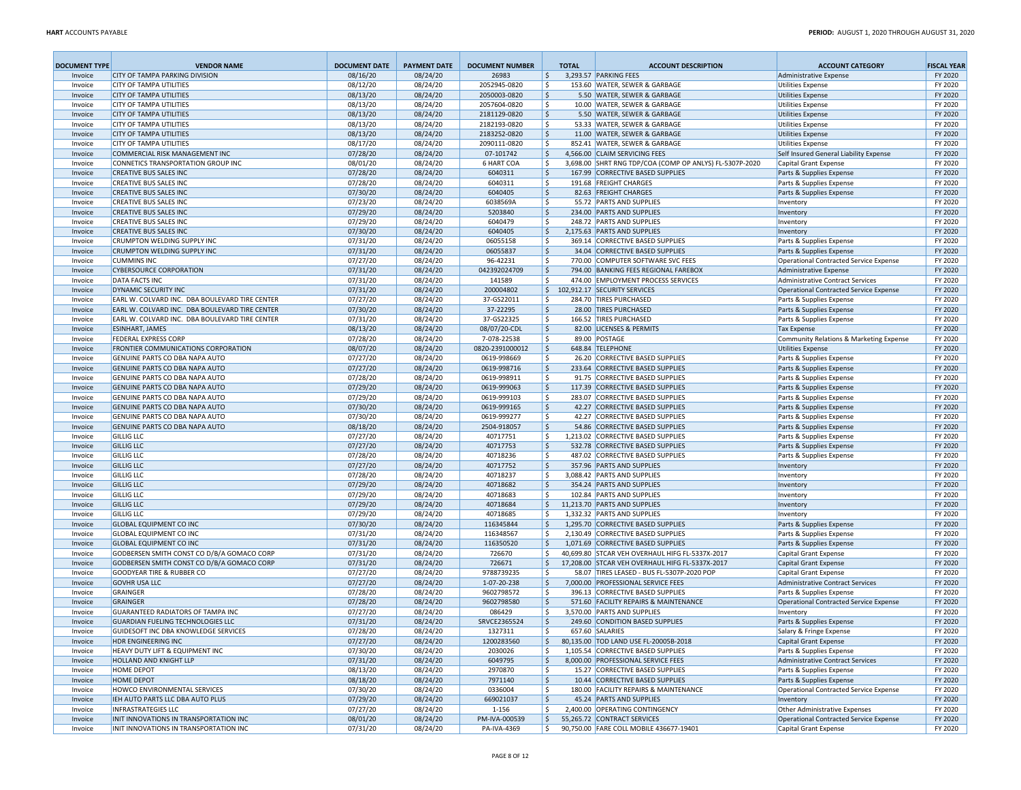| <b>DOCUMENT TYPE</b> | <b>VENDOR NAME</b>                                                                               | <b>DOCUMENT DATE</b> | <b>PAYMENT DATE</b>  | <b>DOCUMENT NUMBER</b>         | <b>TOTAL</b>       | <b>ACCOUNT DESCRIPTION</b>                                                               | <b>ACCOUNT CATEGORY</b>                                         | <b>FISCAL YEAR</b> |
|----------------------|--------------------------------------------------------------------------------------------------|----------------------|----------------------|--------------------------------|--------------------|------------------------------------------------------------------------------------------|-----------------------------------------------------------------|--------------------|
| Invoice              | <b>CITY OF TAMPA PARKING DIVISION</b>                                                            | 08/16/20             | 08/24/20             | 26983                          | $\ddot{\varsigma}$ | 3,293.57 PARKING FEES                                                                    | <b>Administrative Expense</b>                                   | FY 2020            |
| Invoice              | <b>CITY OF TAMPA UTILITIES</b>                                                                   | 08/12/20             | 08/24/20             | 2052945-0820                   | \$                 | 153.60 WATER, SEWER & GARBAGE                                                            | <b>Utilities Expense</b>                                        | FY 2020            |
| Invoice              | <b>CITY OF TAMPA UTILITIES</b>                                                                   | 08/13/20             | 08/24/20             | 2050003-0820                   | 5                  | 5.50 WATER, SEWER & GARBAGE                                                              | <b>Utilities Expense</b>                                        | FY 2020            |
| Invoice              | <b>CITY OF TAMPA UTILITIES</b>                                                                   | 08/13/20             | 08/24/20             | 2057604-0820                   | \$                 | 10.00 WATER, SEWER & GARBAGE                                                             | <b>Utilities Expense</b>                                        | FY 2020            |
| Invoice              | <b>CITY OF TAMPA UTILITIES</b>                                                                   | 08/13/20             | 08/24/20             | 2181129-0820                   | 5                  | 5.50 WATER, SEWER & GARBAGE                                                              | Utilities Expense                                               | FY 2020            |
| Invoice              | <b>CITY OF TAMPA UTILITIES</b>                                                                   | 08/13/20             | 08/24/20             | 2182193-0820                   | \$                 | 53.33 WATER, SEWER & GARBAGE                                                             | <b>Utilities Expense</b>                                        | FY 2020            |
| Invoice              | <b>CITY OF TAMPA UTILITIES</b>                                                                   | 08/13/20             | 08/24/20             | 2183252-0820                   | 5                  | 11.00 WATER, SEWER & GARBAGE                                                             | Utilities Expense                                               | FY 2020            |
| Invoice              | <b>CITY OF TAMPA UTILITIES</b>                                                                   | 08/17/20             | 08/24/20             | 2090111-0820                   | \$<br>5            | 852.41 WATER, SEWER & GARBAGE                                                            | <b>Utilities Expense</b>                                        | FY 2020<br>FY 2020 |
| Invoice<br>Invoice   | <b>COMMERCIAL RISK MANAGEMENT INC</b><br>CONNETICS TRANSPORTATION GROUP INC                      | 07/28/20<br>08/01/20 | 08/24/20<br>08/24/20 | 07-101742<br><b>6 HART COA</b> | l \$               | 4,566.00 CLAIM SERVICING FEES<br>3,698.00 SHRT RNG TDP/COA (COMP OP ANLYS) FL-5307P-2020 | Self Insured General Liability Expense<br>Capital Grant Expense | FY 2020            |
| Invoice              | <b>CREATIVE BUS SALES INC</b>                                                                    | 07/28/20             | 08/24/20             | 6040311                        | ١\$                | 167.99 CORRECTIVE BASED SUPPLIES                                                         | Parts & Supplies Expense                                        | FY 2020            |
| Invoice              | <b>CREATIVE BUS SALES INC</b>                                                                    | 07/28/20             | 08/24/20             | 6040311                        | ا \$               | 191.68 FREIGHT CHARGES                                                                   | Parts & Supplies Expense                                        | FY 2020            |
| Invoice              | <b>CREATIVE BUS SALES INC</b>                                                                    | 07/30/20             | 08/24/20             | 6040405                        | ۱\$                | 82.63 FREIGHT CHARGES                                                                    | Parts & Supplies Expense                                        | FY 2020            |
| Invoice              | <b>CREATIVE BUS SALES INC</b>                                                                    | 07/23/20             | 08/24/20             | 6038569A                       | l\$                | 55.72 PARTS AND SUPPLIES                                                                 | Inventory                                                       | FY 2020            |
| Invoice              | <b>CREATIVE BUS SALES INC</b>                                                                    | 07/29/20             | 08/24/20             | 5203840                        | \$                 | 234.00 PARTS AND SUPPLIES                                                                | Inventory                                                       | FY 2020            |
| Invoice              | <b>CREATIVE BUS SALES INC</b>                                                                    | 07/29/20             | 08/24/20             | 6040479                        | \$                 | 248.72 PARTS AND SUPPLIES                                                                | Inventory                                                       | FY 2020            |
| Invoice              | <b>CREATIVE BUS SALES INC</b>                                                                    | 07/30/20             | 08/24/20             | 6040405                        | \$                 | 2,175.63 PARTS AND SUPPLIES                                                              | Inventory                                                       | FY 2020            |
| Invoice              | CRUMPTON WELDING SUPPLY INC                                                                      | 07/31/20             | 08/24/20             | 06055158                       | \$                 | 369.14 CORRECTIVE BASED SUPPLIES                                                         | Parts & Supplies Expense                                        | FY 2020            |
| Invoice              | <b>CRUMPTON WELDING SUPPLY INC</b>                                                               | 07/31/20             | 08/24/20             | 06055837                       | \$                 | 34.04 CORRECTIVE BASED SUPPLIES                                                          | Parts & Supplies Expense                                        | FY 2020            |
| Invoice              | <b>CUMMINS INC</b>                                                                               | 07/27/20             | 08/24/20             | 96-42231                       | \$                 | 770.00 COMPUTER SOFTWARE SVC FEES                                                        | Operational Contracted Service Expense                          | FY 2020            |
| Invoice              | <b>CYBERSOURCE CORPORATION</b>                                                                   | 07/31/20             | 08/24/20             | 042392024709                   | \$                 | 794.00 BANKING FEES REGIONAL FAREBOX                                                     | Administrative Expense                                          | FY 2020            |
| Invoice              | <b>DATA FACTS INC</b>                                                                            | 07/31/20             | 08/24/20             | 141589                         | Ŝ.                 | 474.00 EMPLOYMENT PROCESS SERVICES                                                       | Administrative Contract Services                                | FY 2020            |
| Invoice              | DYNAMIC SECURITY INC                                                                             | 07/31/20             | 08/24/20             | 200004802                      | \$                 | 102,912.17 SECURITY SERVICES                                                             | Operational Contracted Service Expense                          | FY 2020            |
| Invoice              | EARL W. COLVARD INC. DBA BOULEVARD TIRE CENTER<br>EARL W. COLVARD INC. DBA BOULEVARD TIRE CENTER | 07/27/20<br>07/30/20 | 08/24/20<br>08/24/20 | 37-GS22011<br>37-22295         | \$<br>5            | 284.70 TIRES PURCHASED<br>28.00 TIRES PURCHASED                                          | Parts & Supplies Expense                                        | FY 2020<br>FY 2020 |
| Invoice<br>Invoice   | EARL W. COLVARD INC. DBA BOULEVARD TIRE CENTER                                                   | 07/31/20             | 08/24/20             | 37-GS22325                     | \$                 | 166.52 TIRES PURCHASED                                                                   | Parts & Supplies Expense<br>Parts & Supplies Expense            | FY 2020            |
| Invoice              | <b>ESINHART, JAMES</b>                                                                           | 08/13/20             | 08/24/20             | 08/07/20-CDL                   | 5                  | 82.00 LICENSES & PERMITS                                                                 | <b>Tax Expense</b>                                              | FY 2020            |
| Invoice              | <b>FEDERAL EXPRESS CORP</b>                                                                      | 07/28/20             | 08/24/20             | 7-078-22538                    | l\$                | 89.00 POSTAGE                                                                            | Community Relations & Marketing Expense                         | FY 2020            |
| Invoice              | FRONTIER COMMUNICATIONS CORPORATION                                                              | 08/07/20             | 08/24/20             | 0820-2391000012                | \$                 | 648.84 TELEPHONE                                                                         | Utilities Expense                                               | FY 2020            |
| Invoice              | GENUINE PARTS CO DBA NAPA AUTO                                                                   | 07/27/20             | 08/24/20             | 0619-998669                    | l \$               | 26.20 CORRECTIVE BASED SUPPLIES                                                          | Parts & Supplies Expense                                        | FY 2020            |
| Invoice              | <b>GENUINE PARTS CO DBA NAPA AUTO</b>                                                            | 07/27/20             | 08/24/20             | 0619-998716                    | 5                  | 233.64 CORRECTIVE BASED SUPPLIES                                                         | Parts & Supplies Expense                                        | FY 2020            |
| Invoice              | GENUINE PARTS CO DBA NAPA AUTO                                                                   | 07/28/20             | 08/24/20             | 0619-998911                    | l\$                | 91.75 CORRECTIVE BASED SUPPLIES                                                          | Parts & Supplies Expense                                        | FY 2020            |
| Invoice              | <b>GENUINE PARTS CO DBA NAPA AUTO</b>                                                            | 07/29/20             | 08/24/20             | 0619-999063                    | \$                 | 117.39 CORRECTIVE BASED SUPPLIES                                                         | Parts & Supplies Expense                                        | FY 2020            |
| Invoice              | GENUINE PARTS CO DBA NAPA AUTO                                                                   | 07/29/20             | 08/24/20             | 0619-999103                    | ۱\$                | 283.07 CORRECTIVE BASED SUPPLIES                                                         | Parts & Supplies Expense                                        | FY 2020            |
| Invoice              | <b>GENUINE PARTS CO DBA NAPA AUTO</b>                                                            | 07/30/20             | 08/24/20             | 0619-999165                    | 5 ا                | 42.27 CORRECTIVE BASED SUPPLIES                                                          | Parts & Supplies Expense                                        | FY 2020            |
| Invoice              | GENUINE PARTS CO DBA NAPA AUTO                                                                   | 07/30/20             | 08/24/20             | 0619-999277                    | l\$                | 42.27 CORRECTIVE BASED SUPPLIES                                                          | Parts & Supplies Expense                                        | FY 2020            |
| Invoice              | <b>GENUINE PARTS CO DBA NAPA AUTO</b>                                                            | 08/18/20             | 08/24/20             | 2504-918057                    | 5                  | 54.86 CORRECTIVE BASED SUPPLIES                                                          | Parts & Supplies Expense                                        | FY 2020            |
| Invoice              | <b>GILLIG LLC</b>                                                                                | 07/27/20             | 08/24/20             | 40717751                       | l\$                | 1,213.02 CORRECTIVE BASED SUPPLIES                                                       | Parts & Supplies Expense                                        | FY 2020            |
| Invoice              | <b>GILLIG LLC</b>                                                                                | 07/27/20             | 08/24/20             | 40717753                       | l \$               | 532.78 CORRECTIVE BASED SUPPLIES                                                         | Parts & Supplies Expense                                        | FY 2020            |
| Invoice              | <b>GILLIG LLC</b>                                                                                | 07/28/20             | 08/24/20             | 40718236                       | \$                 | 487.02 CORRECTIVE BASED SUPPLIES                                                         | Parts & Supplies Expense                                        | FY 2020            |
| Invoice<br>Invoice   | <b>GILLIG LLC</b><br><b>GILLIG LLC</b>                                                           | 07/27/20<br>07/28/20 | 08/24/20<br>08/24/20 | 40717752<br>40718237           | 5<br>  \$          | 357.96 PARTS AND SUPPLIES<br>3,088.42 PARTS AND SUPPLIES                                 | Inventory<br>Inventory                                          | FY 2020<br>FY 2020 |
| Invoice              | <b>GILLIG LLC</b>                                                                                | 07/29/20             | 08/24/20             | 40718682                       | \$                 | 354.24 PARTS AND SUPPLIES                                                                | Inventory                                                       | FY 2020            |
| Invoice              | <b>GILLIG LLC</b>                                                                                | 07/29/20             | 08/24/20             | 40718683                       | \$                 | 102.84 PARTS AND SUPPLIES                                                                | Inventory                                                       | FY 2020            |
| Invoice              | <b>GILLIG LLC</b>                                                                                | 07/29/20             | 08/24/20             | 40718684                       | \$                 | 11,213.70 PARTS AND SUPPLIES                                                             | Inventory                                                       | FY 2020            |
| Invoice              | <b>GILLIG LLC</b>                                                                                | 07/29/20             | 08/24/20             | 40718685                       | \$                 | 1,332.32 PARTS AND SUPPLIES                                                              | Inventory                                                       | FY 2020            |
| Invoice              | <b>GLOBAL EQUIPMENT CO INC</b>                                                                   | 07/30/20             | 08/24/20             | 116345844                      | 5                  | 1,295.70 CORRECTIVE BASED SUPPLIES                                                       | Parts & Supplies Expense                                        | FY 2020            |
| Invoice              | <b>GLOBAL EQUIPMENT CO INC</b>                                                                   | 07/31/20             | 08/24/20             | 116348567                      | \$                 | 2,130.49 CORRECTIVE BASED SUPPLIES                                                       | Parts & Supplies Expense                                        | FY 2020            |
| Invoice              | <b>GLOBAL EQUIPMENT CO INC</b>                                                                   | 07/31/20             | 08/24/20             | 116350520                      | l\$                | 1,071.69 CORRECTIVE BASED SUPPLIES                                                       | Parts & Supplies Expense                                        | FY 2020            |
| Invoice              | GODBERSEN SMITH CONST CO D/B/A GOMACO CORP                                                       | 07/31/20             | 08/24/20             | 726670                         | \$                 | 40.699.80 STCAR VEH OVERHAUL HIFG FL-5337X-2017                                          | Capital Grant Expense                                           | FY 2020            |
| Invoice              | GODBERSEN SMITH CONST CO D/B/A GOMACO CORP                                                       | 07/31/20             | 08/24/20             | 726671                         | 5                  | 17,208.00 STCAR VEH OVERHAUL HIFG FL-5337X-2017                                          | Capital Grant Expense                                           | FY 2020            |
| Invoice              | <b>GOODYEAR TIRE &amp; RUBBER CO</b>                                                             | 07/27/20             | 08/24/20             | 9788739235                     | \$                 | 58.07 TIRES LEASED - BUS FL-5307P-2020 POP                                               | Capital Grant Expense                                           | FY 2020            |
| Invoice              | <b>GOVHR USA LLC</b>                                                                             | 07/27/20             | 08/24/20             | 1-07-20-238                    | 5                  | 7,000.00 PROFESSIONAL SERVICE FEES                                                       | Administrative Contract Services                                | FY 2020            |
| Invoice              | GRAINGER                                                                                         | 07/28/20             | 08/24/20             | 9602798572                     | \$                 | 396.13 CORRECTIVE BASED SUPPLIES                                                         | Parts & Supplies Expense                                        | FY 2020            |
| Invoice              | <b>GRAINGER</b>                                                                                  | 07/28/20             | 08/24/20             | 9602798580                     | 5                  | 571.60 FACILITY REPAIRS & MAINTENANCE<br>3.570.00 PARTS AND SUPPLIES                     | Operational Contracted Service Expense                          | FY 2020            |
| Invoice              | <b>GUARANTEED RADIATORS OF TAMPA INC</b><br><b>GUARDIAN FUELING TECHNOLOGIES LLC</b>             | 07/27/20<br>07/31/20 | 08/24/20             | 086429<br>SRVCE2365524         | \$<br>l\$          |                                                                                          | Inventory<br>Parts & Supplies Expense                           | FY 2020<br>FY 2020 |
| Invoice              |                                                                                                  | 07/28/20             | 08/24/20             |                                |                    | 249.60 CONDITION BASED SUPPLIES                                                          |                                                                 |                    |
| Invoice<br>Invoice   | <b>GUIDESOFT INC DBA KNOWLEDGE SERVICES</b><br>HDR ENGINEERING INC                               | 07/27/20             | 08/24/20<br>08/24/20 | 1327311<br>1200283560          | ١ş<br>۱\$          | 657.60 SALARIES<br>80,135.00 TOD LAND USE FL-20005B-2018                                 | Salary & Fringe Expense<br>Capital Grant Expense                | FY 2020<br>FY 2020 |
| Invoice              | <b>HEAVY DUTY LIFT &amp; EQUIPMENT INC</b>                                                       | 07/30/20             | 08/24/20             | 2030026                        | l \$               | 1,105.54 CORRECTIVE BASED SUPPLIES                                                       | Parts & Supplies Expense                                        | FY 2020            |
| Invoice              | HOLLAND AND KNIGHT LLP                                                                           | 07/31/20             | 08/24/20             | 6049795                        | ۱\$                | 8,000.00 PROFESSIONAL SERVICE FEES                                                       | Administrative Contract Services                                | FY 2020            |
| Invoice              | <b>HOME DEPOT</b>                                                                                | 08/13/20             | 08/24/20             | 2970870                        | ۱\$                | 15.27 CORRECTIVE BASED SUPPLIES                                                          | Parts & Supplies Expense                                        | FY 2020            |
| Invoice              | <b>HOME DEPOT</b>                                                                                | 08/18/20             | 08/24/20             | 7971140                        | ۱\$.               | 10.44 CORRECTIVE BASED SUPPLIES                                                          | Parts & Supplies Expense                                        | FY 2020            |
| Invoice              | HOWCO ENVIRONMENTAL SERVICES                                                                     | 07/30/20             | 08/24/20             | 0336004                        | ۱\$                | 180.00 FACILITY REPAIRS & MAINTENANCE                                                    | Operational Contracted Service Expense                          | FY 2020            |
| Invoice              | IEH AUTO PARTS LLC DBA AUTO PLUS                                                                 | 07/29/20             | 08/24/20             | 669021037                      | \$                 | 45.24 PARTS AND SUPPLIES                                                                 | Inventory                                                       | FY 2020            |
| Invoice              | <b>INFRASTRATEGIES LLC</b>                                                                       | 07/27/20             | 08/24/20             | $1 - 156$                      | \$                 | 2,400.00 OPERATING CONTINGENCY                                                           | Other Administrative Expenses                                   | FY 2020            |
| Invoice              | INIT INNOVATIONS IN TRANSPORTATION INC                                                           | 08/01/20             | 08/24/20             | PM-IVA-000539                  | \$                 | 55,265.72 CONTRACT SERVICES                                                              | Operational Contracted Service Expense                          | FY 2020            |
| Invoice              | INIT INNOVATIONS IN TRANSPORTATION INC                                                           | 07/31/20             | 08/24/20             | PA-IVA-4369                    | l \$               | 90,750.00 FARE COLL MOBILE 436677-19401                                                  | Capital Grant Expense                                           | FY 2020            |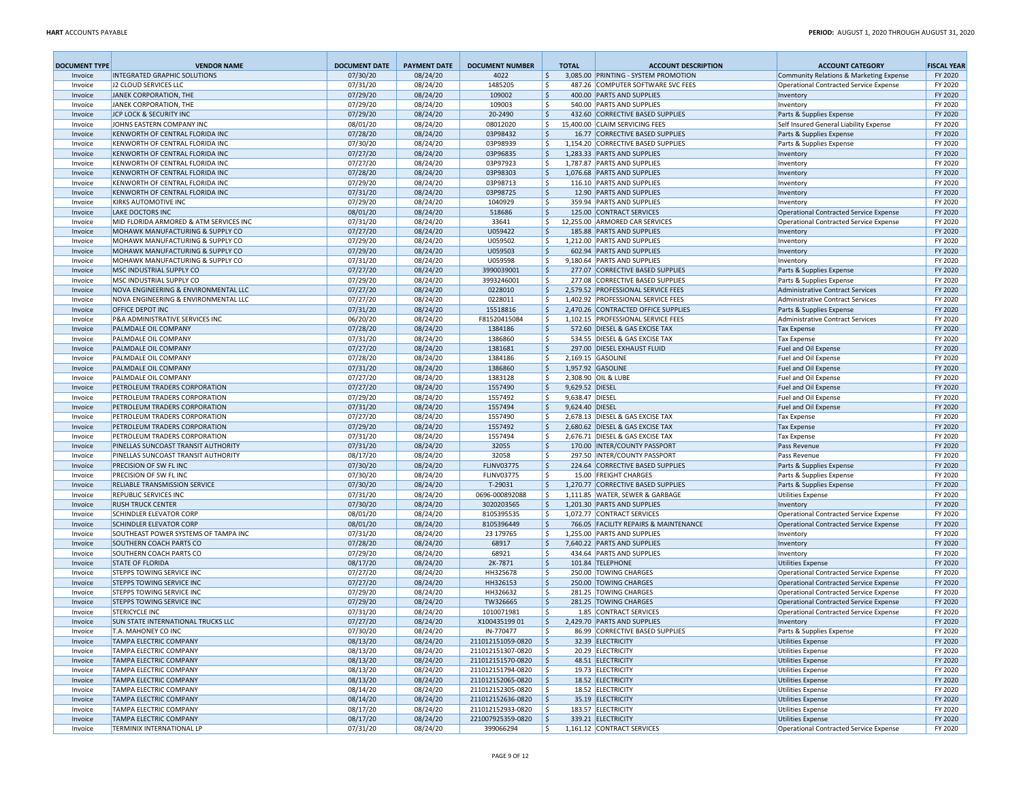| <b>DOCUMENT TYPE</b> | <b>VENDOR NAME</b>                                                         | <b>DOCUMENT DATE</b> | <b>PAYMENT DATE</b>  | <b>DOCUMENT NUMBER</b>                 | <b>TOTAL</b>             | <b>ACCOUNT DESCRIPTION</b>                                           | <b>ACCOUNT CATEGORY</b>                             | <b>FISCAL YEAR</b> |
|----------------------|----------------------------------------------------------------------------|----------------------|----------------------|----------------------------------------|--------------------------|----------------------------------------------------------------------|-----------------------------------------------------|--------------------|
| Invoice              | <b>INTEGRATED GRAPHIC SOLUTIONS</b>                                        | 07/30/20             | 08/24/20             | 4022                                   | \$                       | 3,085.00 PRINTING - SYSTEM PROMOTION                                 | Community Relations & Marketing Expense             | FY 2020            |
| Invoice              | J2 CLOUD SERVICES LLC                                                      | 07/31/20             | 08/24/20             | 1485205                                | Ŝ.                       | 487.26 COMPUTER SOFTWARE SVC FEES                                    | Operational Contracted Service Expense              | FY 2020            |
| Invoice              | JANEK CORPORATION, THE                                                     | 07/29/20             | 08/24/20             | 109002                                 | S.                       | 400.00 PARTS AND SUPPLIES                                            | Inventory                                           | FY 2020            |
| Invoice<br>Invoice   | JANEK CORPORATION, THE<br>JCP LOCK & SECURITY INC                          | 07/29/20<br>07/29/20 | 08/24/20<br>08/24/20 | 109003<br>20-2490                      | \$<br>5                  | 540.00 PARTS AND SUPPLIES<br>432.60 CORRECTIVE BASED SUPPLIES        | Inventory<br>Parts & Supplies Expense               | FY 2020<br>FY 2020 |
| Invoice              | JOHNS EASTERN COMPANY INC                                                  | 08/01/20             | 08/24/20             | 08012020                               | \$                       | 15,400.00 CLAIM SERVICING FEES                                       | Self Insured General Liability Expense              | FY 2020            |
| Invoice              | KENWORTH OF CENTRAL FLORIDA INC                                            | 07/28/20             | 08/24/20             | 03P98432                               | S.                       | 16.77 CORRECTIVE BASED SUPPLIES                                      | Parts & Supplies Expense                            | FY 2020            |
| Invoice              | KENWORTH OF CENTRAL FLORIDA INC                                            | 07/30/20             | 08/24/20             | 03P98939                               | \$                       | 1,154.20 CORRECTIVE BASED SUPPLIES                                   | Parts & Supplies Expense                            | FY 2020            |
| Invoice              | KENWORTH OF CENTRAL FLORIDA INC                                            | 07/27/20             | 08/24/20             | 03P96835                               | \$                       | 1,283.33 PARTS AND SUPPLIES                                          | Inventory                                           | FY 2020            |
| Invoice              | KENWORTH OF CENTRAL FLORIDA INC                                            | 07/27/20             | 08/24/20             | 03P97923                               | Ŝ.                       | 1,787.87 PARTS AND SUPPLIES                                          | Inventory                                           | FY 2020            |
| Invoice              | KENWORTH OF CENTRAL FLORIDA INC                                            | 07/28/20             | 08/24/20             | 03P98303                               | \$                       | 1,076.68 PARTS AND SUPPLIES                                          | Inventory                                           | FY 2020            |
| Invoice              | KENWORTH OF CENTRAL FLORIDA INC                                            | 07/29/20             | 08/24/20             | 03P98713                               | \$                       | 116.10 PARTS AND SUPPLIES                                            | Inventory                                           | FY 2020            |
| Invoice              | KENWORTH OF CENTRAL FLORIDA INC                                            | 07/31/20             | 08/24/20             | 03P98725                               | \$                       | 12.90 PARTS AND SUPPLIES                                             | Inventory                                           | FY 2020            |
| Invoice              | <b>KIRKS AUTOMOTIVE INC</b>                                                | 07/29/20             | 08/24/20             | 1040929                                | Ŝ.                       | 359.94 PARTS AND SUPPLIES                                            | Inventory                                           | FY 2020            |
| Invoice              | <b>LAKE DOCTORS INC</b>                                                    | 08/01/20<br>07/31/20 | 08/24/20             | 518686                                 | \$<br>\$                 | 125.00 CONTRACT SERVICES<br>12,255.00 ARMORED CAR SERVICES           | Operational Contracted Service Expense              | FY 2020            |
| Invoice<br>Invoice   | MID FLORIDA ARMORED & ATM SERVICES INC<br>MOHAWK MANUFACTURING & SUPPLY CO | 07/27/20             | 08/24/20<br>08/24/20 | 33641<br>U059422                       | 5                        | 185.88 PARTS AND SUPPLIES                                            | Operational Contracted Service Expense<br>Inventory | FY 2020<br>FY 2020 |
| Invoice              | MOHAWK MANUFACTURING & SUPPLY CO                                           | 07/29/20             | 08/24/20             | U059502                                | Ŝ.                       | 1,212.00 PARTS AND SUPPLIES                                          | Inventory                                           | FY 2020            |
| Invoice              | MOHAWK MANUFACTURING & SUPPLY CO                                           | 07/29/20             | 08/24/20             | U059503                                | 5                        | 602.94 PARTS AND SUPPLIES                                            | Inventory                                           | FY 2020            |
| Invoice              | MOHAWK MANUFACTURING & SUPPLY CO                                           | 07/31/20             | 08/24/20             | U059598                                | \$                       | 9,180.64 PARTS AND SUPPLIES                                          | Inventory                                           | FY 2020            |
| Invoice              | MSC INDUSTRIAL SUPPLY CO                                                   | 07/27/20             | 08/24/20             | 3990039001                             | 5                        | 277.07 CORRECTIVE BASED SUPPLIES                                     | Parts & Supplies Expense                            | FY 2020            |
| Invoice              | MSC INDUSTRIAL SUPPLY CO                                                   | 07/29/20             | 08/24/20             | 3993246001                             | Ŝ.                       | 277.08 CORRECTIVE BASED SUPPLIES                                     | Parts & Supplies Expense                            | FY 2020            |
| Invoice              | NOVA ENGINEERING & ENVIRONMENTAL LLC                                       | 07/27/20             | 08/24/20             | 0228010                                | 5                        | 2,579.52 PROFESSIONAL SERVICE FEES                                   | Administrative Contract Services                    | FY 2020            |
| Invoice              | NOVA ENGINEERING & ENVIRONMENTAL LLC                                       | 07/27/20             | 08/24/20             | 0228011                                | \$                       | 1,402.92 PROFESSIONAL SERVICE FEES                                   | Administrative Contract Services                    | FY 2020            |
| Invoice              | OFFICE DEPOT INC                                                           | 07/31/20             | 08/24/20             | 15518816                               | l\$                      | 2,470.26 CONTRACTED OFFICE SUPPLIES                                  | Parts & Supplies Expense                            | FY 2020            |
| Invoice              | <b>P&amp;A ADMINISTRATIVE SERVICES INC</b>                                 | 06/20/20             | 08/24/20             | F81520415084<br>1384186                | Ŝ.                       | 1,102.15 PROFESSIONAL SERVICE FEES<br>572.60 DIESEL & GAS EXCISE TAX | Administrative Contract Services                    | FY 2020            |
| Invoice              | PALMDALE OIL COMPANY<br>PALMDALE OIL COMPANY                               | 07/28/20<br>07/31/20 | 08/24/20<br>08/24/20 | 1386860                                | \$<br>\$                 | 534.55 DIESEL & GAS EXCISE TAX                                       | <b>Tax Expense</b><br><b>Tax Expense</b>            | FY 2020<br>FY 2020 |
| Invoice<br>Invoice   | PALMDALE OIL COMPANY                                                       | 07/27/20             | 08/24/20             | 1381681                                | 5                        | 297.00 DIESEL EXHAUST FLUID                                          | Fuel and Oil Expense                                | FY 2020            |
| Invoice              | PALMDALE OIL COMPANY                                                       | 07/28/20             | 08/24/20             | 1384186                                | \$                       | 2,169.15 GASOLINE                                                    | Fuel and Oil Expense                                | FY 2020            |
| Invoice              | PALMDALE OIL COMPANY                                                       | 07/31/20             | 08/24/20             | 1386860                                | 5                        | 1,957.92 GASOLINE                                                    | Fuel and Oil Expense                                | FY 2020            |
| Invoice              | PALMDALE OIL COMPANY                                                       | 07/27/20             | 08/24/20             | 1383128                                | \$                       | 2,308.90 OIL & LUBE                                                  | Fuel and Oil Expense                                | FY 2020            |
| Invoice              | PETROLEUM TRADERS CORPORATION                                              | 07/27/20             | 08/24/20             | 1557490                                | 9,629.52 DIESEL<br>\$    |                                                                      | Fuel and Oil Expense                                | FY 2020            |
| Invoice              | PETROLEUM TRADERS CORPORATION                                              | 07/29/20             | 08/24/20             | 1557492                                | \$<br>9,638.47 DIESEL    |                                                                      | Fuel and Oil Expense                                | FY 2020            |
| Invoice              | PETROLEUM TRADERS CORPORATION                                              | 07/31/20             | 08/24/20             | 1557494                                | \$<br>9,624.40 DIESEL    |                                                                      | Fuel and Oil Expense                                | FY 2020            |
| Invoice              | PETROLEUM TRADERS CORPORATION                                              | 07/27/20             | 08/24/20             | 1557490                                | \$                       | 2,678.13 DIESEL & GAS EXCISE TAX                                     | <b>Tax Expense</b>                                  | FY 2020            |
| Invoice              | PETROLEUM TRADERS CORPORATION<br>PETROLEUM TRADERS CORPORATION             | 07/29/20<br>07/31/20 | 08/24/20<br>08/24/20 | 1557492<br>1557494                     | $\mathsf{\hat{S}}$<br>\$ | 2,680.62 DIESEL & GAS EXCISE TAX<br>2,676.71 DIESEL & GAS EXCISE TAX | <b>Tax Expense</b><br><b>Tax Expense</b>            | FY 2020<br>FY 2020 |
| Invoice<br>Invoice   | PINELLAS SUNCOAST TRANSIT AUTHORITY                                        | 07/31/20             | 08/24/20             | 32055                                  | \$                       | 170.00 INTER/COUNTY PASSPORT                                         | Pass Revenue                                        | FY 2020            |
| Invoice              | PINELLAS SUNCOAST TRANSIT AUTHORITY                                        | 08/17/20             | 08/24/20             | 32058                                  | \$                       | 297.50 INTER/COUNTY PASSPORT                                         | Pass Revenue                                        | FY 2020            |
| Invoice              | PRECISION OF SW FL INC                                                     | 07/30/20             | 08/24/20             | <b>FLINV03775</b>                      | l \$                     | 224.64 CORRECTIVE BASED SUPPLIES                                     | Parts & Supplies Expense                            | FY 2020            |
| Invoice              | PRECISION OF SW FL INC                                                     | 07/30/20             | 08/24/20             | <b>FLINV03775</b>                      | \$                       | 15.00 FREIGHT CHARGES                                                | Parts & Supplies Expense                            | FY 2020            |
| Invoice              | RELIABLE TRANSMISSION SERVICE                                              | 07/30/20             | 08/24/20             | T-29031                                | 5                        | 1,270.77 CORRECTIVE BASED SUPPLIES                                   | Parts & Supplies Expense                            | FY 2020            |
| Invoice              | <b>REPUBLIC SERVICES INC</b>                                               | 07/31/20             | 08/24/20             | 0696-000892088                         | \$                       | 1,111.85 WATER, SEWER & GARBAGE                                      | <b>Utilities Expense</b>                            | FY 2020            |
| Invoice              | <b>RUSH TRUCK CENTER</b>                                                   | 07/30/20             | 08/24/20             | 3020203565                             | l \$                     | 1,201.30 PARTS AND SUPPLIES                                          | Inventory                                           | FY 2020            |
| Invoice              | <b>SCHINDLER ELEVATOR CORP</b>                                             | 08/01/20             | 08/24/20             | 8105395535                             | \$                       | 1,072.77 CONTRACT SERVICES                                           | Operational Contracted Service Expense              | FY 2020            |
| Invoice              | <b>SCHINDLER ELEVATOR CORP</b>                                             | 08/01/20             | 08/24/20             | 8105396449                             | 5                        | 766.05 FACILITY REPAIRS & MAINTENANCE                                | Operational Contracted Service Expense              | FY 2020            |
| Invoice<br>Invoice   | SOUTHEAST POWER SYSTEMS OF TAMPA INC<br><b>SOUTHERN COACH PARTS CO</b>     | 07/31/20<br>07/28/20 | 08/24/20             | 23 179765<br>68917                     | \$<br>l\$                | 1,255.00 PARTS AND SUPPLIES<br>7,640.22 PARTS AND SUPPLIES           | Inventory<br>Inventory                              | FY 2020<br>FY 2020 |
| Invoice              | SOUTHERN COACH PARTS CO                                                    | 07/29/20             | 08/24/20<br>08/24/20 | 68921                                  | l \$                     | 434.64 PARTS AND SUPPLIES                                            | Inventory                                           | FY 2020            |
| Invoice              | <b>STATE OF FLORIDA</b>                                                    | 08/17/20             | 08/24/20             | 2K-7871                                | 5                        | 101.84 TELEPHONE                                                     | <b>Utilities Expense</b>                            | FY 2020            |
| Invoice              | <b>STEPPS TOWING SERVICE INC</b>                                           | 07/27/20             | 08/24/20             | HH325678                               | l \$                     | 250.00 TOWING CHARGES                                                | Operational Contracted Service Expense              | FY 2020            |
| Invoice              | <b>STEPPS TOWING SERVICE INC</b>                                           | 07/27/20             | 08/24/20             | HH326153                               | \$                       | 250.00 TOWING CHARGES                                                | Operational Contracted Service Expense              | FY 2020            |
| Invoice              | STEPPS TOWING SERVICE INC                                                  | 07/29/20             | 08/24/20             | HH326632                               | \$                       | 281.25 TOWING CHARGES                                                | Operational Contracted Service Expense              | FY 2020            |
| Invoice              | <b>STEPPS TOWING SERVICE INC</b>                                           | 07/29/20             | 08/24/20             | TW326665                               | \$                       | 281.25 TOWING CHARGES                                                | Operational Contracted Service Expense              | FY 2020            |
| Invoice              | <b>STERICYCLE INC</b>                                                      | 07/31/20             | 08/24/20             | 1010071981                             | \$                       | 1.85 CONTRACT SERVICES                                               | Operational Contracted Service Expense              | FY 2020            |
| Invoice              | <b>SUN STATE INTERNATIONAL TRUCKS LLC</b>                                  | 07/27/20             | 08/24/20             | X10043519901                           | \$                       | 2.429.70 PARTS AND SUPPLIES                                          | Inventory                                           | FY 2020            |
| Invoice              | T.A. MAHONEY CO INC                                                        | 07/30/20             | 08/24/20             | IN-770477                              | l\$                      | 86.99 CORRECTIVE BASED SUPPLIES                                      | Parts & Supplies Expense                            | FY 2020            |
| Invoice              | <b>TAMPA ELECTRIC COMPANY</b>                                              | 08/13/20             | 08/24/20             | 211012151059-0820                      | ا \$                     | 32.39 ELECTRICITY                                                    | Utilities Expense                                   | FY 2020            |
| Invoice<br>Invoice   | <b>TAMPA ELECTRIC COMPANY</b><br><b>TAMPA ELECTRIC COMPANY</b>             | 08/13/20<br>08/13/20 | 08/24/20<br>08/24/20 | 211012151307-0820<br>211012151570-0820 | \$<br>۱\$                | 20.29 ELECTRICITY<br>48.51 ELECTRICITY                               | Utilities Expense<br>Utilities Expense              | FY 2020<br>FY 2020 |
| Invoice              | <b>TAMPA ELECTRIC COMPANY</b>                                              | 08/13/20             | 08/24/20             | 211012151794-0820                      | l\$                      | 19.73 ELECTRICITY                                                    | Utilities Expense                                   | FY 2020            |
| Invoice              | <b>TAMPA ELECTRIC COMPANY</b>                                              | 08/13/20             | 08/24/20             | 211012152065-0820                      | ۱\$                      | 18.52 ELECTRICITY                                                    | Utilities Expense                                   | FY 2020            |
| Invoice              | <b>TAMPA ELECTRIC COMPANY</b>                                              | 08/14/20             | 08/24/20             | 211012152305-0820                      | l\$                      | 18.52 ELECTRICITY                                                    | Utilities Expense                                   | FY 2020            |
| Invoice              | <b>TAMPA ELECTRIC COMPANY</b>                                              | 08/14/20             | 08/24/20             | 211012152636-0820                      | ۱\$                      | 35.19 ELECTRICITY                                                    | Utilities Expense                                   | FY 2020            |
| Invoice              | <b>TAMPA ELECTRIC COMPANY</b>                                              | 08/17/20             | 08/24/20             | 211012152933-0820                      | l \$                     | 183.57 ELECTRICITY                                                   | Utilities Expense                                   | FY 2020            |
| Invoice              | <b>TAMPA ELECTRIC COMPANY</b>                                              | 08/17/20             | 08/24/20             | 221007925359-0820                      | ا \$                     | 339.21 ELECTRICITY                                                   | Utilities Expense                                   | FY 2020            |
| Invoice              | TERMINIX INTERNATIONAL LP                                                  | 07/31/20             | 08/24/20             | 399066294                              | \$                       | 1,161.12 CONTRACT SERVICES                                           | Operational Contracted Service Expense              | FY 2020            |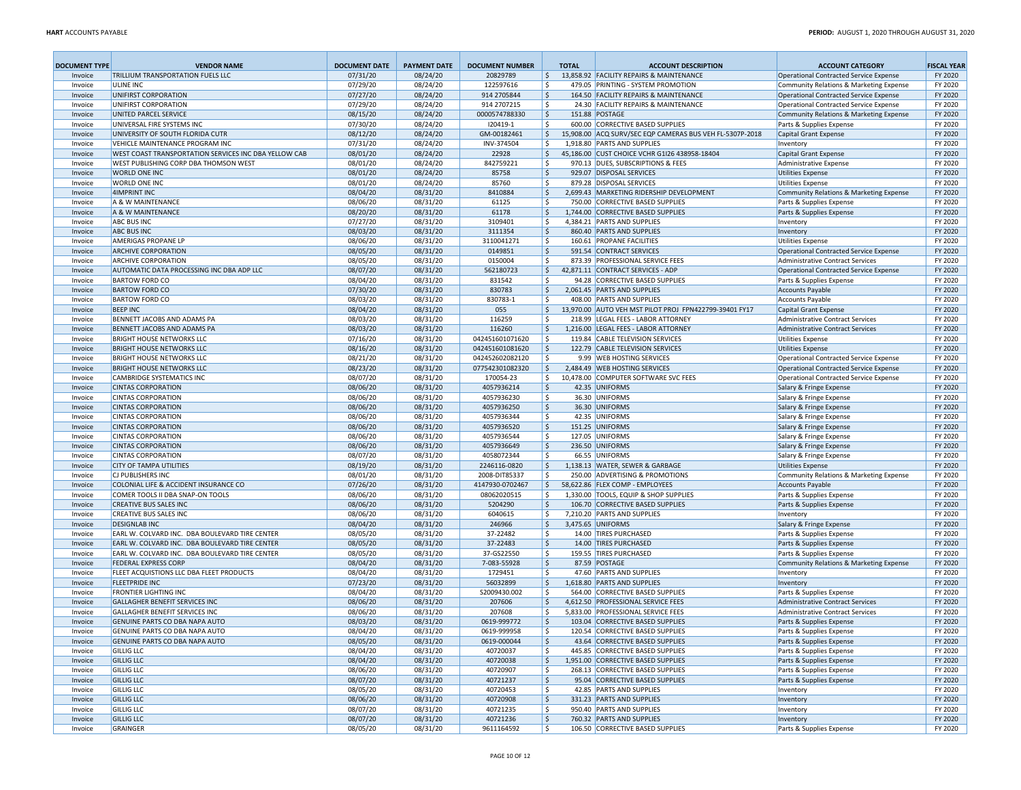| <b>DOCUMENT TYPE</b> | <b>VENDOR NAME</b>                                                   | <b>DOCUMENT DATE</b> | <b>PAYMENT DATE</b>  | <b>DOCUMENT NUMBER</b>             | <b>TOTAL</b>       | <b>ACCOUNT DESCRIPTION</b>                                    | <b>ACCOUNT CATEGORY</b>                                            | <b>FISCAL YEAR</b> |
|----------------------|----------------------------------------------------------------------|----------------------|----------------------|------------------------------------|--------------------|---------------------------------------------------------------|--------------------------------------------------------------------|--------------------|
| Invoice              | TRILLIUM TRANSPORTATION FUELS LLC                                    | 07/31/20             | 08/24/20             | 20829789                           | \$                 | 13,858.92 FACILITY REPAIRS & MAINTENANCE                      | Operational Contracted Service Expense                             | FY 2020            |
| Invoice              | <b>ULINE INC</b>                                                     | 07/29/20             | 08/24/20             | 122597616                          | \$                 | 479.05 PRINTING - SYSTEM PROMOTION                            | Community Relations & Marketing Expense                            | FY 2020            |
| Invoice              | UNIFIRST CORPORATION                                                 | 07/27/20             | 08/24/20             | 914 2705844                        | l \$               | 164.50 FACILITY REPAIRS & MAINTENANCE                         | Operational Contracted Service Expense                             | FY 2020            |
| Invoice              | UNIFIRST CORPORATION                                                 | 07/29/20             | 08/24/20             | 914 2707215                        | l \$               | 24.30 FACILITY REPAIRS & MAINTENANCE                          | Operational Contracted Service Expense                             | FY 2020            |
| Invoice              | UNITED PARCEL SERVICE<br>UNIVERSAL FIRE SYSTEMS INC                  | 08/15/20             | 08/24/20             | 0000574788330                      | 5                  | 151.88 POSTAGE<br>600.00 CORRECTIVE BASED SUPPLIES            | Community Relations & Marketing Expense                            | FY 2020<br>FY 2020 |
| Invoice<br>Invoice   | UNIVERSITY OF SOUTH FLORIDA CUTR                                     | 07/30/20<br>08/12/20 | 08/24/20<br>08/24/20 | 120419-1<br>GM-00182461            | \$<br> \$          | 15,908.00 ACQ SURV/SEC EQP CAMERAS BUS VEH FL-5307P-2018      | Parts & Supplies Expense<br>Capital Grant Expense                  | FY 2020            |
| Invoice              | VEHICLE MAINTENANCE PROGRAM INC                                      | 07/31/20             | 08/24/20             | INV-374504                         | \$                 | 1,918.80 PARTS AND SUPPLIES                                   | Inventory                                                          | FY 2020            |
| Invoice              | WEST COAST TRANSPORTATION SERVICES INC DBA YELLOW CAB                | 08/01/20             | 08/24/20             | 22928                              | \$                 | 45,186.00 CUST CHOICE VCHR G1I26 438958-18404                 | Capital Grant Expense                                              | FY 2020            |
| Invoice              | WEST PUBLISHING CORP DBA THOMSON WEST                                | 08/01/20             | 08/24/20             | 842759221                          | \$                 | 970.13 DUES, SUBSCRIPTIONS & FEES                             | Administrative Expense                                             | FY 2020            |
| Invoice              | <b>WORLD ONE INC</b>                                                 | 08/01/20             | 08/24/20             | 85758                              | S.                 | 929.07 DISPOSAL SERVICES                                      | <b>Utilities Expense</b>                                           | FY 2020            |
| Invoice              | <b>WORLD ONE INC</b>                                                 | 08/01/20             | 08/24/20             | 85760                              | \$                 | 879.28 DISPOSAL SERVICES                                      | <b>Utilities Expense</b>                                           | FY 2020            |
| Invoice              | <b>4IMPRINT INC</b>                                                  | 08/04/20             | 08/31/20             | 8410884                            | 5                  | 2,699.43 MARKETING RIDERSHIP DEVELOPMENT                      | Community Relations & Marketing Expense                            | FY 2020            |
| Invoice              | A & W MAINTENANCE                                                    | 08/06/20             | 08/31/20             | 61125                              | \$                 | 750.00 CORRECTIVE BASED SUPPLIES                              | Parts & Supplies Expense                                           | FY 2020            |
| Invoice              | A & W MAINTENANCE                                                    | 08/20/20             | 08/31/20             | 61178                              | \$                 | 1,744.00 CORRECTIVE BASED SUPPLIES                            | Parts & Supplies Expense                                           | FY 2020            |
| Invoice              | <b>ABC BUS INC</b>                                                   | 07/27/20             | 08/31/20             | 3109401                            | \$                 | 4,384.21 PARTS AND SUPPLIES                                   | Inventory                                                          | FY 2020            |
| Invoice              | <b>ABC BUS INC</b><br><b>AMERIGAS PROPANE LP</b>                     | 08/03/20<br>08/06/20 | 08/31/20<br>08/31/20 | 3111354<br>3110041271              | \$<br>Ŝ.           | 860.40 PARTS AND SUPPLIES<br>160.61 PROPANE FACILITIES        | Inventory<br>Utilities Expense                                     | FY 2020<br>FY 2020 |
| Invoice<br>Invoice   | <b>ARCHIVE CORPORATION</b>                                           | 08/05/20             | 08/31/20             | 0149851                            | \$                 | 591.54 CONTRACT SERVICES                                      | Operational Contracted Service Expense                             | FY 2020            |
| Invoice              | <b>ARCHIVE CORPORATION</b>                                           | 08/05/20             | 08/31/20             | 0150004                            | \$                 | 873.39 PROFESSIONAL SERVICE FEES                              | Administrative Contract Services                                   | FY 2020            |
| Invoice              | AUTOMATIC DATA PROCESSING INC DBA ADP LLC                            | 08/07/20             | 08/31/20             | 562180723                          | \$                 | 42,871.11 CONTRACT SERVICES - ADP                             | Operational Contracted Service Expense                             | FY 2020            |
| Invoice              | <b>BARTOW FORD CO</b>                                                | 08/04/20             | 08/31/20             | 831542                             | Ŝ.                 | 94.28 CORRECTIVE BASED SUPPLIES                               | Parts & Supplies Expense                                           | FY 2020            |
| Invoice              | <b>BARTOW FORD CO</b>                                                | 07/30/20             | 08/31/20             | 830783                             | 5                  | 2,061.45 PARTS AND SUPPLIES                                   | Accounts Payable                                                   | FY 2020            |
| Invoice              | <b>BARTOW FORD CO</b>                                                | 08/03/20             | 08/31/20             | 830783-1                           | \$                 | 408.00 PARTS AND SUPPLIES                                     | <b>Accounts Payable</b>                                            | FY 2020            |
| Invoice              | <b>BEEP INC</b>                                                      | 08/04/20             | 08/31/20             | 055                                | \$                 | 13,970.00 AUTO VEH MST PILOT PROJ FPN422799-39401 FY17        | Capital Grant Expense                                              | FY 2020            |
| Invoice              | BENNETT JACOBS AND ADAMS PA                                          | 08/03/20             | 08/31/20             | 116259                             | Ŝ.                 | 218.99 LEGAL FEES - LABOR ATTORNEY                            | Administrative Contract Services                                   | FY 2020            |
| Invoice              | BENNETT JACOBS AND ADAMS PA                                          | 08/03/20             | 08/31/20             | 116260                             | 5                  | 1,216.00 LEGAL FEES - LABOR ATTORNEY                          | Administrative Contract Services                                   | FY 2020            |
| Invoice              | <b>BRIGHT HOUSE NETWORKS LLC</b><br><b>BRIGHT HOUSE NETWORKS LLC</b> | 07/16/20             | 08/31/20             | 042451601071620                    | l\$                | 119.84 CABLE TELEVISION SERVICES                              | <b>Utilities Expense</b>                                           | FY 2020            |
| Invoice<br>Invoice   | <b>BRIGHT HOUSE NETWORKS LLC</b>                                     | 08/16/20<br>08/21/20 | 08/31/20<br>08/31/20 | 042451601081620<br>042452602082120 | l \$<br>Ŝ.         | 122.79 CABLE TELEVISION SERVICES<br>9.99 WEB HOSTING SERVICES | <b>Utilities Expense</b><br>Operational Contracted Service Expense | FY 2020<br>FY 2020 |
| Invoice              | <b>BRIGHT HOUSE NETWORKS LLC</b>                                     | 08/23/20             | 08/31/20             | 077542301082320                    | l\$                | 2,484.49 WEB HOSTING SERVICES                                 | Operational Contracted Service Expense                             | FY 2020            |
| Invoice              | <b>CAMBRIDGE SYSTEMATICS INC</b>                                     | 08/07/20             | 08/31/20             | 170054-23                          | \$                 | 10,478.00 COMPUTER SOFTWARE SVC FEES                          | Operational Contracted Service Expense                             | FY 2020            |
| Invoice              | <b>CINTAS CORPORATION</b>                                            | 08/06/20             | 08/31/20             | 4057936214                         | \$                 | 42.35 UNIFORMS                                                | Salary & Fringe Expense                                            | FY 2020            |
| Invoice              | <b>CINTAS CORPORATION</b>                                            | 08/06/20             | 08/31/20             | 4057936230                         | \$                 | 36.30 UNIFORMS                                                | Salary & Fringe Expense                                            | FY 2020            |
| Invoice              | <b>CINTAS CORPORATION</b>                                            | 08/06/20             | 08/31/20             | 4057936250                         | 5                  | 36.30 UNIFORMS                                                | Salary & Fringe Expense                                            | FY 2020            |
| Invoice              | <b>CINTAS CORPORATION</b>                                            | 08/06/20             | 08/31/20             | 4057936344                         | \$                 | 42.35 UNIFORMS                                                | Salary & Fringe Expense                                            | FY 2020            |
| Invoice              | <b>CINTAS CORPORATION</b>                                            | 08/06/20             | 08/31/20             | 4057936520                         | 5                  | 151.25 UNIFORMS                                               | Salary & Fringe Expense                                            | FY 2020            |
| Invoice              | <b>CINTAS CORPORATION</b>                                            | 08/06/20             | 08/31/20             | 4057936544                         | \$                 | 127.05 UNIFORMS                                               | Salary & Fringe Expense                                            | FY 2020            |
| Invoice              | <b>CINTAS CORPORATION</b>                                            | 08/06/20             | 08/31/20             | 4057936649                         | 5                  | 236.50 UNIFORMS                                               | Salary & Fringe Expense                                            | FY 2020            |
| Invoice              | <b>CINTAS CORPORATION</b><br><b>CITY OF TAMPA UTILITIES</b>          | 08/07/20<br>08/19/20 | 08/31/20<br>08/31/20 | 4058072344<br>2246116-0820         | \$<br>5            | 66.55 UNIFORMS<br>1,138.13 WATER, SEWER & GARBAGE             | Salary & Fringe Expense<br>Utilities Expense                       | FY 2020<br>FY 2020 |
| Invoice<br>Invoice   | <b>CJ PUBLISHERS INC</b>                                             | 08/01/20             | 08/31/20             | 2008-DIT85337                      | \$                 | 250.00 ADVERTISING & PROMOTIONS                               | Community Relations & Marketing Expense                            | FY 2020            |
| Invoice              | COLONIAL LIFE & ACCIDENT INSURANCE CO                                | 07/26/20             | 08/31/20             | 4147930-0702467                    | 5                  | 58,622.86 FLEX COMP - EMPLOYEES                               | <b>Accounts Payable</b>                                            | FY 2020            |
| Invoice              | COMER TOOLS II DBA SNAP-ON TOOLS                                     | 08/06/20             | 08/31/20             | 08062020515                        | \$                 | 1,330.00 TOOLS, EQUIP & SHOP SUPPLIES                         | Parts & Supplies Expense                                           | FY 2020            |
| Invoice              | <b>CREATIVE BUS SALES INC</b>                                        | 08/06/20             | 08/31/20             | 5204290                            | $\mathsf{\hat{S}}$ | 106.70 CORRECTIVE BASED SUPPLIES                              | Parts & Supplies Expense                                           | FY 2020            |
| Invoice              | <b>CREATIVE BUS SALES INC</b>                                        | 08/06/20             | 08/31/20             | 6040615                            | \$                 | 7,210.20 PARTS AND SUPPLIES                                   | Inventory                                                          | FY 2020            |
| Invoice              | <b>DESIGNLAB INC</b>                                                 | 08/04/20             | 08/31/20             | 246966                             | 5                  | 3,475.65 UNIFORMS                                             | Salary & Fringe Expense                                            | FY 2020            |
| Invoice              | EARL W. COLVARD INC. DBA BOULEVARD TIRE CENTER                       | 08/05/20             | 08/31/20             | 37-22482                           | \$                 | 14.00 TIRES PURCHASED                                         | Parts & Supplies Expense                                           | FY 2020            |
| Invoice              | EARL W. COLVARD INC. DBA BOULEVARD TIRE CENTER                       | 08/05/20             | 08/31/20             | 37-22483                           | l \$               | 14.00 TIRES PURCHASED                                         | Parts & Supplies Expense                                           | FY 2020            |
| Invoice              | EARL W. COLVARD INC. DBA BOULEVARD TIRE CENTER                       | 08/05/20             | 08/31/20             | 37-GS22550                         | \$                 | 159.55 TIRES PURCHASED                                        | Parts & Supplies Expense                                           | FY 2020            |
| Invoice              | <b>FEDERAL EXPRESS CORP</b>                                          | 08/04/20<br>08/04/20 | 08/31/20             | 7-083-55928                        | 5<br>\$            | 87.59 POSTAGE                                                 | Community Relations & Marketing Expense                            | FY 2020            |
| Invoice<br>Invoice   | FLEET ACQUISTIONS LLC DBA FLEET PRODUCTS<br><b>FLEETPRIDE INC</b>    | 07/23/20             | 08/31/20<br>08/31/20 | 1729451<br>56032899                | l\$                | 47.60 PARTS AND SUPPLIES<br>1,618.80 PARTS AND SUPPLIES       | Inventory<br>Inventory                                             | FY 2020<br>FY 2020 |
| Invoice              | <b>FRONTIER LIGHTING INC</b>                                         | 08/04/20             | 08/31/20             | S2009430.002                       | l \$               | 564.00 CORRECTIVE BASED SUPPLIES                              | Parts & Supplies Expense                                           | FY 2020            |
| Invoice              | <b>GALLAGHER BENEFIT SERVICES INC</b>                                | 08/06/20             | 08/31/20             | 207606                             | 5                  | 4,612.50 PROFESSIONAL SERVICE FEES                            | <b>Administrative Contract Services</b>                            | FY 2020            |
| Invoice              | <b>GALLAGHER BENEFIT SERVICES INC</b>                                | 08/06/20             | 08/31/20             | 207608                             | Ŝ.                 | 5,833.00 PROFESSIONAL SERVICE FEES                            | Administrative Contract Services                                   | FY 2020            |
| Invoice              | <b>GENUINE PARTS CO DBA NAPA AUTO</b>                                | 08/03/20             | 08/31/20             | 0619-999772                        | l \$               | 103.04 CORRECTIVE BASED SUPPLIES                              | Parts & Supplies Expense                                           | FY 2020            |
| Invoice              | GENUINE PARTS CO DBA NAPA AUTO                                       | 08/04/20             | 08/31/20             | 0619-999958                        | \$                 | 120.54 CORRECTIVE BASED SUPPLIES                              | Parts & Supplies Expense                                           | FY 2020            |
| Invoice              | GENUINE PARTS CO DBA NAPA AUTO                                       | 08/05/20             | 08/31/20             | 0619-000044                        | 5                  | 43.64 CORRECTIVE BASED SUPPLIES                               | Parts & Supplies Expense                                           | FY 2020            |
| Invoice              | <b>GILLIG LLC</b>                                                    | 08/04/20             | 08/31/20             | 40720037                           | \$                 | 445.85 CORRECTIVE BASED SUPPLIES                              | Parts & Supplies Expense                                           | FY 2020            |
| Invoice              | <b>GILLIG LLC</b>                                                    | 08/04/20             | 08/31/20             | 40720038                           | \$                 | 1,951.00 CORRECTIVE BASED SUPPLIES                            | Parts & Supplies Expense                                           | FY 2020            |
| Invoice              | <b>GILLIG LLC</b>                                                    | 08/06/20             | 08/31/20             | 40720907                           | \$                 | 268.13 CORRECTIVE BASED SUPPLIES                              | Parts & Supplies Expense                                           | FY 2020            |
| Invoice              | <b>GILLIG LLC</b><br><b>GILLIG LLC</b>                               | 08/07/20             | 08/31/20             | 40721237<br>40720453               | \$<br>\$           | 95.04 CORRECTIVE BASED SUPPLIES<br>42.85 PARTS AND SUPPLIES   | Parts & Supplies Expense                                           | FY 2020            |
| Invoice<br>Invoice   | <b>GILLIG LLC</b>                                                    | 08/05/20<br>08/06/20 | 08/31/20<br>08/31/20 | 40720908                           | 5                  | 331.23 PARTS AND SUPPLIES                                     | Inventory<br>Inventory                                             | FY 2020<br>FY 2020 |
| Invoice              | <b>GILLIG LLC</b>                                                    | 08/07/20             | 08/31/20             | 40721235                           | \$                 | 950.40 PARTS AND SUPPLIES                                     | Inventory                                                          | FY 2020            |
| Invoice              | <b>GILLIG LLC</b>                                                    | 08/07/20             | 08/31/20             | 40721236                           | 5                  | 760.32 PARTS AND SUPPLIES                                     | Inventory                                                          | FY 2020            |
| Invoice              | GRAINGER                                                             | 08/05/20             | 08/31/20             | 9611164592                         | l\$                | 106.50 CORRECTIVE BASED SUPPLIES                              | Parts & Supplies Expense                                           | FY 2020            |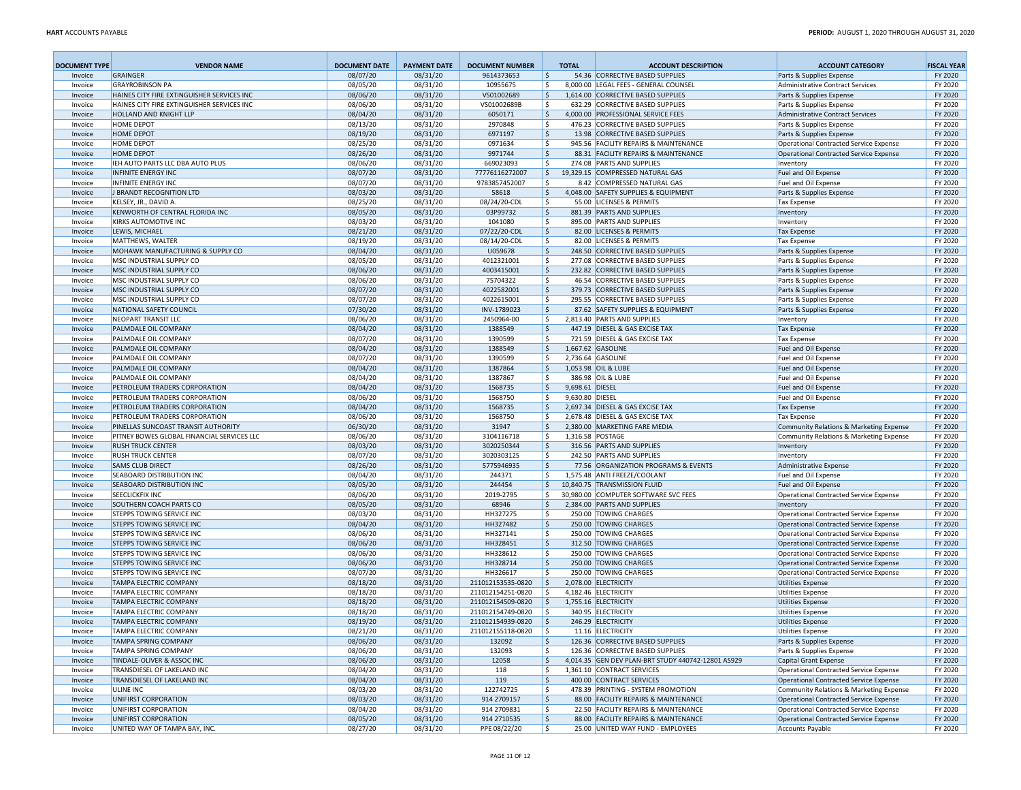| <b>DOCUMENT TYPE</b> | <b>VENDOR NAME</b>                                            | <b>DOCUMENT DATE</b> | <b>PAYMENT DATE</b>  | <b>DOCUMENT NUMBER</b>       |              | <b>TOTAL</b>    | <b>ACCOUNT DESCRIPTION</b>                                          | <b>ACCOUNT CATEGORY</b>                                                           | <b>FISCAL YEAR</b> |
|----------------------|---------------------------------------------------------------|----------------------|----------------------|------------------------------|--------------|-----------------|---------------------------------------------------------------------|-----------------------------------------------------------------------------------|--------------------|
| Invoice              | <b>GRAINGER</b>                                               | 08/07/20             | 08/31/20             | 9614373653                   | 5            |                 | 54.36 CORRECTIVE BASED SUPPLIES                                     | Parts & Supplies Expense                                                          | FY 2020            |
| Invoice              | <b>GRAYROBINSON PA</b>                                        | 08/05/20             | 08/31/20             | 10955675                     | \$           |                 | 8,000.00 LEGAL FEES - GENERAL COUNSEL                               | Administrative Contract Services                                                  | FY 2020            |
| Invoice              | HAINES CITY FIRE EXTINGUISHER SERVICES INC                    | 08/06/20             | 08/31/20             | VS01002689                   | 5 ا          |                 | 1,614.00 CORRECTIVE BASED SUPPLIES                                  | Parts & Supplies Expense                                                          | FY 2020            |
| Invoice              | HAINES CITY FIRE EXTINGUISHER SERVICES INC                    | 08/06/20             | 08/31/20             | VS01002689B                  | l\$          |                 | 632.29 CORRECTIVE BASED SUPPLIES                                    | Parts & Supplies Expense                                                          | FY 2020            |
| Invoice              | <b>HOLLAND AND KNIGHT LLP</b><br><b>HOME DEPOT</b>            | 08/04/20<br>08/13/20 | 08/31/20             | 6050171                      | ۱\$          |                 | 4.000.00 PROFESSIONAL SERVICE FEES                                  | Administrative Contract Services                                                  | FY 2020<br>FY 2020 |
| Invoice<br>Invoice   | <b>HOME DEPOT</b>                                             | 08/19/20             | 08/31/20<br>08/31/20 | 2970848<br>6971197           | l \$<br>\$ ا |                 | 476.23 CORRECTIVE BASED SUPPLIES<br>13.98 CORRECTIVE BASED SUPPLIES | Parts & Supplies Expense<br>Parts & Supplies Expense                              | FY 2020            |
| Invoice              | <b>HOME DEPOT</b>                                             | 08/25/20             | 08/31/20             | 0971634                      | \$           |                 | 945.56 FACILITY REPAIRS & MAINTENANCE                               | Operational Contracted Service Expense                                            | FY 2020            |
| Invoice              | <b>HOME DEPOT</b>                                             | 08/26/20             | 08/31/20             | 9971744                      | 5            |                 | 88.31 FACILITY REPAIRS & MAINTENANCE                                | Operational Contracted Service Expense                                            | FY 2020            |
| Invoice              | IEH AUTO PARTS LLC DBA AUTO PLUS                              | 08/06/20             | 08/31/20             | 669023093                    | \$           |                 | 274.08 PARTS AND SUPPLIES                                           | Inventory                                                                         | FY 2020            |
| Invoice              | <b>INFINITE ENERGY INC</b>                                    | 08/07/20             | 08/31/20             | 77776116272007               | \$           |                 | 19,329.15 COMPRESSED NATURAL GAS                                    | Fuel and Oil Expense                                                              | FY 2020            |
| Invoice              | <b>INFINITE ENERGY INC</b>                                    | 08/07/20             | 08/31/20             | 9783857452007                | \$           |                 | 8.42 COMPRESSED NATURAL GAS                                         | Fuel and Oil Expense                                                              | FY 2020            |
| Invoice              | J BRANDT RECOGNITION LTD                                      | 08/03/20             | 08/31/20             | 58618                        | \$           |                 | 4,048.00 SAFETY SUPPLIES & EQUIPMENT                                | Parts & Supplies Expense                                                          | FY 2020            |
| Invoice              | KELSEY, JR., DAVID A.                                         | 08/25/20             | 08/31/20             | 08/24/20-CDL                 | ا \$         |                 | 55.00 LICENSES & PERMITS                                            | Tax Expense                                                                       | FY 2020            |
| Invoice              | KENWORTH OF CENTRAL FLORIDA INC                               | 08/05/20             | 08/31/20             | 03P99732                     | 5            |                 | 881.39 PARTS AND SUPPLIES                                           | Inventory                                                                         | FY 2020            |
| Invoice              | <b>KIRKS AUTOMOTIVE INC</b>                                   | 08/03/20             | 08/31/20             | 1041080                      | \$           |                 | 895.00 PARTS AND SUPPLIES                                           | Inventory                                                                         | FY 2020            |
| Invoice              | LEWIS, MICHAEL<br>MATTHEWS, WALTER                            | 08/21/20<br>08/19/20 | 08/31/20<br>08/31/20 | 07/22/20-CDL<br>08/14/20-CDL | 5<br>l\$     |                 | 82.00 LICENSES & PERMITS<br>82.00 LICENSES & PERMITS                | <b>Tax Expense</b><br>Tax Expense                                                 | FY 2020<br>FY 2020 |
| Invoice<br>Invoice   | MOHAWK MANUFACTURING & SUPPLY CO                              | 08/04/20             | 08/31/20             | U059678                      | 5            |                 | 248.50 CORRECTIVE BASED SUPPLIES                                    | Parts & Supplies Expense                                                          | FY 2020            |
| Invoice              | MSC INDUSTRIAL SUPPLY CO                                      | 08/05/20             | 08/31/20             | 4012321001                   | \$           |                 | 277.08 CORRECTIVE BASED SUPPLIES                                    | Parts & Supplies Expense                                                          | FY 2020            |
| Invoice              | MSC INDUSTRIAL SUPPLY CO                                      | 08/06/20             | 08/31/20             | 4003415001                   | 5            |                 | 232.82 CORRECTIVE BASED SUPPLIES                                    | Parts & Supplies Expense                                                          | FY 2020            |
| Invoice              | MSC INDUSTRIAL SUPPLY CO                                      | 08/06/20             | 08/31/20             | 75704322                     | ۱\$          |                 | 46.54 CORRECTIVE BASED SUPPLIES                                     | Parts & Supplies Expense                                                          | FY 2020            |
| Invoice              | MSC INDUSTRIAL SUPPLY CO                                      | 08/07/20             | 08/31/20             | 4022582001                   | 5            |                 | 379.73 CORRECTIVE BASED SUPPLIES                                    | Parts & Supplies Expense                                                          | FY 2020            |
| Invoice              | MSC INDUSTRIAL SUPPLY CO                                      | 08/07/20             | 08/31/20             | 4022615001                   | l\$          |                 | 295.55 CORRECTIVE BASED SUPPLIES                                    | Parts & Supplies Expense                                                          | FY 2020            |
| Invoice              | NATIONAL SAFETY COUNCIL                                       | 07/30/20             | 08/31/20             | INV-1789023                  | 5            |                 | 87.62 SAFETY SUPPLIES & EQUIPMENT                                   | Parts & Supplies Expense                                                          | FY 2020            |
| Invoice              | <b>NEOPART TRANSIT LLC</b>                                    | 08/06/20             | 08/31/20             | 2450964-00                   | l\$          |                 | 2,813.40 PARTS AND SUPPLIES                                         | Inventory                                                                         | FY 2020            |
| Invoice              | PALMDALE OIL COMPANY                                          | 08/04/20             | 08/31/20             | 1388549                      | \$           |                 | 447.19 DIESEL & GAS EXCISE TAX                                      | Tax Expense                                                                       | FY 2020            |
| Invoice              | PALMDALE OIL COMPANY<br>PALMDALE OIL COMPANY                  | 08/07/20             | 08/31/20<br>08/31/20 | 1390599<br>1388549           | l\$<br>5 ا   |                 | 721.59 DIESEL & GAS EXCISE TAX<br>1,667.62 GASOLINE                 | <b>Tax Expense</b>                                                                | FY 2020<br>FY 2020 |
| Invoice<br>Invoice   | PALMDALE OIL COMPANY                                          | 08/04/20<br>08/07/20 | 08/31/20             | 1390599                      | l\$          |                 | 2,736.64 GASOLINE                                                   | Fuel and Oil Expense<br>Fuel and Oil Expense                                      | FY 2020            |
| Invoice              | PALMDALE OIL COMPANY                                          | 08/04/20             | 08/31/20             | 1387864                      | l \$         |                 | 1,053.98 OIL & LUBE                                                 | Fuel and Oil Expense                                                              | FY 2020            |
| Invoice              | PALMDALE OIL COMPANY                                          | 08/04/20             | 08/31/20             | 1387867                      | l\$          |                 | 386.98 OIL & LUBE                                                   | Fuel and Oil Expense                                                              | FY 2020            |
| Invoice              | PETROLEUM TRADERS CORPORATION                                 | 08/04/20             | 08/31/20             | 1568735                      | 5            | 9,698.61 DIESEL |                                                                     | Fuel and Oil Expense                                                              | FY 2020            |
| Invoice              | PETROLEUM TRADERS CORPORATION                                 | 08/06/20             | 08/31/20             | 1568750                      | \$           | 9,630.80 DIESEL |                                                                     | Fuel and Oil Expense                                                              | FY 2020            |
| Invoice              | PETROLEUM TRADERS CORPORATION                                 | 08/04/20             | 08/31/20             | 1568735                      | 5            |                 | 2,697.34 DIESEL & GAS EXCISE TAX                                    | <b>Tax Expense</b>                                                                | FY 2020            |
| Invoice              | PETROLEUM TRADERS CORPORATION                                 | 08/06/20             | 08/31/20             | 1568750                      | \$           |                 | 2,678.48 DIESEL & GAS EXCISE TAX                                    | Tax Expense                                                                       | FY 2020            |
| Invoice              | PINELLAS SUNCOAST TRANSIT AUTHORITY                           | 06/30/20             | 08/31/20             | 31947                        | ۱\$          |                 | 2,380.00 MARKETING FARE MEDIA                                       | Community Relations & Marketing Expense                                           | FY 2020            |
| Invoice              | PITNEY BOWES GLOBAL FINANCIAL SERVICES LLC                    | 08/06/20             | 08/31/20             | 3104116718                   | \$           |                 | 1,316.58 POSTAGE                                                    | Community Relations & Marketing Expense                                           | FY 2020            |
| Invoice              | <b>RUSH TRUCK CENTER</b>                                      | 08/03/20             | 08/31/20             | 3020250344                   | l \$         |                 | 316.56 PARTS AND SUPPLIES                                           | Inventory                                                                         | FY 2020            |
| Invoice              | <b>RUSH TRUCK CENTER</b><br><b>SAMS CLUB DIRECT</b>           | 08/07/20<br>08/26/20 | 08/31/20<br>08/31/20 | 3020303125<br>5775946935     | \$<br>5      |                 | 242.50 PARTS AND SUPPLIES<br>77.56 ORGANIZATION PROGRAMS & EVENTS   | Inventory<br>Administrative Expense                                               | FY 2020<br>FY 2020 |
| Invoice<br>Invoice   | SEABOARD DISTRIBUTION INC                                     | 08/04/20             | 08/31/20             | 244371                       | \$           |                 | 1,575.48 ANTI FREEZE/COOLANT                                        | Fuel and Oil Expense                                                              | FY 2020            |
| Invoice              | SEABOARD DISTRIBUTION INC                                     | 08/05/20             | 08/31/20             | 244454                       | 5            |                 | 10,840.75 TRANSMISSION FLUID                                        | Fuel and Oil Expense                                                              | FY 2020            |
| Invoice              | <b>SEECLICKFIX INC</b>                                        | 08/06/20             | 08/31/20             | 2019-2795                    | \$           |                 | 30,980.00 COMPUTER SOFTWARE SVC FEES                                | Operational Contracted Service Expense                                            | FY 2020            |
| Invoice              | SOUTHERN COACH PARTS CO                                       | 08/05/20             | 08/31/20             | 68946                        | 5            |                 | 2,384.00 PARTS AND SUPPLIES                                         | Inventory                                                                         | FY 2020            |
| Invoice              | STEPPS TOWING SERVICE INC                                     | 08/03/20             | 08/31/20             | HH327275                     | \$           |                 | 250.00 TOWING CHARGES                                               | Operational Contracted Service Expense                                            | FY 2020            |
| Invoice              | <b>STEPPS TOWING SERVICE INC</b>                              | 08/04/20             | 08/31/20             | HH327482                     | $\vert$ \$   |                 | 250.00 TOWING CHARGES                                               | Operational Contracted Service Expense                                            | FY 2020            |
| Invoice              | STEPPS TOWING SERVICE INC                                     | 08/06/20             | 08/31/20             | HH327141                     | \$           |                 | 250.00 TOWING CHARGES                                               | Operational Contracted Service Expense                                            | FY 2020            |
| Invoice              | <b>STEPPS TOWING SERVICE INC</b>                              | 08/06/20             | 08/31/20             | HH328451                     | ١\$          |                 | 312.50 TOWING CHARGES                                               | Operational Contracted Service Expense                                            | FY 2020            |
| Invoice              | <b>STEPPS TOWING SERVICE INC</b>                              | 08/06/20             | 08/31/20             | HH328612                     | \$           |                 | 250.00 TOWING CHARGES                                               | Operational Contracted Service Expense                                            | FY 2020            |
| Invoice              | <b>STEPPS TOWING SERVICE INC</b><br>STEPPS TOWING SERVICE INC | 08/06/20<br>08/07/20 | 08/31/20<br>08/31/20 | HH328714<br>HH326617         | l\$<br>  \$  |                 | 250.00 TOWING CHARGES<br>250.00 TOWING CHARGES                      | Operational Contracted Service Expense                                            | FY 2020<br>FY 2020 |
| Invoice<br>Invoice   | <b>TAMPA ELECTRIC COMPANY</b>                                 | 08/18/20             | 08/31/20             | 211012153535-0820            | ا \$         |                 | 2,078.00 ELECTRICITY                                                | Operational Contracted Service Expense<br><b>Utilities Expense</b>                | FY 2020            |
| Invoice              | <b>TAMPA ELECTRIC COMPANY</b>                                 | 08/18/20             | 08/31/20             | 211012154251-0820            | ا \$         |                 | 4,182.46 ELECTRICITY                                                | <b>Utilities Expense</b>                                                          | FY 2020            |
| Invoice              | <b>TAMPA ELECTRIC COMPANY</b>                                 | 08/18/20             | 08/31/20             | 211012154509-0820            | ا \$         |                 | 1,755.16 ELECTRICITY                                                | <b>Utilities Expense</b>                                                          | FY 2020            |
| Invoice              | <b>TAMPA ELECTRIC COMPANY</b>                                 | 08/18/20             | 08/31/20             | 211012154749-0820            | l \$         |                 | 340.95 ELECTRICITY                                                  | <b>Utilities Expense</b>                                                          | FY 2020            |
| Invoice              | <b>TAMPA ELECTRIC COMPANY</b>                                 | 08/19/20             | 08/31/20             | 211012154939-0820            | l \$         |                 | 246.29 ELECTRICITY                                                  | <b>Utilities Expense</b>                                                          | FY 2020            |
| Invoice              | <b>TAMPA ELECTRIC COMPANY</b>                                 | 08/21/20             | 08/31/20             | 211012155118-0820            | 1\$          |                 | 11.16 ELECTRICITY                                                   | <b>Utilities Expense</b>                                                          | FY 2020            |
| Invoice              | <b>TAMPA SPRING COMPANY</b>                                   | 08/06/20             | 08/31/20             | 132092                       | ۱\$          |                 | 126.36 CORRECTIVE BASED SUPPLIES                                    | Parts & Supplies Expense                                                          | FY 2020            |
| Invoice              | <b>TAMPA SPRING COMPANY</b>                                   | 08/06/20             | 08/31/20             | 132093                       | \$           |                 | 126.36 CORRECTIVE BASED SUPPLIES                                    | Parts & Supplies Expense                                                          | FY 2020            |
| Invoice              | TINDALE-OLIVER & ASSOC INC                                    | 08/06/20             | 08/31/20             | 12058                        | \$           |                 | 4,014.35 GEN DEV PLAN-BRT STUDY 440742-12801 AS929                  | Capital Grant Expense                                                             | FY 2020            |
| Invoice              | TRANSDIESEL OF LAKELAND INC                                   | 08/04/20             | 08/31/20             | 118                          | \$           |                 | 1,361.10 CONTRACT SERVICES                                          | Operational Contracted Service Expense                                            | FY 2020            |
| Invoice              | TRANSDIESEL OF LAKELAND INC                                   | 08/04/20             | 08/31/20             | 119<br>122742725             | ۱\$<br>  \$  |                 | 400.00 CONTRACT SERVICES<br>478.39 PRINTING - SYSTEM PROMOTION      | Operational Contracted Service Expense                                            | FY 2020            |
| Invoice<br>Invoice   | ULINE INC<br>UNIFIRST CORPORATION                             | 08/03/20<br>08/03/20 | 08/31/20<br>08/31/20 | 914 2709157                  | 5            |                 | 88.00 FACILITY REPAIRS & MAINTENANCE                                | Community Relations & Marketing Expense<br>Operational Contracted Service Expense | FY 2020<br>FY 2020 |
| Invoice              | UNIFIRST CORPORATION                                          | 08/04/20             | 08/31/20             | 914 2709831                  | \$           |                 | 22.50 FACILITY REPAIRS & MAINTENANCE                                | Operational Contracted Service Expense                                            | FY 2020            |
| Invoice              | UNIFIRST CORPORATION                                          | 08/05/20             | 08/31/20             | 914 2710535                  | 5            |                 | 88.00 FACILITY REPAIRS & MAINTENANCE                                | Operational Contracted Service Expense                                            | FY 2020            |
| Invoice              | UNITED WAY OF TAMPA BAY, INC.                                 | 08/27/20             | 08/31/20             | PPE 08/22/20                 | ۱\$          |                 | 25.00 UNITED WAY FUND - EMPLOYEES                                   | Accounts Payable                                                                  | FY 2020            |